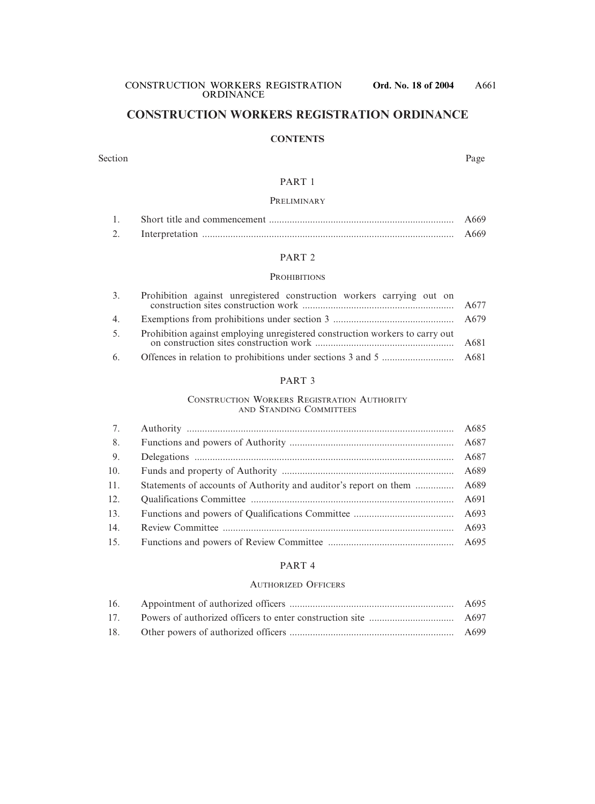### **CONSTRUCTION WORKERS REGISTRATION ORDINANCE**

#### **CONTENTS**

#### Section Page

#### PART 1

#### PRELIMINARY

|  | A669  |
|--|-------|
|  | A669. |

#### PART 2

#### **PROHIBITIONS**

| 3. | Prohibition against unregistered construction workers carrying out on        |  |
|----|------------------------------------------------------------------------------|--|
|    |                                                                              |  |
| 5. | Prohibition against employing unregistered construction workers to carry out |  |
|    |                                                                              |  |

#### PART 3

#### CONSTRUCTION WORKERS REGISTRATION AUTHORITY AND STANDING COMMITTEES

| 7.  |                                                                        |  |
|-----|------------------------------------------------------------------------|--|
| 8.  |                                                                        |  |
| 9.  |                                                                        |  |
| 10. |                                                                        |  |
| 11. | Statements of accounts of Authority and auditor's report on them  A689 |  |
| 12. |                                                                        |  |
| 13. |                                                                        |  |
| 14. |                                                                        |  |
| 15. |                                                                        |  |

#### PART 4

#### AUTHORIZED OFFICERS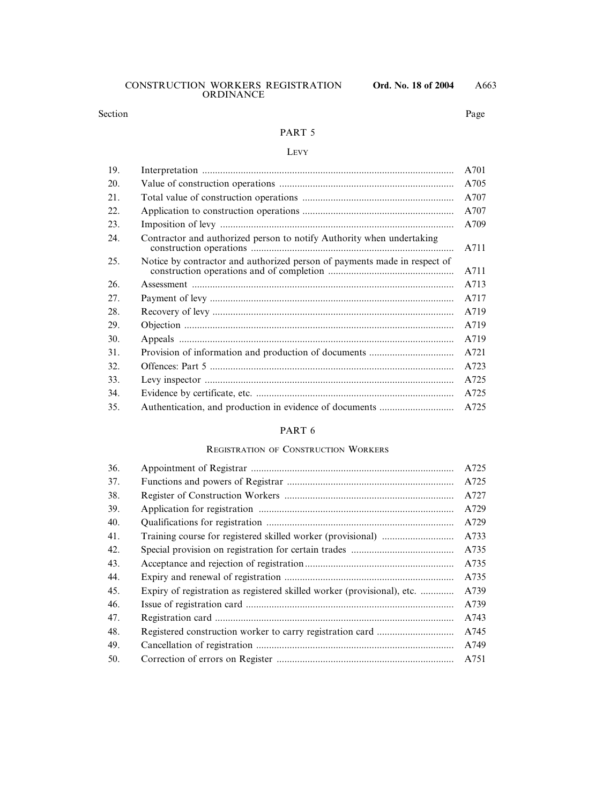# A663

#### PART 5

#### LEVY

| 19. |                                                                           | A701 |
|-----|---------------------------------------------------------------------------|------|
| 20. |                                                                           | A705 |
| 21. |                                                                           | A707 |
| 22. |                                                                           | A707 |
| 23. |                                                                           | A709 |
| 24. | Contractor and authorized person to notify Authority when undertaking     | A711 |
| 25. | Notice by contractor and authorized person of payments made in respect of | A711 |
| 26. |                                                                           | A713 |
| 27. |                                                                           | A717 |
| 28. |                                                                           | A719 |
| 29. |                                                                           | A719 |
| 30. |                                                                           | A719 |
| 31. |                                                                           | A721 |
| 32. |                                                                           | A723 |
| 33. |                                                                           | A725 |
| 34. |                                                                           | A725 |
| 35. | Authentication, and production in evidence of documents                   | A725 |

#### PART 6

#### REGISTRATION OF CONSTRUCTION WORKERS

| 36. |                                                                         | A725 |
|-----|-------------------------------------------------------------------------|------|
| 37. |                                                                         | A725 |
| 38. |                                                                         | A727 |
| 39. |                                                                         | A729 |
| 40. |                                                                         | A729 |
| 41. |                                                                         | A733 |
| 42. |                                                                         | A735 |
| 43. |                                                                         | A735 |
| 44. |                                                                         | A735 |
| 45. | Expiry of registration as registered skilled worker (provisional), etc. | A739 |
| 46. |                                                                         | A739 |
| 47. |                                                                         | A743 |
| 48. |                                                                         | A745 |
| 49. |                                                                         | A749 |
| 50. |                                                                         | A751 |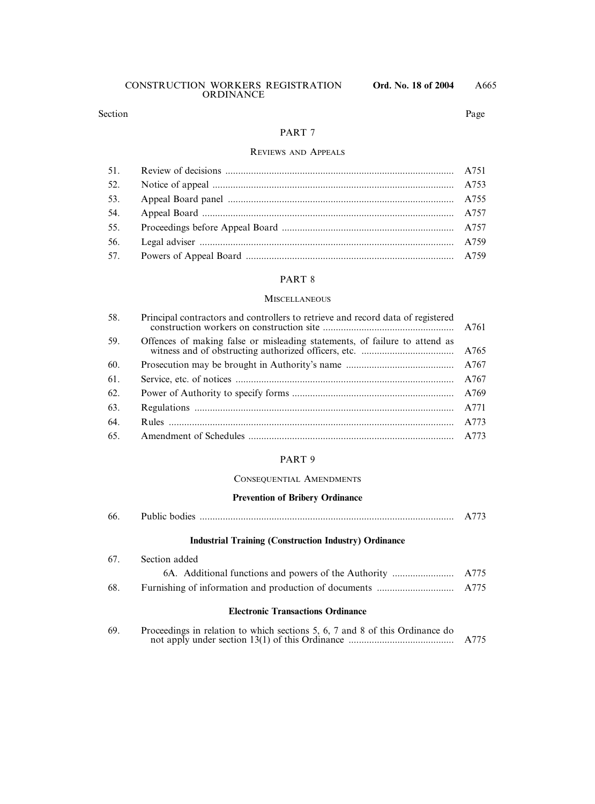| CONSTRUCTION WORKERS REGISTRATION |           |  |
|-----------------------------------|-----------|--|
|                                   | ORDINANCE |  |

#### Section Page

#### PART 7

#### REVIEWS AND APPEALS

| 52. |  |
|-----|--|
| 53. |  |
| 54. |  |
| 55. |  |
| 56. |  |
|     |  |

#### PART 8

#### **MISCELLANEOUS**

| 58. | Principal contractors and controllers to retrieve and record data of registered |      |
|-----|---------------------------------------------------------------------------------|------|
| 59. | Offences of making false or misleading statements, of failure to attend as      |      |
| 60. |                                                                                 |      |
| 61. |                                                                                 | A767 |
| 62. |                                                                                 |      |
| 63. |                                                                                 | A771 |
| 64. |                                                                                 | A773 |
| 65. |                                                                                 |      |
|     |                                                                                 |      |

#### PART 9

#### CONSEQUENTIAL AMENDMENTS

#### **Prevention of Bribery Ordinance**

| 66.<br>Public | noqie. |  |  |
|---------------|--------|--|--|
|---------------|--------|--|--|

#### **Industrial Training (Construction Industry) Ordinance**

|     | 67. Section added |  |
|-----|-------------------|--|
|     |                   |  |
| 68. |                   |  |
|     |                   |  |

### **Electronic Transactions Ordinance**

| 69. | Proceedings in relation to which sections 5, 6, 7 and 8 of this Ordinance do |      |
|-----|------------------------------------------------------------------------------|------|
|     |                                                                              | A775 |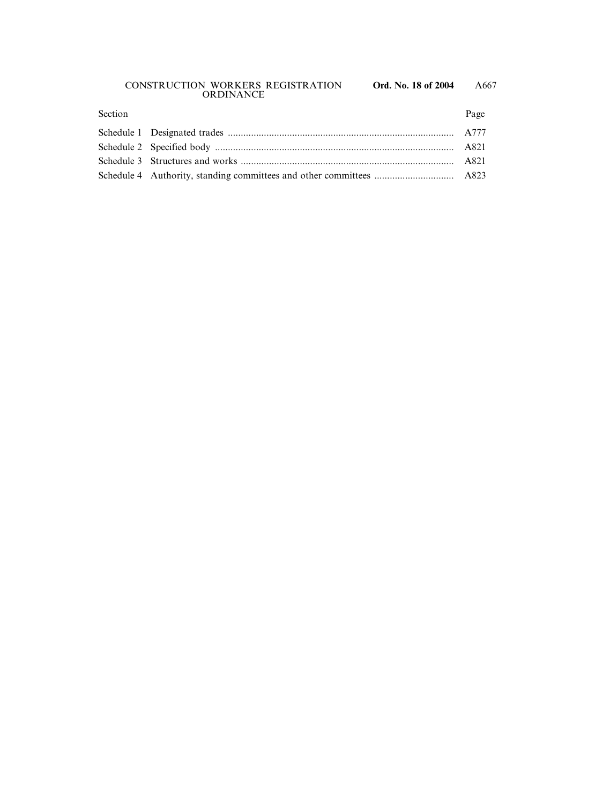#### CONSTRUCTION WORKERS REGISTRATION **Ord. No. 18 of 2004** ORDINANCE

| Section | Page |
|---------|------|
|         |      |
|         |      |
|         |      |
|         |      |
|         |      |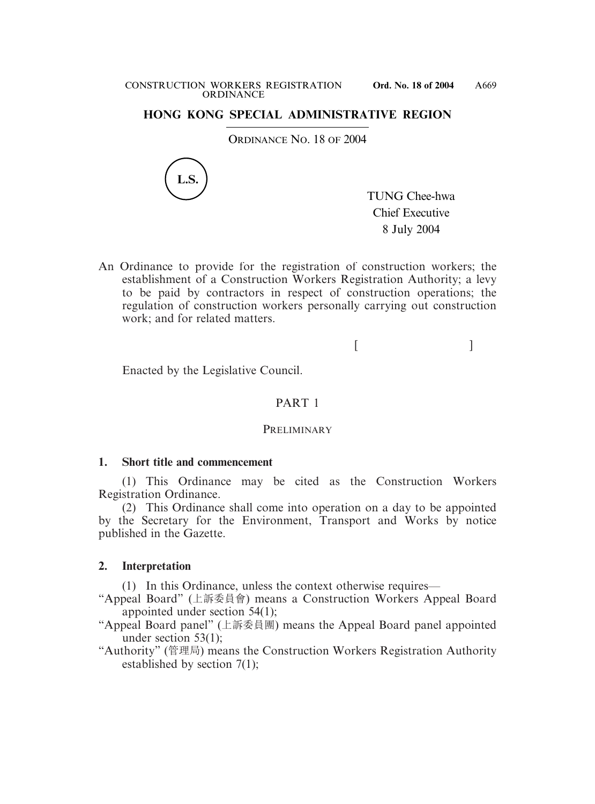### **HONG KONG SPECIAL ADMINISTRATIVE REGION**

ORDINANCE NO. 18 OF 2004



TUNG Chee-hwa Chief Executive 8 July 2004

An Ordinance to provide for the registration of construction workers; the establishment of a Construction Workers Registration Authority; a levy to be paid by contractors in respect of construction operations; the regulation of construction workers personally carrying out construction work; and for related matters.

 $[$ 

Enacted by the Legislative Council.

### PART 1

#### **PRELIMINARY**

### **1. Short title and commencement**

(1) This Ordinance may be cited as the Construction Workers Registration Ordinance.

(2) This Ordinance shall come into operation on a day to be appointed by the Secretary for the Environment, Transport and Works by notice published in the Gazette.

### **2. Interpretation**

(1) In this Ordinance, unless the context otherwise requires—

- "Appeal Board" (上訴委員會) means a Construction Workers Appeal Board appointed under section 54(1);
- "Appeal Board panel" (上訴委員團) means the Appeal Board panel appointed under section 53(1);
- "Authority" (管理局) means the Construction Workers Registration Authority established by section 7(1);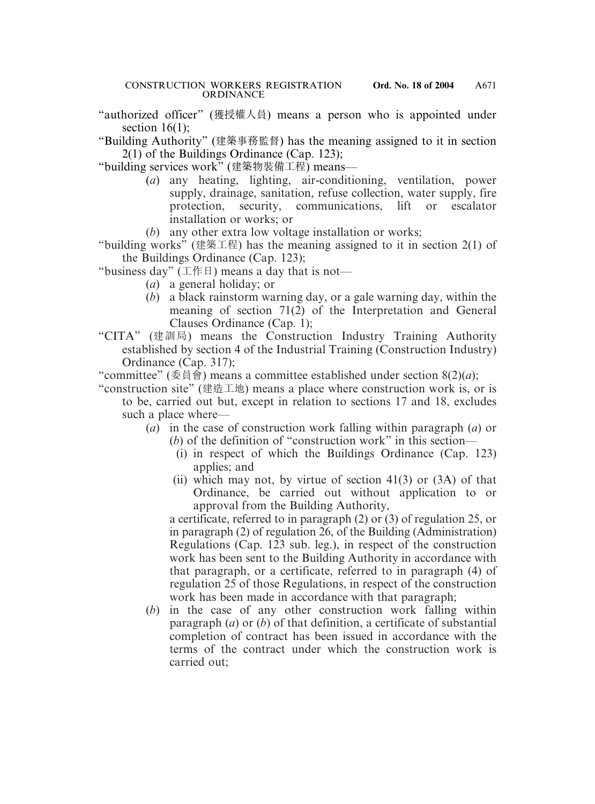"authorized officer" (獲授權人員) means a person who is appointed under section 16(1):

"Building Authority" (建築事務監督) has the meaning assigned to it in section 2(1) of the Buildings Ordinance (Cap. 123);

"building services work" (建築物裝備工程) means—

- (*a*) any heating, lighting, air-conditioning, ventilation, power supply, drainage, sanitation, refuse collection, water supply, fire protection, security, communications, lift or escalator installation or works; or
- (*b*) any other extra low voltage installation or works;

"building works" (建築工程) has the meaning assigned to it in section 2(1) of the Buildings Ordinance (Cap. 123);

"business day" ( $\perp$ 作 $\parallel$ ) means a day that is not—

- (*a*) a general holiday; or
- (*b*) a black rainstorm warning day, or a gale warning day, within the meaning of section 71(2) of the Interpretation and General Clauses Ordinance (Cap. 1);
- "CITA" (建訓局) means the Construction Industry Training Authority established by section 4 of the Industrial Training (Construction Industry) Ordinance (Cap. 317);

"committee" (委員會) means a committee established under section 8(2)(*a*);

- "construction site" (建造工地) means a place where construction work is, or is to be, carried out but, except in relation to sections 17 and 18, excludes such a place where—
	- (*a*) in the case of construction work falling within paragraph (*a*) or (*b*) of the definition of "construction work" in this section—
		- (i) in respect of which the Buildings Ordinance (Cap. 123) applies; and
		- (ii) which may not, by virtue of section  $41(3)$  or  $(3A)$  of that Ordinance, be carried out without application to or approval from the Building Authority,

a certificate, referred to in paragraph (2) or (3) of regulation 25, or in paragraph (2) of regulation 26, of the Building (Administration) Regulations (Cap. 123 sub. leg.), in respect of the construction work has been sent to the Building Authority in accordance with that paragraph, or a certificate, referred to in paragraph (4) of regulation 25 of those Regulations, in respect of the construction work has been made in accordance with that paragraph;

(*b*) in the case of any other construction work falling within paragraph (*a*) or (*b*) of that definition, a certificate of substantial completion of contract has been issued in accordance with the terms of the contract under which the construction work is carried out;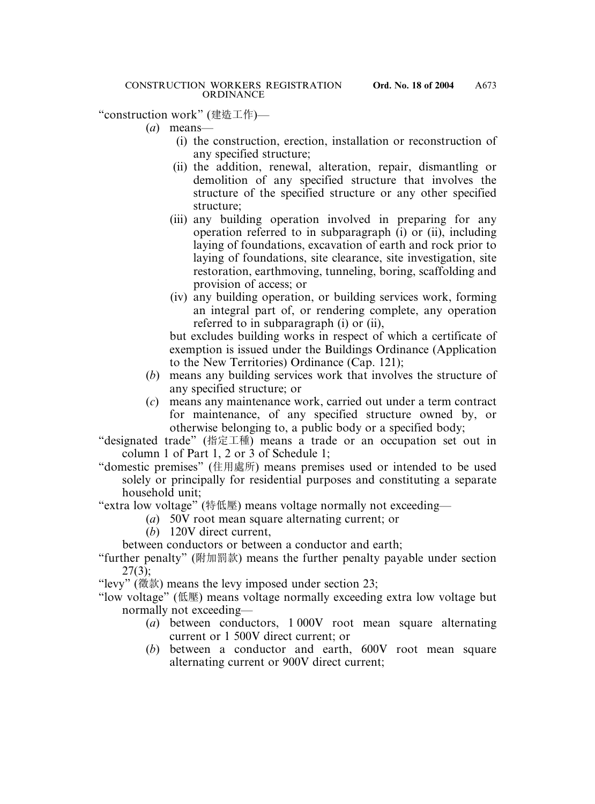"construction work" (建造工作)—

- (*a*) means—
	- (i) the construction, erection, installation or reconstruction of any specified structure;
	- (ii) the addition, renewal, alteration, repair, dismantling or demolition of any specified structure that involves the structure of the specified structure or any other specified structure;
	- (iii) any building operation involved in preparing for any operation referred to in subparagraph (i) or (ii), including laying of foundations, excavation of earth and rock prior to laying of foundations, site clearance, site investigation, site restoration, earthmoving, tunneling, boring, scaffolding and provision of access; or
	- (iv) any building operation, or building services work, forming an integral part of, or rendering complete, any operation referred to in subparagraph (i) or (ii),

but excludes building works in respect of which a certificate of exemption is issued under the Buildings Ordinance (Application to the New Territories) Ordinance (Cap. 121);

- (*b*) means any building services work that involves the structure of any specified structure; or
- (*c*) means any maintenance work, carried out under a term contract for maintenance, of any specified structure owned by, or otherwise belonging to, a public body or a specified body;

"designated trade" (指定工種) means a trade or an occupation set out in column 1 of Part 1, 2 or 3 of Schedule 1;

"domestic premises" (住用處所) means premises used or intended to be used solely or principally for residential purposes and constituting a separate household unit;

"extra low voltage" (特低壓) means voltage normally not exceeding—

- (*a*) 50V root mean square alternating current; or
- (*b*) 120V direct current,

between conductors or between a conductor and earth;

"further penalty" (附加罰款) means the further penalty payable under section 27(3);

"levy" (徵款) means the levy imposed under section 23;

"low voltage" (低壓) means voltage normally exceeding extra low voltage but normally not exceeding—

- (*a*) between conductors, 1 000V root mean square alternating current or 1 500V direct current; or
- (*b*) between a conductor and earth, 600V root mean square alternating current or 900V direct current;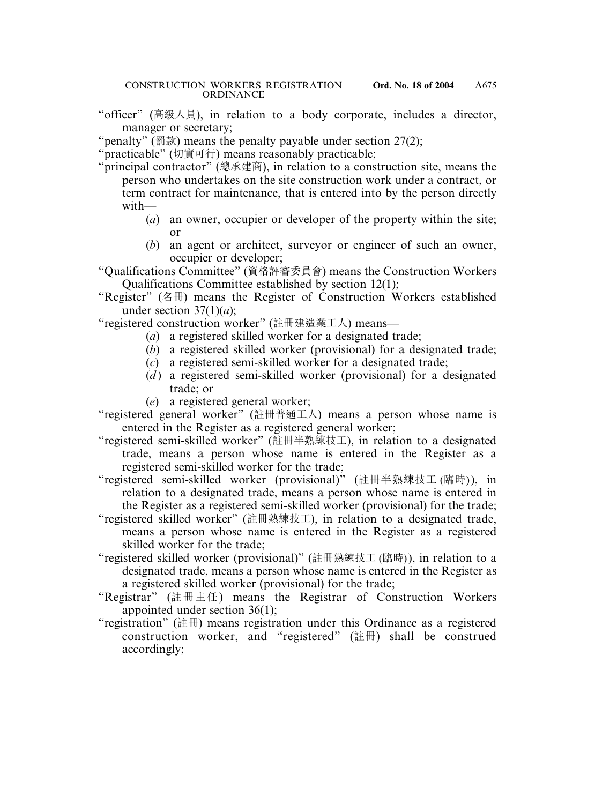"officer" (高級人員), in relation to a body corporate, includes a director, manager or secretary;

"penalty" (罰款) means the penalty payable under section  $27(2)$ ;

"practicable" (切實可行) means reasonably practicable;

- "principal contractor" (總承建商), in relation to a construction site, means the person who undertakes on the site construction work under a contract, or term contract for maintenance, that is entered into by the person directly with—
	- (*a*) an owner, occupier or developer of the property within the site; or
	- (*b*) an agent or architect, surveyor or engineer of such an owner, occupier or developer;

"Qualifications Committee" (資格評審委員會) means the Construction Workers Qualifications Committee established by section 12(1);

"Register" (名冊) means the Register of Construction Workers established under section  $37(1)(a)$ ;

"registered construction worker" (註冊建造業工人) means—

- (*a*) a registered skilled worker for a designated trade;
- (*b*) a registered skilled worker (provisional) for a designated trade;
- (*c*) a registered semi-skilled worker for a designated trade;
- (*d*) a registered semi-skilled worker (provisional) for a designated trade; or
- (*e*) a registered general worker;
- "registered general worker" (註冊普通工人) means a person whose name is entered in the Register as a registered general worker;
- "registered semi-skilled worker" (註冊半熟練技工), in relation to a designated trade, means a person whose name is entered in the Register as a registered semi-skilled worker for the trade;
- "registered semi-skilled worker (provisional)" (註冊半熟練技工 (臨時)), in relation to a designated trade, means a person whose name is entered in the Register as a registered semi-skilled worker (provisional) for the trade;
- "registered skilled worker" (註冊熟練技工), in relation to a designated trade, means a person whose name is entered in the Register as a registered skilled worker for the trade;
- "registered skilled worker (provisional)" (註冊熟練技工 (臨時)), in relation to a designated trade, means a person whose name is entered in the Register as a registered skilled worker (provisional) for the trade;
- "Registrar" (註冊主任) means the Registrar of Construction Workers appointed under section 36(1);
- "registration" (註冊) means registration under this Ordinance as a registered construction worker, and "registered" (註冊) shall be construed accordingly;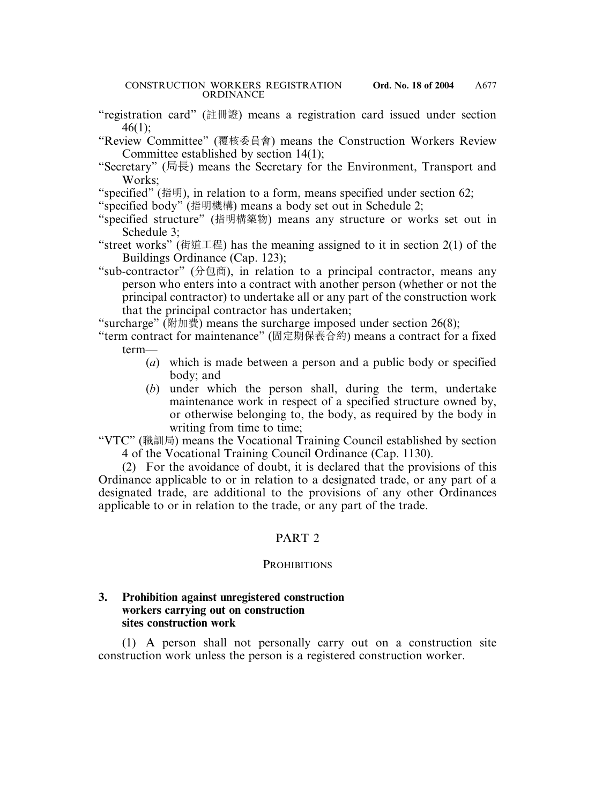- "registration card" (註冊證) means a registration card issued under section 46(1);
- "Review Committee" (覆核委員會) means the Construction Workers Review Committee established by section 14(1);
- "Secretary" (局長) means the Secretary for the Environment, Transport and Works;
- "specified" (指明), in relation to a form, means specified under section 62;
- "specified body" (指明機構) means a body set out in Schedule 2;
- "specified structure" (指明構築物) means any structure or works set out in Schedule 3;
- "street works" (街道工程) has the meaning assigned to it in section 2(1) of the Buildings Ordinance (Cap. 123);

"sub-contractor" (分包商), in relation to a principal contractor, means any person who enters into a contract with another person (whether or not the principal contractor) to undertake all or any part of the construction work that the principal contractor has undertaken;

"surcharge" (附加費) means the surcharge imposed under section 26(8);

- "term contract for maintenance" (固定期保養合約) means a contract for a fixed term—
	- (*a*) which is made between a person and a public body or specified body; and
	- (*b*) under which the person shall, during the term, undertake maintenance work in respect of a specified structure owned by, or otherwise belonging to, the body, as required by the body in writing from time to time;

"VTC" (職訓局) means the Vocational Training Council established by section 4 of the Vocational Training Council Ordinance (Cap. 1130).

(2) For the avoidance of doubt, it is declared that the provisions of this Ordinance applicable to or in relation to a designated trade, or any part of a designated trade, are additional to the provisions of any other Ordinances applicable to or in relation to the trade, or any part of the trade.

# PART 2

# **PROHIBITIONS**

# **3. Prohibition against unregistered construction workers carrying out on construction sites construction work**

(1) A person shall not personally carry out on a construction site construction work unless the person is a registered construction worker.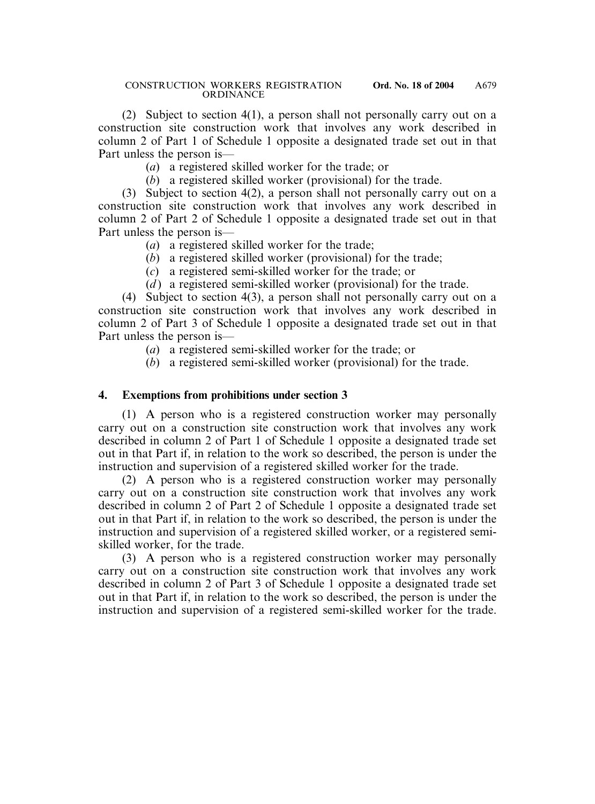(2) Subject to section 4(1), a person shall not personally carry out on a construction site construction work that involves any work described in column 2 of Part 1 of Schedule 1 opposite a designated trade set out in that Part unless the person is—

(*a*) a registered skilled worker for the trade; or

(*b*) a registered skilled worker (provisional) for the trade.

(3) Subject to section 4(2), a person shall not personally carry out on a construction site construction work that involves any work described in column 2 of Part 2 of Schedule 1 opposite a designated trade set out in that Part unless the person is—

- (*a*) a registered skilled worker for the trade;
- (*b*) a registered skilled worker (provisional) for the trade;
- (*c*) a registered semi-skilled worker for the trade; or
- (*d*) a registered semi-skilled worker (provisional) for the trade.

(4) Subject to section 4(3), a person shall not personally carry out on a construction site construction work that involves any work described in column 2 of Part 3 of Schedule 1 opposite a designated trade set out in that Part unless the person is—

- (*a*) a registered semi-skilled worker for the trade; or
- (*b*) a registered semi-skilled worker (provisional) for the trade.

# **4. Exemptions from prohibitions under section 3**

(1) A person who is a registered construction worker may personally carry out on a construction site construction work that involves any work described in column 2 of Part 1 of Schedule 1 opposite a designated trade set out in that Part if, in relation to the work so described, the person is under the instruction and supervision of a registered skilled worker for the trade.

(2) A person who is a registered construction worker may personally carry out on a construction site construction work that involves any work described in column 2 of Part 2 of Schedule 1 opposite a designated trade set out in that Part if, in relation to the work so described, the person is under the instruction and supervision of a registered skilled worker, or a registered semiskilled worker, for the trade.

(3) A person who is a registered construction worker may personally carry out on a construction site construction work that involves any work described in column 2 of Part 3 of Schedule 1 opposite a designated trade set out in that Part if, in relation to the work so described, the person is under the instruction and supervision of a registered semi-skilled worker for the trade.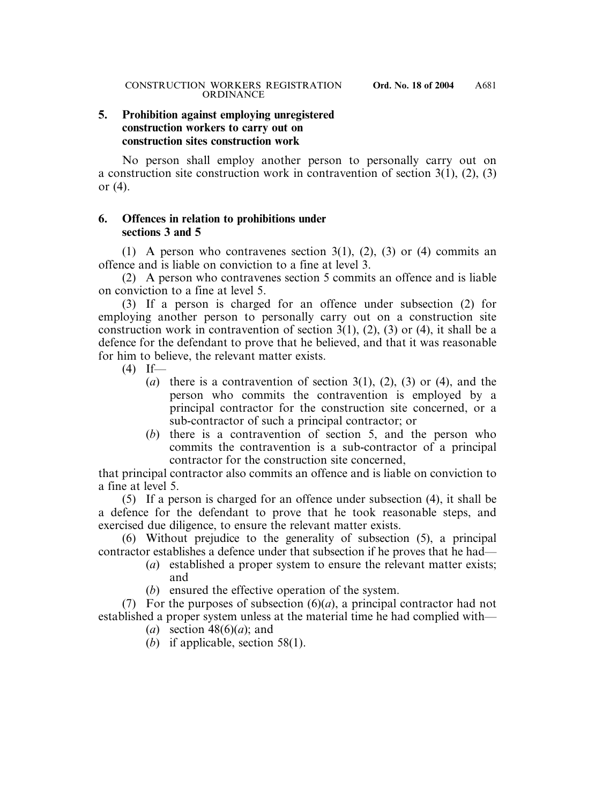### **5. Prohibition against employing unregistered construction workers to carry out on construction sites construction work**

No person shall employ another person to personally carry out on a construction site construction work in contravention of section 3(1), (2), (3) or (4).

### **6. Offences in relation to prohibitions under sections 3 and 5**

(1) A person who contravenes section 3(1), (2), (3) or (4) commits an offence and is liable on conviction to a fine at level 3.

(2) A person who contravenes section 5 commits an offence and is liable on conviction to a fine at level 5.

(3) If a person is charged for an offence under subsection (2) for employing another person to personally carry out on a construction site construction work in contravention of section 3(1), (2), (3) or (4), it shall be a defence for the defendant to prove that he believed, and that it was reasonable for him to believe, the relevant matter exists.

- $(4)$  If—
	- (*a*) there is a contravention of section 3(1), (2), (3) or (4), and the person who commits the contravention is employed by a principal contractor for the construction site concerned, or a sub-contractor of such a principal contractor; or
	- (*b*) there is a contravention of section 5, and the person who commits the contravention is a sub-contractor of a principal contractor for the construction site concerned,

that principal contractor also commits an offence and is liable on conviction to a fine at level 5.

(5) If a person is charged for an offence under subsection (4), it shall be a defence for the defendant to prove that he took reasonable steps, and exercised due diligence, to ensure the relevant matter exists.

(6) Without prejudice to the generality of subsection (5), a principal contractor establishes a defence under that subsection if he proves that he had—

- (*a*) established a proper system to ensure the relevant matter exists; and
- (*b*) ensured the effective operation of the system.

(7) For the purposes of subsection (6)(*a*), a principal contractor had not established a proper system unless at the material time he had complied with—

- (*a*) section 48(6)(*a*); and
- (*b*) if applicable, section 58(1).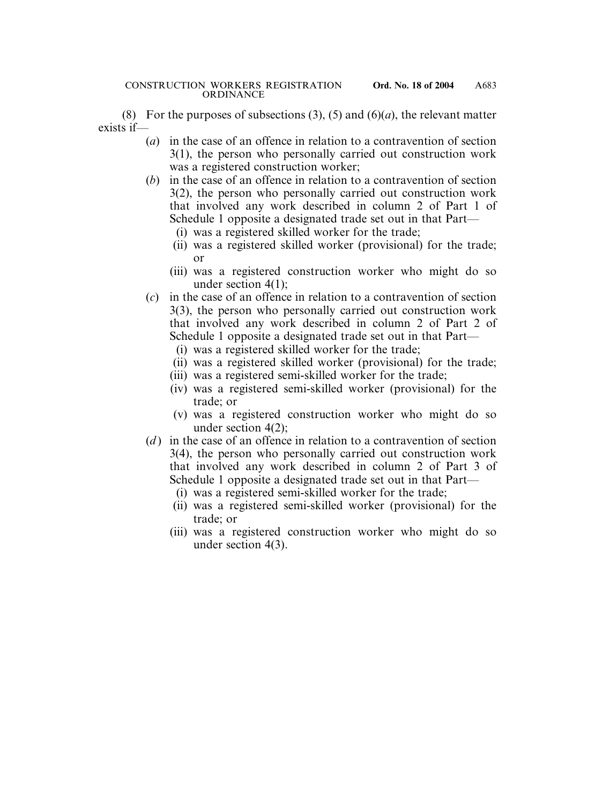(8) For the purposes of subsections  $(3)$ ,  $(5)$  and  $(6)(a)$ , the relevant matter exists if—

- (*a*) in the case of an offence in relation to a contravention of section 3(1), the person who personally carried out construction work was a registered construction worker;
- (*b*) in the case of an offence in relation to a contravention of section 3(2), the person who personally carried out construction work that involved any work described in column 2 of Part 1 of Schedule 1 opposite a designated trade set out in that Part—
	- (i) was a registered skilled worker for the trade;
	- (ii) was a registered skilled worker (provisional) for the trade; or
	- (iii) was a registered construction worker who might do so under section 4(1);
- (*c*) in the case of an offence in relation to a contravention of section 3(3), the person who personally carried out construction work that involved any work described in column 2 of Part 2 of Schedule 1 opposite a designated trade set out in that Part—
	- (i) was a registered skilled worker for the trade;
	- (ii) was a registered skilled worker (provisional) for the trade;
	- (iii) was a registered semi-skilled worker for the trade;
	- (iv) was a registered semi-skilled worker (provisional) for the trade; or
	- (v) was a registered construction worker who might do so under section 4(2);
- (*d*) in the case of an offence in relation to a contravention of section 3(4), the person who personally carried out construction work that involved any work described in column 2 of Part 3 of Schedule 1 opposite a designated trade set out in that Part—
	- (i) was a registered semi-skilled worker for the trade;
	- (ii) was a registered semi-skilled worker (provisional) for the trade; or
	- (iii) was a registered construction worker who might do so under section 4(3).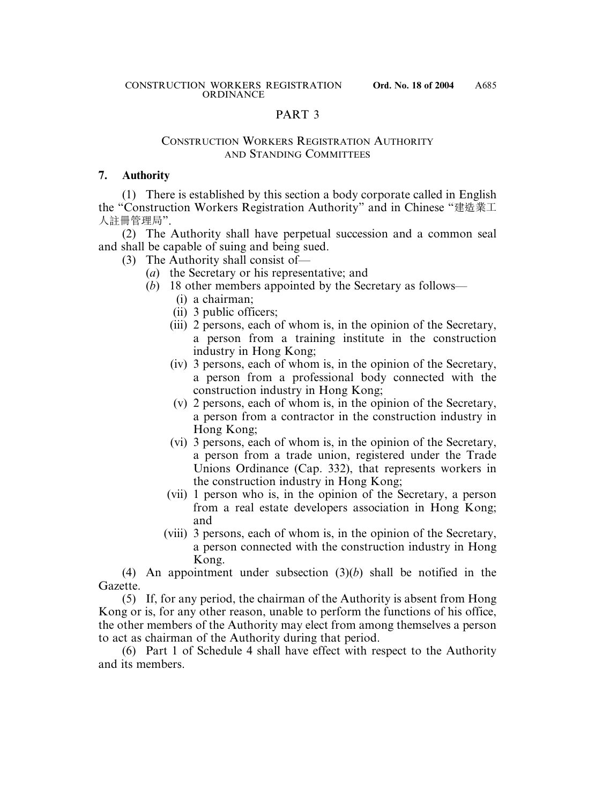### PART 3

### CONSTRUCTION WORKERS REGISTRATION AUTHORITY AND STANDING COMMITTEES

### **7. Authority**

(1) There is established by this section a body corporate called in English the "Construction Workers Registration Authority" and in Chinese "建造業工 人註冊管理局".

(2) The Authority shall have perpetual succession and a common seal and shall be capable of suing and being sued.

- (3) The Authority shall consist of—
	- (*a*) the Secretary or his representative; and
	- (*b*) 18 other members appointed by the Secretary as follows—
		- (i) a chairman;
		- (ii) 3 public officers;
		- (iii) 2 persons, each of whom is, in the opinion of the Secretary, a person from a training institute in the construction industry in Hong Kong;
		- (iv) 3 persons, each of whom is, in the opinion of the Secretary, a person from a professional body connected with the construction industry in Hong Kong;
		- (v) 2 persons, each of whom is, in the opinion of the Secretary, a person from a contractor in the construction industry in Hong Kong;
		- (vi) 3 persons, each of whom is, in the opinion of the Secretary, a person from a trade union, registered under the Trade Unions Ordinance (Cap. 332), that represents workers in the construction industry in Hong Kong;
		- (vii) 1 person who is, in the opinion of the Secretary, a person from a real estate developers association in Hong Kong; and
		- (viii) 3 persons, each of whom is, in the opinion of the Secretary, a person connected with the construction industry in Hong Kong.

(4) An appointment under subsection (3)(*b*) shall be notified in the Gazette.

(5) If, for any period, the chairman of the Authority is absent from Hong Kong or is, for any other reason, unable to perform the functions of his office, the other members of the Authority may elect from among themselves a person to act as chairman of the Authority during that period.

(6) Part 1 of Schedule 4 shall have effect with respect to the Authority and its members.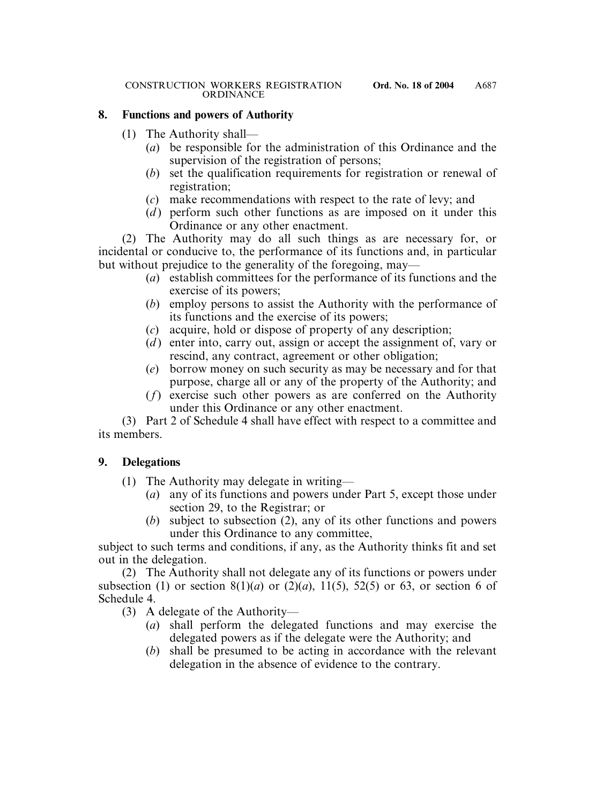# **8. Functions and powers of Authority**

- (1) The Authority shall—
	- (*a*) be responsible for the administration of this Ordinance and the supervision of the registration of persons;
	- (*b*) set the qualification requirements for registration or renewal of registration;
	- (*c*) make recommendations with respect to the rate of levy; and
	- (*d*) perform such other functions as are imposed on it under this Ordinance or any other enactment.

(2) The Authority may do all such things as are necessary for, or incidental or conducive to, the performance of its functions and, in particular but without prejudice to the generality of the foregoing, may—

- (*a*) establish committees for the performance of its functions and the exercise of its powers;
- (*b*) employ persons to assist the Authority with the performance of its functions and the exercise of its powers;
- (*c*) acquire, hold or dispose of property of any description;
- (*d*) enter into, carry out, assign or accept the assignment of, vary or rescind, any contract, agreement or other obligation;
- (*e*) borrow money on such security as may be necessary and for that purpose, charge all or any of the property of the Authority; and
- (*f*) exercise such other powers as are conferred on the Authority under this Ordinance or any other enactment.

(3) Part 2 of Schedule 4 shall have effect with respect to a committee and its members.

# **9. Delegations**

- (1) The Authority may delegate in writing—
	- (*a*) any of its functions and powers under Part 5, except those under section 29, to the Registrar; or
	- (*b*) subject to subsection (2), any of its other functions and powers under this Ordinance to any committee,

subject to such terms and conditions, if any, as the Authority thinks fit and set out in the delegation.

(2) The Authority shall not delegate any of its functions or powers under subsection (1) or section  $8(1)(a)$  or  $(2)(a)$ ,  $11(5)$ ,  $52(5)$  or 63, or section 6 of Schedule 4.

- (3) A delegate of the Authority—
	- (*a*) shall perform the delegated functions and may exercise the delegated powers as if the delegate were the Authority; and
	- (*b*) shall be presumed to be acting in accordance with the relevant delegation in the absence of evidence to the contrary.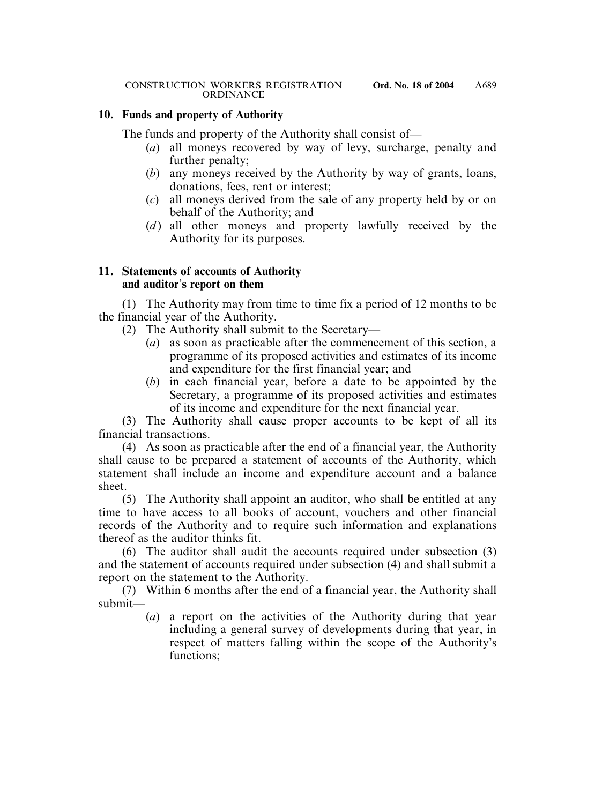# **10. Funds and property of Authority**

The funds and property of the Authority shall consist of—

- (*a*) all moneys recovered by way of levy, surcharge, penalty and further penalty;
- (*b*) any moneys received by the Authority by way of grants, loans, donations, fees, rent or interest;
- (*c*) all moneys derived from the sale of any property held by or on behalf of the Authority; and
- (*d*) all other moneys and property lawfully received by the Authority for its purposes.

# **11. Statements of accounts of Authority and auditor**'**s report on them**

(1) The Authority may from time to time fix a period of 12 months to be the financial year of the Authority.

- (2) The Authority shall submit to the Secretary—
	- (*a*) as soon as practicable after the commencement of this section, a programme of its proposed activities and estimates of its income and expenditure for the first financial year; and
	- (*b*) in each financial year, before a date to be appointed by the Secretary, a programme of its proposed activities and estimates of its income and expenditure for the next financial year.

(3) The Authority shall cause proper accounts to be kept of all its financial transactions.

(4) As soon as practicable after the end of a financial year, the Authority shall cause to be prepared a statement of accounts of the Authority, which statement shall include an income and expenditure account and a balance sheet.

(5) The Authority shall appoint an auditor, who shall be entitled at any time to have access to all books of account, vouchers and other financial records of the Authority and to require such information and explanations thereof as the auditor thinks fit.

(6) The auditor shall audit the accounts required under subsection (3) and the statement of accounts required under subsection (4) and shall submit a report on the statement to the Authority.

(7) Within 6 months after the end of a financial year, the Authority shall submit—

(*a*) a report on the activities of the Authority during that year including a general survey of developments during that year, in respect of matters falling within the scope of the Authority's functions;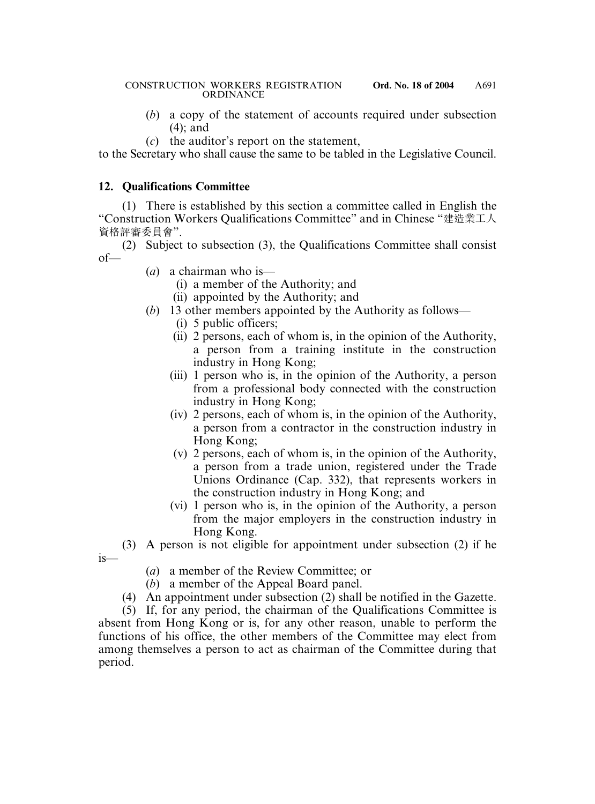#### CONSTRUCTION WORKERS REGISTRATION **Ord. No. 18 of 2004 ORDINANCE**

- (*b*) a copy of the statement of accounts required under subsection (4); and
- (*c*) the auditor's report on the statement,

to the Secretary who shall cause the same to be tabled in the Legislative Council.

# **12. Qualifications Committee**

(1) There is established by this section a committee called in English the "Construction Workers Qualifications Committee" and in Chinese "建造業工人 資格評審委員會".

(2) Subject to subsection (3), the Qualifications Committee shall consist  $of$ 

- (*a*) a chairman who is—
	- (i) a member of the Authority; and
	- (ii) appointed by the Authority; and
- (*b*) 13 other members appointed by the Authority as follows—
	- (i) 5 public officers;
	- (ii) 2 persons, each of whom is, in the opinion of the Authority, a person from a training institute in the construction industry in Hong Kong;
	- (iii) 1 person who is, in the opinion of the Authority, a person from a professional body connected with the construction industry in Hong Kong;
	- (iv) 2 persons, each of whom is, in the opinion of the Authority, a person from a contractor in the construction industry in Hong Kong;
	- (v) 2 persons, each of whom is, in the opinion of the Authority, a person from a trade union, registered under the Trade Unions Ordinance (Cap. 332), that represents workers in the construction industry in Hong Kong; and
	- (vi) 1 person who is, in the opinion of the Authority, a person from the major employers in the construction industry in Hong Kong.

(3) A person is not eligible for appointment under subsection (2) if he is—

- (*a*) a member of the Review Committee; or
- (*b*) a member of the Appeal Board panel.
- (4) An appointment under subsection (2) shall be notified in the Gazette.

(5) If, for any period, the chairman of the Qualifications Committee is absent from Hong Kong or is, for any other reason, unable to perform the functions of his office, the other members of the Committee may elect from among themselves a person to act as chairman of the Committee during that period.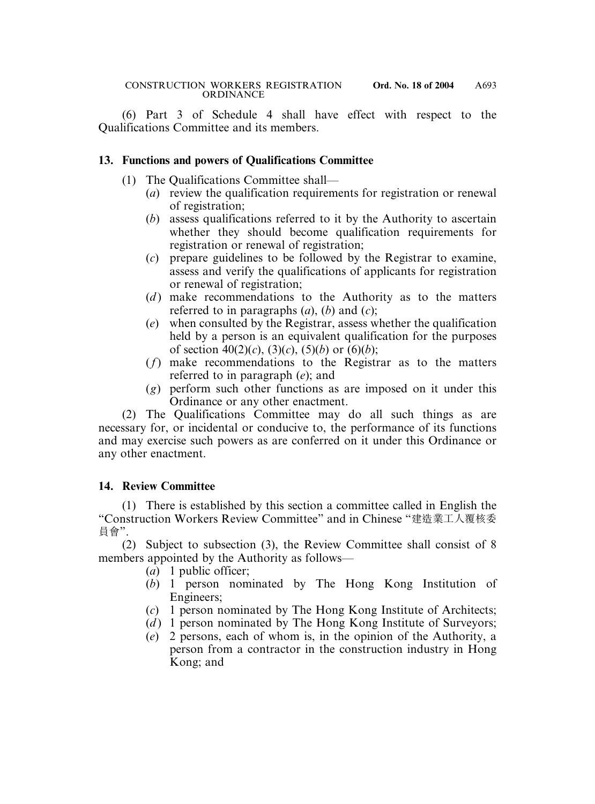(6) Part 3 of Schedule 4 shall have effect with respect to the Qualifications Committee and its members.

### **13. Functions and powers of Qualifications Committee**

- (1) The Qualifications Committee shall—
	- (*a*) review the qualification requirements for registration or renewal of registration;
	- (*b*) assess qualifications referred to it by the Authority to ascertain whether they should become qualification requirements for registration or renewal of registration;
	- (*c*) prepare guidelines to be followed by the Registrar to examine, assess and verify the qualifications of applicants for registration or renewal of registration;
	- (*d*) make recommendations to the Authority as to the matters referred to in paragraphs (*a*), (*b*) and (*c*);
	- (*e*) when consulted by the Registrar, assess whether the qualification held by a person is an equivalent qualification for the purposes of section  $40(2)(c)$ ,  $(3)(c)$ ,  $(5)(b)$  or  $(6)(b)$ ;
	- (*f*) make recommendations to the Registrar as to the matters referred to in paragraph (*e*); and
	- (*g*) perform such other functions as are imposed on it under this Ordinance or any other enactment.

(2) The Qualifications Committee may do all such things as are necessary for, or incidental or conducive to, the performance of its functions and may exercise such powers as are conferred on it under this Ordinance or any other enactment.

# **14. Review Committee**

(1) There is established by this section a committee called in English the "Construction Workers Review Committee" and in Chinese "建造業工人覆核委 員會".

(2) Subject to subsection (3), the Review Committee shall consist of 8 members appointed by the Authority as follows—

- (*a*) 1 public officer;
- (*b*) 1 person nominated by The Hong Kong Institution of Engineers;
- (*c*) 1 person nominated by The Hong Kong Institute of Architects;
- (*d*) 1 person nominated by The Hong Kong Institute of Surveyors;
- (*e*) 2 persons, each of whom is, in the opinion of the Authority, a person from a contractor in the construction industry in Hong Kong; and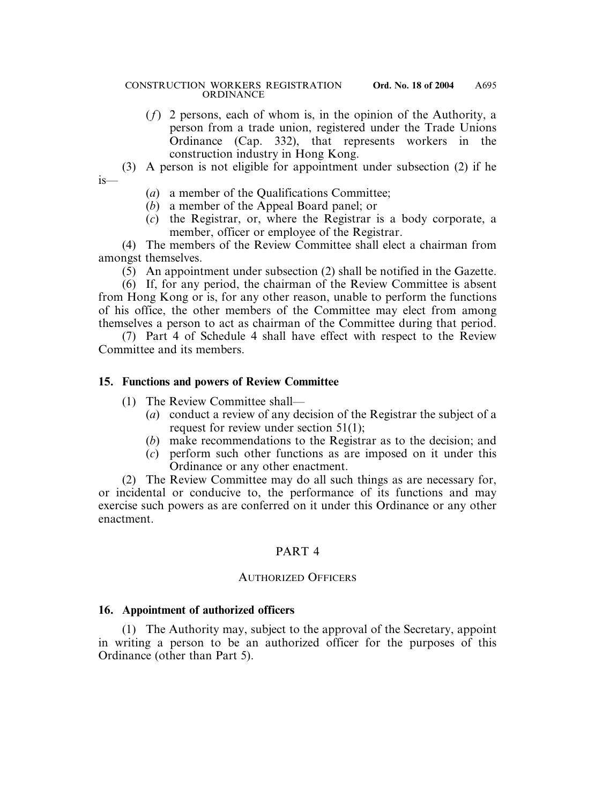- (*f*) 2 persons, each of whom is, in the opinion of the Authority, a person from a trade union, registered under the Trade Unions Ordinance (Cap. 332), that represents workers in the construction industry in Hong Kong.
- (3) A person is not eligible for appointment under subsection (2) if he is—
	- (*a*) a member of the Qualifications Committee;
	- (*b*) a member of the Appeal Board panel; or
	- (*c*) the Registrar, or, where the Registrar is a body corporate, a member, officer or employee of the Registrar.

(4) The members of the Review Committee shall elect a chairman from amongst themselves.

(5) An appointment under subsection (2) shall be notified in the Gazette.

(6) If, for any period, the chairman of the Review Committee is absent from Hong Kong or is, for any other reason, unable to perform the functions of his office, the other members of the Committee may elect from among themselves a person to act as chairman of the Committee during that period.

(7) Part 4 of Schedule 4 shall have effect with respect to the Review Committee and its members.

# **15. Functions and powers of Review Committee**

- (1) The Review Committee shall—
	- (*a*) conduct a review of any decision of the Registrar the subject of a request for review under section 51(1);
	- (*b*) make recommendations to the Registrar as to the decision; and
	- (*c*) perform such other functions as are imposed on it under this Ordinance or any other enactment.

(2) The Review Committee may do all such things as are necessary for, or incidental or conducive to, the performance of its functions and may exercise such powers as are conferred on it under this Ordinance or any other enactment.

# PART 4

### AUTHORIZED OFFICERS

# **16. Appointment of authorized officers**

(1) The Authority may, subject to the approval of the Secretary, appoint in writing a person to be an authorized officer for the purposes of this Ordinance (other than Part 5).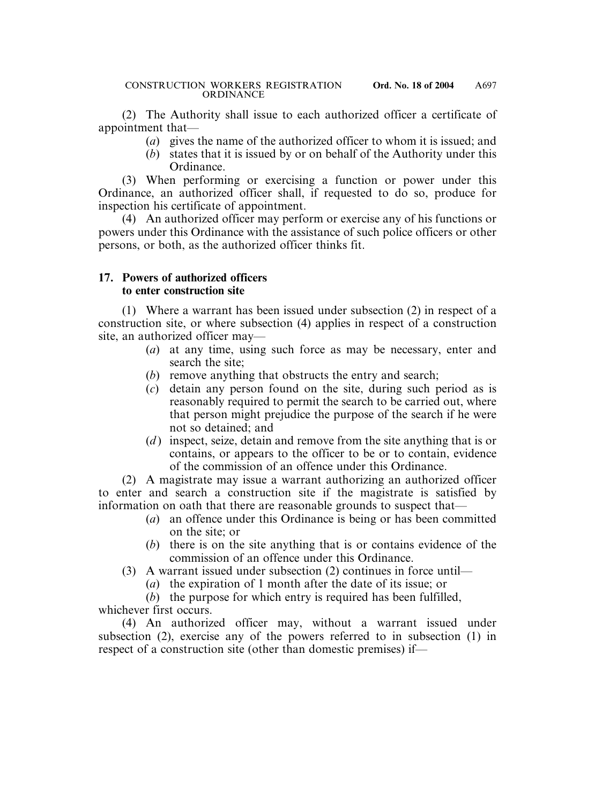(2) The Authority shall issue to each authorized officer a certificate of appointment that—

- (*a*) gives the name of the authorized officer to whom it is issued; and
- (*b*) states that it is issued by or on behalf of the Authority under this Ordinance.

(3) When performing or exercising a function or power under this Ordinance, an authorized officer shall, if requested to do so, produce for inspection his certificate of appointment.

(4) An authorized officer may perform or exercise any of his functions or powers under this Ordinance with the assistance of such police officers or other persons, or both, as the authorized officer thinks fit.

### **17. Powers of authorized officers to enter construction site**

(1) Where a warrant has been issued under subsection (2) in respect of a construction site, or where subsection (4) applies in respect of a construction site, an authorized officer may—

- (*a*) at any time, using such force as may be necessary, enter and search the site;
- (*b*) remove anything that obstructs the entry and search;
- (*c*) detain any person found on the site, during such period as is reasonably required to permit the search to be carried out, where that person might prejudice the purpose of the search if he were not so detained; and
- (*d*) inspect, seize, detain and remove from the site anything that is or contains, or appears to the officer to be or to contain, evidence of the commission of an offence under this Ordinance.

(2) A magistrate may issue a warrant authorizing an authorized officer to enter and search a construction site if the magistrate is satisfied by information on oath that there are reasonable grounds to suspect that—

- (*a*) an offence under this Ordinance is being or has been committed on the site; or
- (*b*) there is on the site anything that is or contains evidence of the commission of an offence under this Ordinance.
- (3) A warrant issued under subsection (2) continues in force until—
	- (*a*) the expiration of 1 month after the date of its issue; or

(*b*) the purpose for which entry is required has been fulfilled, whichever first occurs.

(4) An authorized officer may, without a warrant issued under subsection (2), exercise any of the powers referred to in subsection (1) in respect of a construction site (other than domestic premises) if—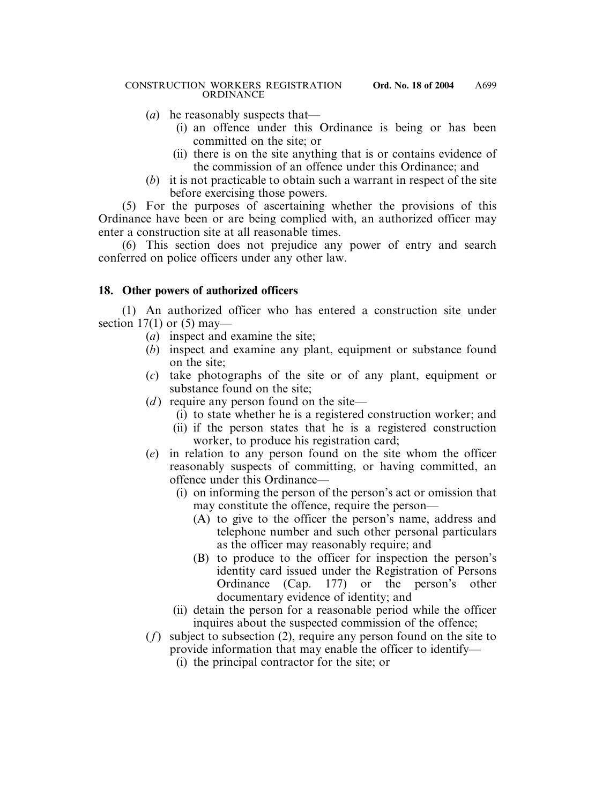- (*a*) he reasonably suspects that—
	- (i) an offence under this Ordinance is being or has been committed on the site; or
	- (ii) there is on the site anything that is or contains evidence of the commission of an offence under this Ordinance; and
- (*b*) it is not practicable to obtain such a warrant in respect of the site before exercising those powers.

(5) For the purposes of ascertaining whether the provisions of this Ordinance have been or are being complied with, an authorized officer may enter a construction site at all reasonable times.

(6) This section does not prejudice any power of entry and search conferred on police officers under any other law.

### **18. Other powers of authorized officers**

(1) An authorized officer who has entered a construction site under section 17(1) or  $(5)$  may—

- (*a*) inspect and examine the site;
- (*b*) inspect and examine any plant, equipment or substance found on the site;
- (*c*) take photographs of the site or of any plant, equipment or substance found on the site;
- $(d)$  require any person found on the site—
	- (i) to state whether he is a registered construction worker; and
	- (ii) if the person states that he is a registered construction worker, to produce his registration card;
- (*e*) in relation to any person found on the site whom the officer reasonably suspects of committing, or having committed, an offence under this Ordinance—
	- (i) on informing the person of the person's act or omission that may constitute the offence, require the person—
		- (A) to give to the officer the person's name, address and telephone number and such other personal particulars as the officer may reasonably require; and
		- (B) to produce to the officer for inspection the person's identity card issued under the Registration of Persons Ordinance (Cap. 177) or the person's other documentary evidence of identity; and
	- (ii) detain the person for a reasonable period while the officer inquires about the suspected commission of the offence;
- (*f*) subject to subsection (2), require any person found on the site to provide information that may enable the officer to identify—
	- (i) the principal contractor for the site; or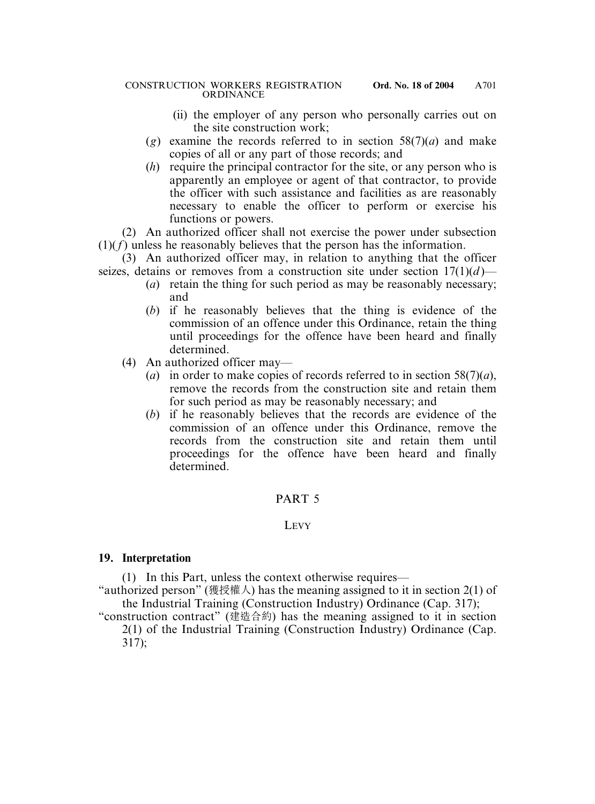- (ii) the employer of any person who personally carries out on the site construction work;
- $(g)$  examine the records referred to in section 58(7)(*a*) and make copies of all or any part of those records; and
- (*h*) require the principal contractor for the site, or any person who is apparently an employee or agent of that contractor, to provide the officer with such assistance and facilities as are reasonably necessary to enable the officer to perform or exercise his functions or powers.

(2) An authorized officer shall not exercise the power under subsection (1)(*f*) unless he reasonably believes that the person has the information.

(3) An authorized officer may, in relation to anything that the officer seizes, detains or removes from a construction site under section  $17(1)(d)$ —

- (*a*) retain the thing for such period as may be reasonably necessary; and
- (*b*) if he reasonably believes that the thing is evidence of the commission of an offence under this Ordinance, retain the thing until proceedings for the offence have been heard and finally determined.
- (4) An authorized officer may—
	- (*a*) in order to make copies of records referred to in section 58(7)(*a*), remove the records from the construction site and retain them for such period as may be reasonably necessary; and
	- (*b*) if he reasonably believes that the records are evidence of the commission of an offence under this Ordinance, remove the records from the construction site and retain them until proceedings for the offence have been heard and finally determined.

# PART 5

### **LEVY**

# **19. Interpretation**

(1) In this Part, unless the context otherwise requires—

"authorized person" (獲授權人) has the meaning assigned to it in section 2(1) of the Industrial Training (Construction Industry) Ordinance (Cap. 317);

"construction contract" (建造合約) has the meaning assigned to it in section 2(1) of the Industrial Training (Construction Industry) Ordinance (Cap. 317);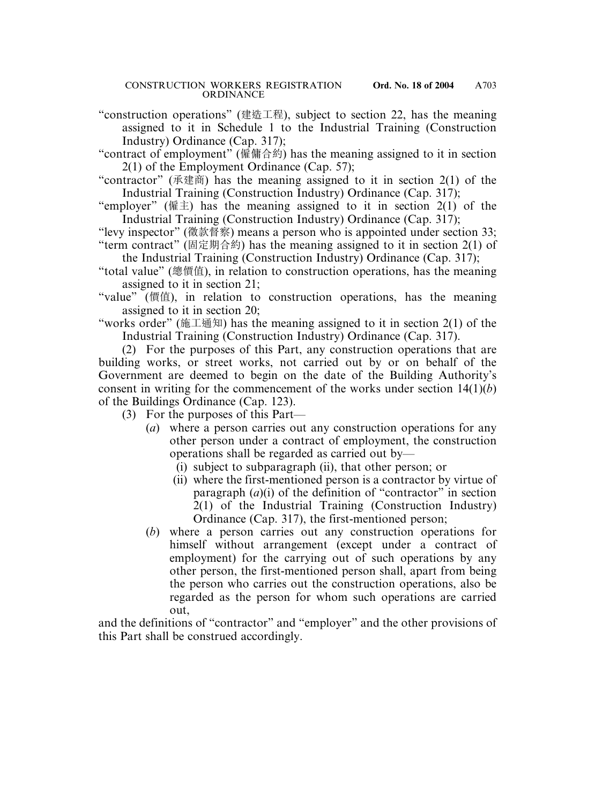"construction operations" (建造工程), subject to section 22, has the meaning assigned to it in Schedule 1 to the Industrial Training (Construction Industry) Ordinance (Cap. 317);

"contract of employment" (僱傭合約) has the meaning assigned to it in section 2(1) of the Employment Ordinance (Cap. 57);

"contractor" (承建商) has the meaning assigned to it in section 2(1) of the Industrial Training (Construction Industry) Ordinance (Cap. 317);

"employer" (僱主) has the meaning assigned to it in section  $2(1)$  of the Industrial Training (Construction Industry) Ordinance (Cap. 317);

"levy inspector" (徵款督察) means a person who is appointed under section 33; "term contract" (固定期合約) has the meaning assigned to it in section 2(1) of

the Industrial Training (Construction Industry) Ordinance (Cap. 317);

"total value" (總價值), in relation to construction operations, has the meaning assigned to it in section 21;

"value" (價值), in relation to construction operations, has the meaning assigned to it in section 20;

"works order" (施工通知) has the meaning assigned to it in section 2(1) of the Industrial Training (Construction Industry) Ordinance (Cap. 317).

(2) For the purposes of this Part, any construction operations that are building works, or street works, not carried out by or on behalf of the Government are deemed to begin on the date of the Building Authority's consent in writing for the commencement of the works under section 14(1)(*b*) of the Buildings Ordinance (Cap. 123).

(3) For the purposes of this Part—

- (*a*) where a person carries out any construction operations for any other person under a contract of employment, the construction operations shall be regarded as carried out by—
	- (i) subject to subparagraph (ii), that other person; or
	- (ii) where the first-mentioned person is a contractor by virtue of paragraph  $(a)(i)$  of the definition of "contractor" in section 2(1) of the Industrial Training (Construction Industry) Ordinance (Cap. 317), the first-mentioned person;
- (*b*) where a person carries out any construction operations for himself without arrangement (except under a contract of employment) for the carrying out of such operations by any other person, the first-mentioned person shall, apart from being the person who carries out the construction operations, also be regarded as the person for whom such operations are carried out,

and the definitions of "contractor" and "employer" and the other provisions of this Part shall be construed accordingly.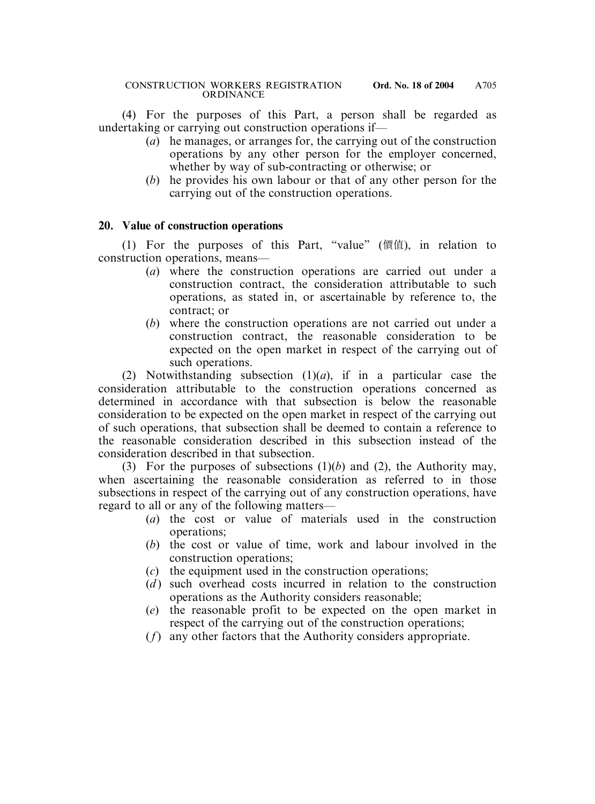(4) For the purposes of this Part, a person shall be regarded as undertaking or carrying out construction operations if—

- (*a*) he manages, or arranges for, the carrying out of the construction operations by any other person for the employer concerned, whether by way of sub-contracting or otherwise; or
- (*b*) he provides his own labour or that of any other person for the carrying out of the construction operations.

### **20. Value of construction operations**

(1) For the purposes of this Part, "value" (價值), in relation to construction operations, means—

- (*a*) where the construction operations are carried out under a construction contract, the consideration attributable to such operations, as stated in, or ascertainable by reference to, the contract; or
- (*b*) where the construction operations are not carried out under a construction contract, the reasonable consideration to be expected on the open market in respect of the carrying out of such operations.

(2) Notwithstanding subsection (1)(*a*), if in a particular case the consideration attributable to the construction operations concerned as determined in accordance with that subsection is below the reasonable consideration to be expected on the open market in respect of the carrying out of such operations, that subsection shall be deemed to contain a reference to the reasonable consideration described in this subsection instead of the consideration described in that subsection.

(3) For the purposes of subsections (1)(*b*) and (2), the Authority may, when ascertaining the reasonable consideration as referred to in those subsections in respect of the carrying out of any construction operations, have regard to all or any of the following matters—

- (*a*) the cost or value of materials used in the construction operations;
- (*b*) the cost or value of time, work and labour involved in the construction operations;
- (*c*) the equipment used in the construction operations;
- (*d*) such overhead costs incurred in relation to the construction operations as the Authority considers reasonable;
- (*e*) the reasonable profit to be expected on the open market in respect of the carrying out of the construction operations;
- (*f*) any other factors that the Authority considers appropriate.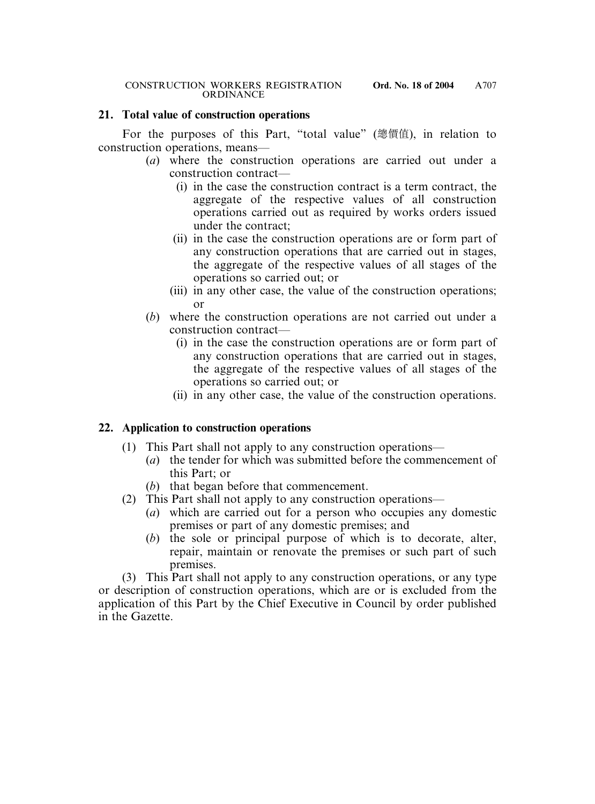### **21. Total value of construction operations**

For the purposes of this Part, "total value" (總價值), in relation to construction operations, means—

- (*a*) where the construction operations are carried out under a construction contract—
	- (i) in the case the construction contract is a term contract, the aggregate of the respective values of all construction operations carried out as required by works orders issued under the contract;
	- (ii) in the case the construction operations are or form part of any construction operations that are carried out in stages, the aggregate of the respective values of all stages of the operations so carried out; or
	- (iii) in any other case, the value of the construction operations; or
- (*b*) where the construction operations are not carried out under a construction contract—
	- (i) in the case the construction operations are or form part of any construction operations that are carried out in stages, the aggregate of the respective values of all stages of the operations so carried out; or
	- (ii) in any other case, the value of the construction operations.

# **22. Application to construction operations**

- (1) This Part shall not apply to any construction operations—
	- (*a*) the tender for which was submitted before the commencement of this Part; or
	- (*b*) that began before that commencement.
- (2) This Part shall not apply to any construction operations—
	- (*a*) which are carried out for a person who occupies any domestic premises or part of any domestic premises; and
	- (*b*) the sole or principal purpose of which is to decorate, alter, repair, maintain or renovate the premises or such part of such premises.

(3) This Part shall not apply to any construction operations, or any type or description of construction operations, which are or is excluded from the application of this Part by the Chief Executive in Council by order published in the Gazette.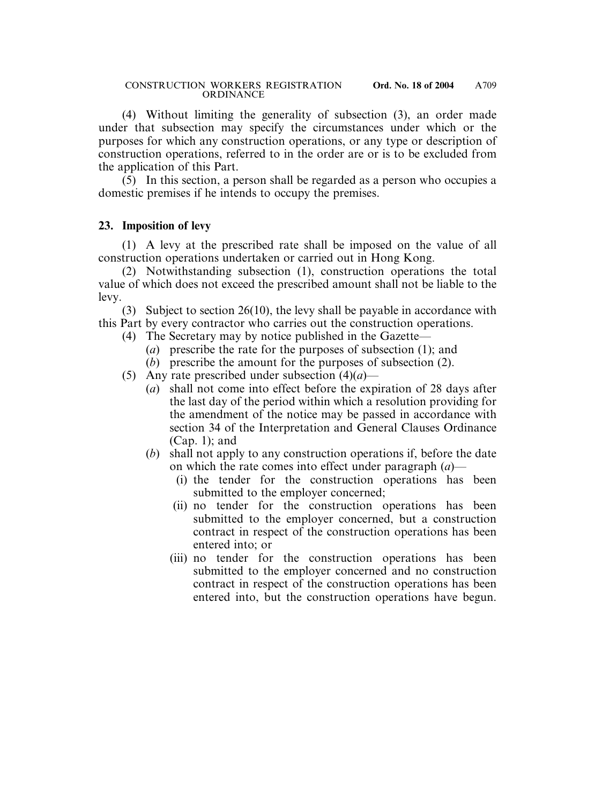(4) Without limiting the generality of subsection (3), an order made under that subsection may specify the circumstances under which or the purposes for which any construction operations, or any type or description of construction operations, referred to in the order are or is to be excluded from the application of this Part.

(5) In this section, a person shall be regarded as a person who occupies a domestic premises if he intends to occupy the premises.

### **23. Imposition of levy**

(1) A levy at the prescribed rate shall be imposed on the value of all construction operations undertaken or carried out in Hong Kong.

(2) Notwithstanding subsection (1), construction operations the total value of which does not exceed the prescribed amount shall not be liable to the levy.

(3) Subject to section 26(10), the levy shall be payable in accordance with this Part by every contractor who carries out the construction operations.

- (4) The Secretary may by notice published in the Gazette—
	- (*a*) prescribe the rate for the purposes of subsection (1); and
	- (*b*) prescribe the amount for the purposes of subsection (2).
- (5) Any rate prescribed under subsection (4)(*a*)—
	- (*a*) shall not come into effect before the expiration of 28 days after the last day of the period within which a resolution providing for the amendment of the notice may be passed in accordance with section 34 of the Interpretation and General Clauses Ordinance (Cap. 1); and
	- (*b*) shall not apply to any construction operations if, before the date on which the rate comes into effect under paragraph (*a*)—
		- (i) the tender for the construction operations has been submitted to the employer concerned;
		- (ii) no tender for the construction operations has been submitted to the employer concerned, but a construction contract in respect of the construction operations has been entered into; or
		- (iii) no tender for the construction operations has been submitted to the employer concerned and no construction contract in respect of the construction operations has been entered into, but the construction operations have begun.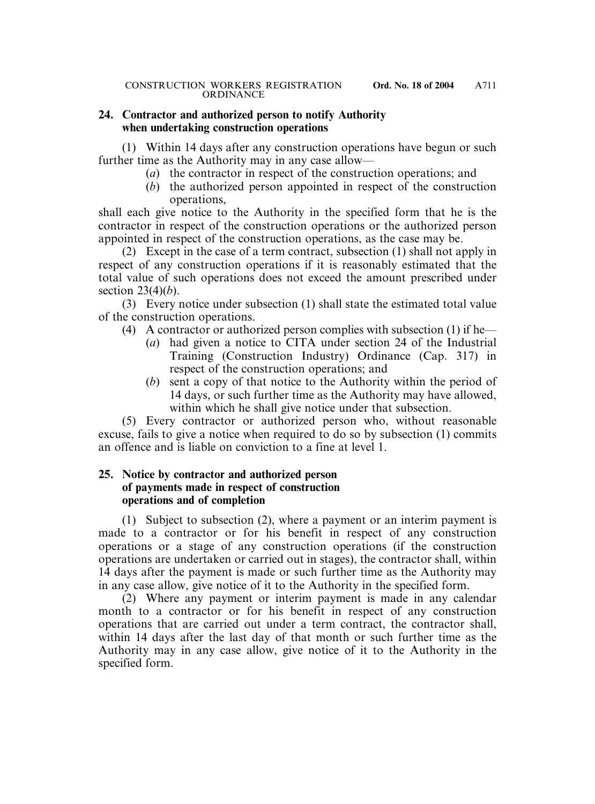### **24. Contractor and authorized person to notify Authority when undertaking construction operations**

(1) Within 14 days after any construction operations have begun or such further time as the Authority may in any case allow—

- (*a*) the contractor in respect of the construction operations; and
- (*b*) the authorized person appointed in respect of the construction operations,

shall each give notice to the Authority in the specified form that he is the contractor in respect of the construction operations or the authorized person appointed in respect of the construction operations, as the case may be.

(2) Except in the case of a term contract, subsection (1) shall not apply in respect of any construction operations if it is reasonably estimated that the total value of such operations does not exceed the amount prescribed under section 23(4)(*b*).

(3) Every notice under subsection (1) shall state the estimated total value of the construction operations.

- (4) A contractor or authorized person complies with subsection (1) if he—
	- (*a*) had given a notice to CITA under section 24 of the Industrial Training (Construction Industry) Ordinance (Cap. 317) in respect of the construction operations; and
	- (*b*) sent a copy of that notice to the Authority within the period of 14 days, or such further time as the Authority may have allowed, within which he shall give notice under that subsection.

(5) Every contractor or authorized person who, without reasonable excuse, fails to give a notice when required to do so by subsection (1) commits an offence and is liable on conviction to a fine at level 1.

### **25. Notice by contractor and authorized person of payments made in respect of construction operations and of completion**

(1) Subject to subsection (2), where a payment or an interim payment is made to a contractor or for his benefit in respect of any construction operations or a stage of any construction operations (if the construction operations are undertaken or carried out in stages), the contractor shall, within 14 days after the payment is made or such further time as the Authority may in any case allow, give notice of it to the Authority in the specified form.

(2) Where any payment or interim payment is made in any calendar month to a contractor or for his benefit in respect of any construction operations that are carried out under a term contract, the contractor shall, within 14 days after the last day of that month or such further time as the Authority may in any case allow, give notice of it to the Authority in the specified form.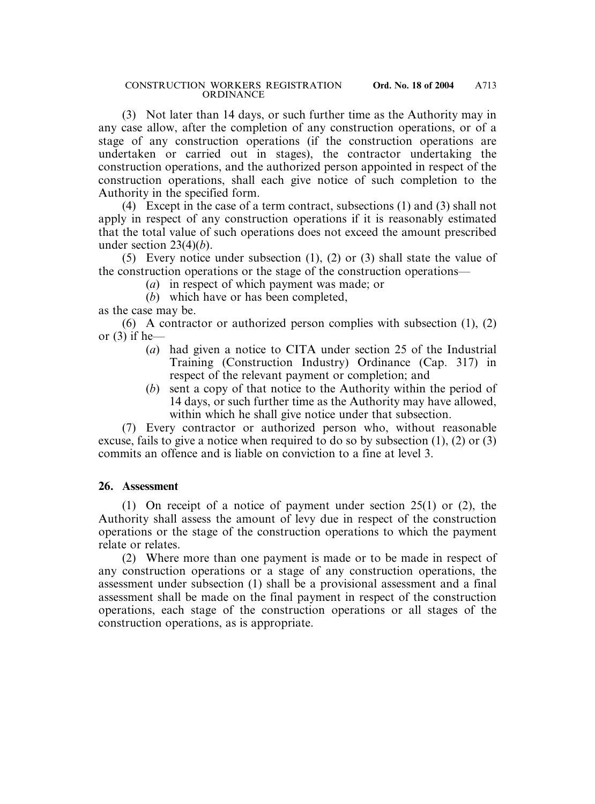(3) Not later than 14 days, or such further time as the Authority may in any case allow, after the completion of any construction operations, or of a stage of any construction operations (if the construction operations are undertaken or carried out in stages), the contractor undertaking the construction operations, and the authorized person appointed in respect of the construction operations, shall each give notice of such completion to the Authority in the specified form.

(4) Except in the case of a term contract, subsections (1) and (3) shall not apply in respect of any construction operations if it is reasonably estimated that the total value of such operations does not exceed the amount prescribed under section 23(4)(*b*).

(5) Every notice under subsection (1), (2) or (3) shall state the value of the construction operations or the stage of the construction operations—

- (*a*) in respect of which payment was made; or
- (*b*) which have or has been completed,

as the case may be.

(6) A contractor or authorized person complies with subsection (1), (2) or  $(3)$  if he-

- (*a*) had given a notice to CITA under section 25 of the Industrial Training (Construction Industry) Ordinance (Cap. 317) in respect of the relevant payment or completion; and
- (*b*) sent a copy of that notice to the Authority within the period of 14 days, or such further time as the Authority may have allowed, within which he shall give notice under that subsection.

(7) Every contractor or authorized person who, without reasonable excuse, fails to give a notice when required to do so by subsection (1), (2) or (3) commits an offence and is liable on conviction to a fine at level 3.

### **26. Assessment**

(1) On receipt of a notice of payment under section 25(1) or (2), the Authority shall assess the amount of levy due in respect of the construction operations or the stage of the construction operations to which the payment relate or relates.

(2) Where more than one payment is made or to be made in respect of any construction operations or a stage of any construction operations, the assessment under subsection (1) shall be a provisional assessment and a final assessment shall be made on the final payment in respect of the construction operations, each stage of the construction operations or all stages of the construction operations, as is appropriate.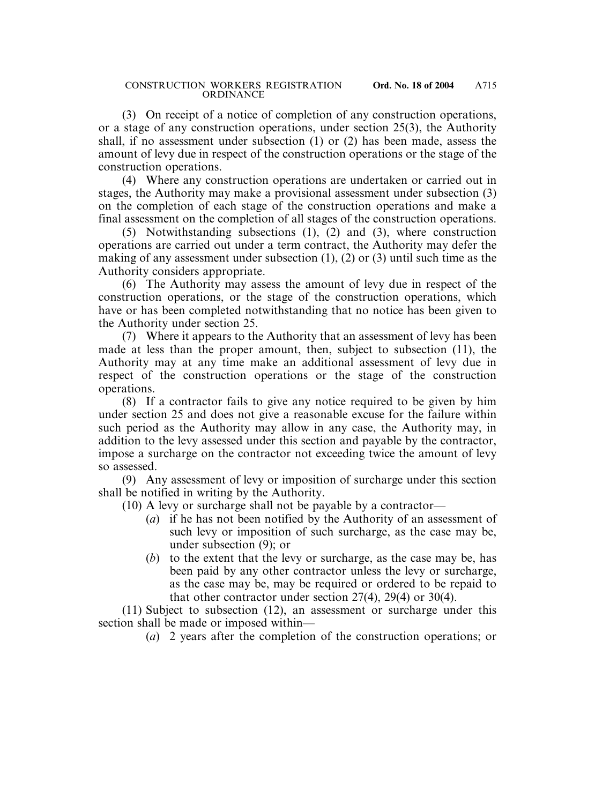(3) On receipt of a notice of completion of any construction operations, or a stage of any construction operations, under section 25(3), the Authority shall, if no assessment under subsection (1) or (2) has been made, assess the amount of levy due in respect of the construction operations or the stage of the construction operations.

(4) Where any construction operations are undertaken or carried out in stages, the Authority may make a provisional assessment under subsection (3) on the completion of each stage of the construction operations and make a final assessment on the completion of all stages of the construction operations.

(5) Notwithstanding subsections (1), (2) and (3), where construction operations are carried out under a term contract, the Authority may defer the making of any assessment under subsection (1), (2) or (3) until such time as the Authority considers appropriate.

(6) The Authority may assess the amount of levy due in respect of the construction operations, or the stage of the construction operations, which have or has been completed notwithstanding that no notice has been given to the Authority under section 25.

(7) Where it appears to the Authority that an assessment of levy has been made at less than the proper amount, then, subject to subsection (11), the Authority may at any time make an additional assessment of levy due in respect of the construction operations or the stage of the construction operations.

(8) If a contractor fails to give any notice required to be given by him under section 25 and does not give a reasonable excuse for the failure within such period as the Authority may allow in any case, the Authority may, in addition to the levy assessed under this section and payable by the contractor, impose a surcharge on the contractor not exceeding twice the amount of levy so assessed.

(9) Any assessment of levy or imposition of surcharge under this section shall be notified in writing by the Authority.

(10) A levy or surcharge shall not be payable by a contractor—

- (*a*) if he has not been notified by the Authority of an assessment of such levy or imposition of such surcharge, as the case may be, under subsection (9); or
- (*b*) to the extent that the levy or surcharge, as the case may be, has been paid by any other contractor unless the levy or surcharge, as the case may be, may be required or ordered to be repaid to that other contractor under section 27(4), 29(4) or 30(4).

(11) Subject to subsection (12), an assessment or surcharge under this section shall be made or imposed within—

(*a*) 2 years after the completion of the construction operations; or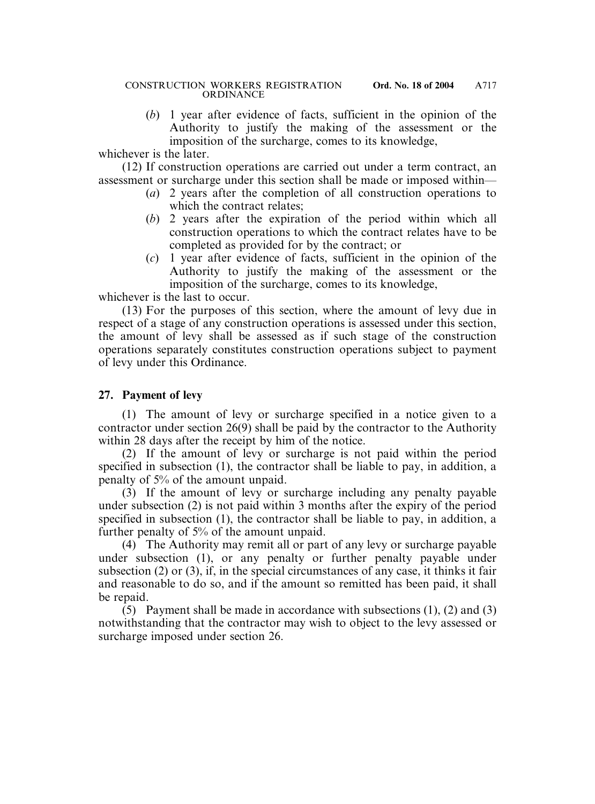(*b*) 1 year after evidence of facts, sufficient in the opinion of the Authority to justify the making of the assessment or the imposition of the surcharge, comes to its knowledge,

whichever is the later.

(12) If construction operations are carried out under a term contract, an assessment or surcharge under this section shall be made or imposed within—

- (*a*) 2 years after the completion of all construction operations to which the contract relates;
- (*b*) 2 years after the expiration of the period within which all construction operations to which the contract relates have to be completed as provided for by the contract; or
- (*c*) 1 year after evidence of facts, sufficient in the opinion of the Authority to justify the making of the assessment or the imposition of the surcharge, comes to its knowledge,

whichever is the last to occur.

(13) For the purposes of this section, where the amount of levy due in respect of a stage of any construction operations is assessed under this section, the amount of levy shall be assessed as if such stage of the construction operations separately constitutes construction operations subject to payment of levy under this Ordinance.

### **27. Payment of levy**

(1) The amount of levy or surcharge specified in a notice given to a contractor under section 26(9) shall be paid by the contractor to the Authority within 28 days after the receipt by him of the notice.

(2) If the amount of levy or surcharge is not paid within the period specified in subsection (1), the contractor shall be liable to pay, in addition, a penalty of 5% of the amount unpaid.

(3) If the amount of levy or surcharge including any penalty payable under subsection (2) is not paid within 3 months after the expiry of the period specified in subsection (1), the contractor shall be liable to pay, in addition, a further penalty of 5% of the amount unpaid.

(4) The Authority may remit all or part of any levy or surcharge payable under subsection (1), or any penalty or further penalty payable under subsection (2) or (3), if, in the special circumstances of any case, it thinks it fair and reasonable to do so, and if the amount so remitted has been paid, it shall be repaid.

(5) Payment shall be made in accordance with subsections (1), (2) and (3) notwithstanding that the contractor may wish to object to the levy assessed or surcharge imposed under section 26.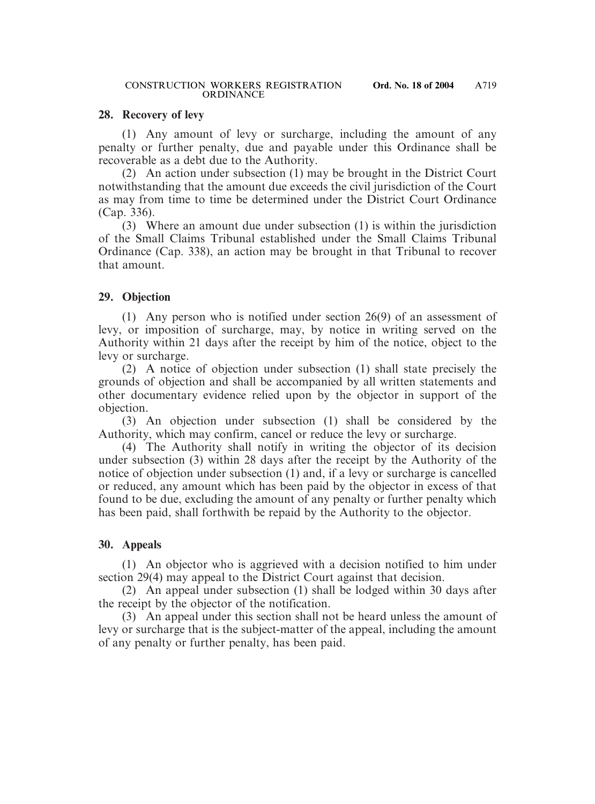### **28. Recovery of levy**

(1) Any amount of levy or surcharge, including the amount of any penalty or further penalty, due and payable under this Ordinance shall be recoverable as a debt due to the Authority.

(2) An action under subsection (1) may be brought in the District Court notwithstanding that the amount due exceeds the civil jurisdiction of the Court as may from time to time be determined under the District Court Ordinance (Cap. 336).

(3) Where an amount due under subsection (1) is within the jurisdiction of the Small Claims Tribunal established under the Small Claims Tribunal Ordinance (Cap. 338), an action may be brought in that Tribunal to recover that amount.

# **29. Objection**

(1) Any person who is notified under section 26(9) of an assessment of levy, or imposition of surcharge, may, by notice in writing served on the Authority within 21 days after the receipt by him of the notice, object to the levy or surcharge.

(2) A notice of objection under subsection (1) shall state precisely the grounds of objection and shall be accompanied by all written statements and other documentary evidence relied upon by the objector in support of the objection.

(3) An objection under subsection (1) shall be considered by the Authority, which may confirm, cancel or reduce the levy or surcharge.

(4) The Authority shall notify in writing the objector of its decision under subsection (3) within 28 days after the receipt by the Authority of the notice of objection under subsection (1) and, if a levy or surcharge is cancelled or reduced, any amount which has been paid by the objector in excess of that found to be due, excluding the amount of any penalty or further penalty which has been paid, shall forthwith be repaid by the Authority to the objector.

# **30. Appeals**

(1) An objector who is aggrieved with a decision notified to him under section 29(4) may appeal to the District Court against that decision.

(2) An appeal under subsection (1) shall be lodged within 30 days after the receipt by the objector of the notification.

(3) An appeal under this section shall not be heard unless the amount of levy or surcharge that is the subject-matter of the appeal, including the amount of any penalty or further penalty, has been paid.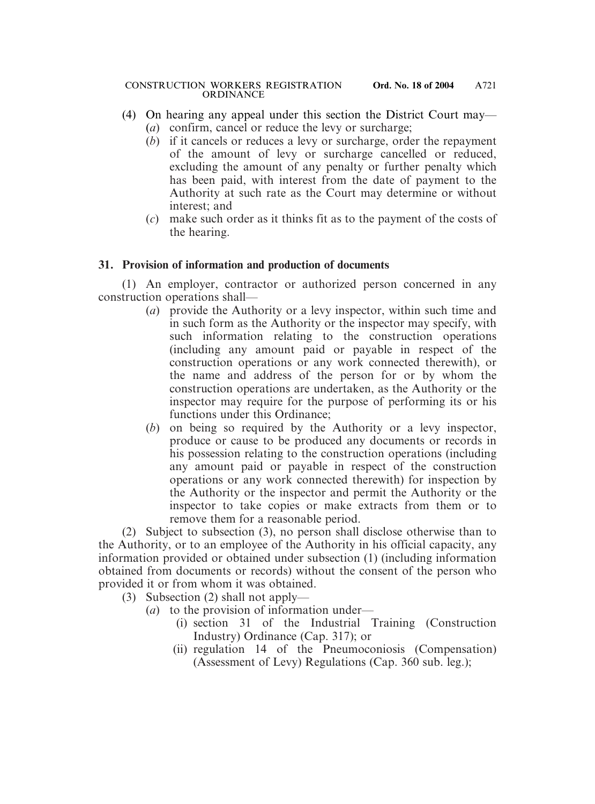- (4) On hearing any appeal under this section the District Court may—
	- (*a*) confirm, cancel or reduce the levy or surcharge;
	- (*b*) if it cancels or reduces a levy or surcharge, order the repayment of the amount of levy or surcharge cancelled or reduced, excluding the amount of any penalty or further penalty which has been paid, with interest from the date of payment to the Authority at such rate as the Court may determine or without interest; and
	- (*c*) make such order as it thinks fit as to the payment of the costs of the hearing.

# **31. Provision of information and production of documents**

(1) An employer, contractor or authorized person concerned in any construction operations shall—

- (*a*) provide the Authority or a levy inspector, within such time and in such form as the Authority or the inspector may specify, with such information relating to the construction operations (including any amount paid or payable in respect of the construction operations or any work connected therewith), or the name and address of the person for or by whom the construction operations are undertaken, as the Authority or the inspector may require for the purpose of performing its or his functions under this Ordinance;
- (*b*) on being so required by the Authority or a levy inspector, produce or cause to be produced any documents or records in his possession relating to the construction operations (including any amount paid or payable in respect of the construction operations or any work connected therewith) for inspection by the Authority or the inspector and permit the Authority or the inspector to take copies or make extracts from them or to remove them for a reasonable period.

(2) Subject to subsection (3), no person shall disclose otherwise than to the Authority, or to an employee of the Authority in his official capacity, any information provided or obtained under subsection (1) (including information obtained from documents or records) without the consent of the person who provided it or from whom it was obtained.

- (3) Subsection (2) shall not apply—
	- (*a*) to the provision of information under—
		- (i) section 31 of the Industrial Training (Construction Industry) Ordinance (Cap. 317); or
		- (ii) regulation 14 of the Pneumoconiosis (Compensation) (Assessment of Levy) Regulations (Cap. 360 sub. leg.);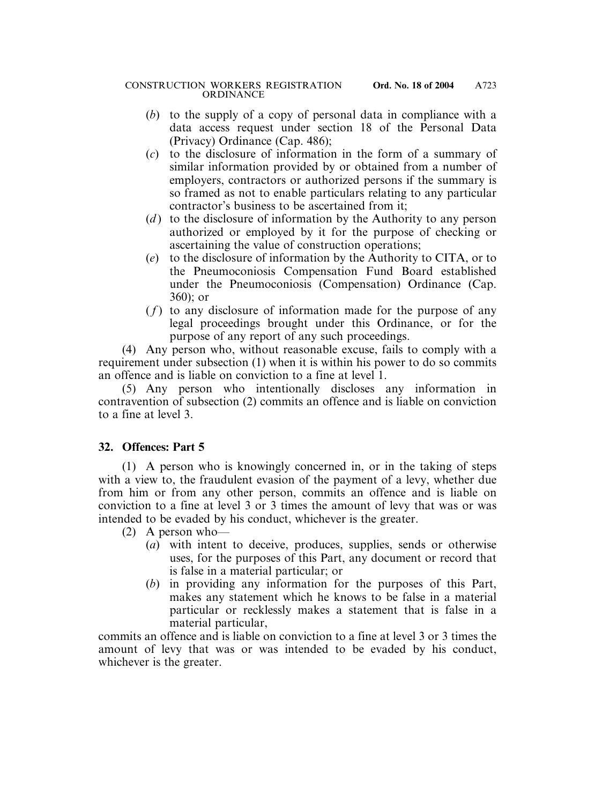- (*b*) to the supply of a copy of personal data in compliance with a data access request under section 18 of the Personal Data (Privacy) Ordinance (Cap. 486);
- (*c*) to the disclosure of information in the form of a summary of similar information provided by or obtained from a number of employers, contractors or authorized persons if the summary is so framed as not to enable particulars relating to any particular contractor's business to be ascertained from it;
- (*d*) to the disclosure of information by the Authority to any person authorized or employed by it for the purpose of checking or ascertaining the value of construction operations;
- (*e*) to the disclosure of information by the Authority to CITA, or to the Pneumoconiosis Compensation Fund Board established under the Pneumoconiosis (Compensation) Ordinance (Cap. 360); or
- $(f)$  to any disclosure of information made for the purpose of any legal proceedings brought under this Ordinance, or for the purpose of any report of any such proceedings.

(4) Any person who, without reasonable excuse, fails to comply with a requirement under subsection (1) when it is within his power to do so commits an offence and is liable on conviction to a fine at level 1.

(5) Any person who intentionally discloses any information in contravention of subsection (2) commits an offence and is liable on conviction to a fine at level 3.

# **32. Offences: Part 5**

(1) A person who is knowingly concerned in, or in the taking of steps with a view to, the fraudulent evasion of the payment of a levy, whether due from him or from any other person, commits an offence and is liable on conviction to a fine at level 3 or 3 times the amount of levy that was or was intended to be evaded by his conduct, whichever is the greater.

- (2) A person who—
	- (*a*) with intent to deceive, produces, supplies, sends or otherwise uses, for the purposes of this Part, any document or record that is false in a material particular; or
	- (*b*) in providing any information for the purposes of this Part, makes any statement which he knows to be false in a material particular or recklessly makes a statement that is false in a material particular,

commits an offence and is liable on conviction to a fine at level 3 or 3 times the amount of levy that was or was intended to be evaded by his conduct, whichever is the greater.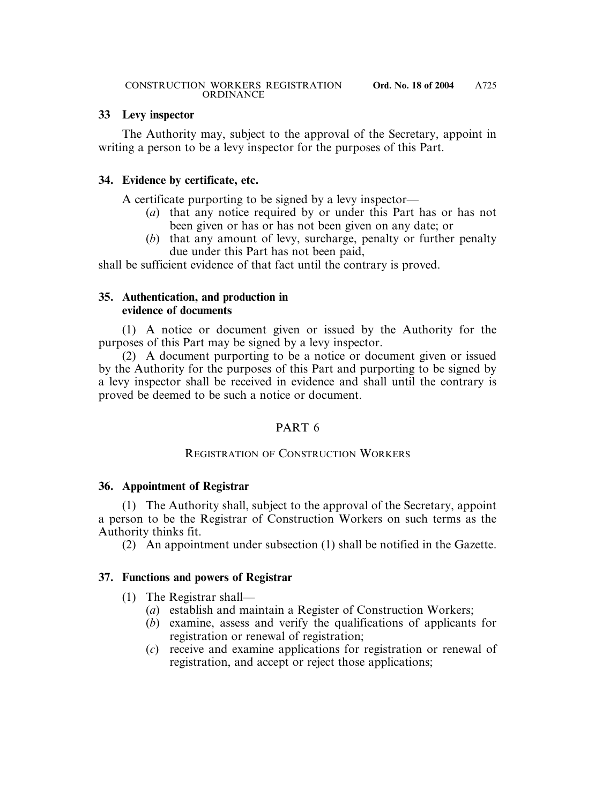# **33 Levy inspector**

The Authority may, subject to the approval of the Secretary, appoint in writing a person to be a levy inspector for the purposes of this Part.

# **34. Evidence by certificate, etc.**

A certificate purporting to be signed by a levy inspector—

- (*a*) that any notice required by or under this Part has or has not been given or has or has not been given on any date; or
- (*b*) that any amount of levy, surcharge, penalty or further penalty due under this Part has not been paid,

shall be sufficient evidence of that fact until the contrary is proved.

### **35. Authentication, and production in evidence of documents**

(1) A notice or document given or issued by the Authority for the purposes of this Part may be signed by a levy inspector.

(2) A document purporting to be a notice or document given or issued by the Authority for the purposes of this Part and purporting to be signed by a levy inspector shall be received in evidence and shall until the contrary is proved be deemed to be such a notice or document.

# PART 6

# REGISTRATION OF CONSTRUCTION WORKERS

# **36. Appointment of Registrar**

(1) The Authority shall, subject to the approval of the Secretary, appoint a person to be the Registrar of Construction Workers on such terms as the Authority thinks fit.

(2) An appointment under subsection (1) shall be notified in the Gazette.

# **37. Functions and powers of Registrar**

- (1) The Registrar shall—
	- (*a*) establish and maintain a Register of Construction Workers;
	- (*b*) examine, assess and verify the qualifications of applicants for registration or renewal of registration;
	- (*c*) receive and examine applications for registration or renewal of registration, and accept or reject those applications;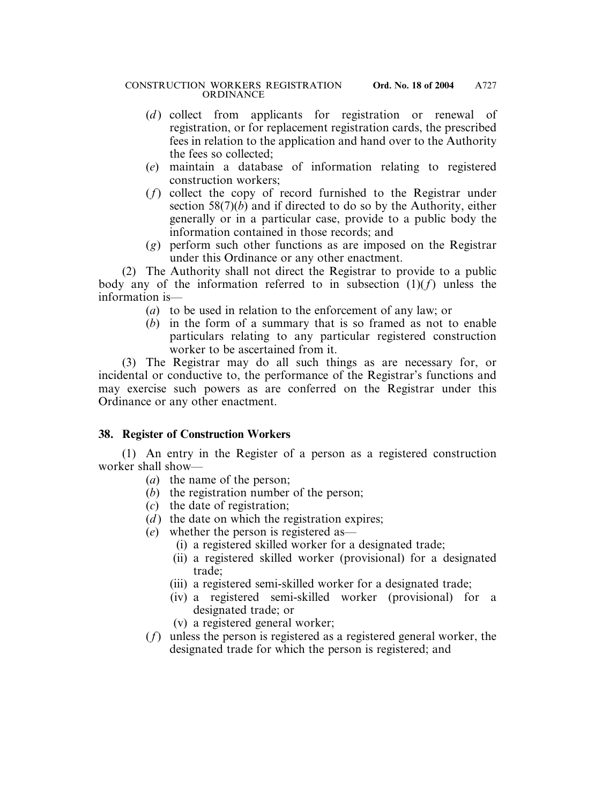- (*d*) collect from applicants for registration or renewal of registration, or for replacement registration cards, the prescribed fees in relation to the application and hand over to the Authority the fees so collected;
- (*e*) maintain a database of information relating to registered construction workers;
- (*f*) collect the copy of record furnished to the Registrar under section 58(7)(*b*) and if directed to do so by the Authority, either generally or in a particular case, provide to a public body the information contained in those records; and
- (*g*) perform such other functions as are imposed on the Registrar under this Ordinance or any other enactment.

(2) The Authority shall not direct the Registrar to provide to a public body any of the information referred to in subsection  $(1)(f)$  unless the information is—

- (*a*) to be used in relation to the enforcement of any law; or
- (*b*) in the form of a summary that is so framed as not to enable particulars relating to any particular registered construction worker to be ascertained from it.

(3) The Registrar may do all such things as are necessary for, or incidental or conductive to, the performance of the Registrar's functions and may exercise such powers as are conferred on the Registrar under this Ordinance or any other enactment.

# **38. Register of Construction Workers**

(1) An entry in the Register of a person as a registered construction worker shall show—

- (*a*) the name of the person;
- (*b*) the registration number of the person;
- (*c*) the date of registration;
- $(d)$  the date on which the registration expires;
- (*e*) whether the person is registered as—
	- (i) a registered skilled worker for a designated trade;
	- (ii) a registered skilled worker (provisional) for a designated trade;
	- (iii) a registered semi-skilled worker for a designated trade;
	- (iv) a registered semi-skilled worker (provisional) for a designated trade; or
	- (v) a registered general worker;
- (*f*) unless the person is registered as a registered general worker, the designated trade for which the person is registered; and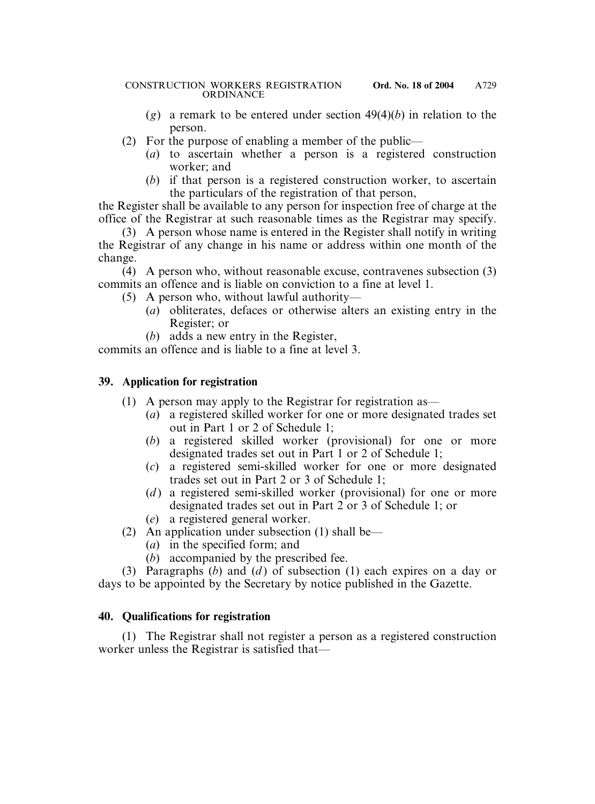- (*g*) a remark to be entered under section 49(4)(*b*) in relation to the person.
- (2) For the purpose of enabling a member of the public—
	- (*a*) to ascertain whether a person is a registered construction worker; and
	- (*b*) if that person is a registered construction worker, to ascertain the particulars of the registration of that person,

the Register shall be available to any person for inspection free of charge at the office of the Registrar at such reasonable times as the Registrar may specify.

(3) A person whose name is entered in the Register shall notify in writing the Registrar of any change in his name or address within one month of the change.

(4) A person who, without reasonable excuse, contravenes subsection (3) commits an offence and is liable on conviction to a fine at level 1.

- (5) A person who, without lawful authority—
	- (*a*) obliterates, defaces or otherwise alters an existing entry in the Register; or
	- (*b*) adds a new entry in the Register,

commits an offence and is liable to a fine at level 3.

# **39. Application for registration**

- (1) A person may apply to the Registrar for registration as—
	- (*a*) a registered skilled worker for one or more designated trades set out in Part 1 or 2 of Schedule 1;
	- (*b*) a registered skilled worker (provisional) for one or more designated trades set out in Part 1 or 2 of Schedule 1;
	- (*c*) a registered semi-skilled worker for one or more designated trades set out in Part 2 or 3 of Schedule 1;
	- (*d*) a registered semi-skilled worker (provisional) for one or more designated trades set out in Part 2 or 3 of Schedule 1; or
	- (*e*) a registered general worker.
- (2) An application under subsection (1) shall be—
	- (*a*) in the specified form; and
	- (*b*) accompanied by the prescribed fee.

(3) Paragraphs (*b*) and (*d* ) of subsection (1) each expires on a day or days to be appointed by the Secretary by notice published in the Gazette.

# **40. Qualifications for registration**

(1) The Registrar shall not register a person as a registered construction worker unless the Registrar is satisfied that—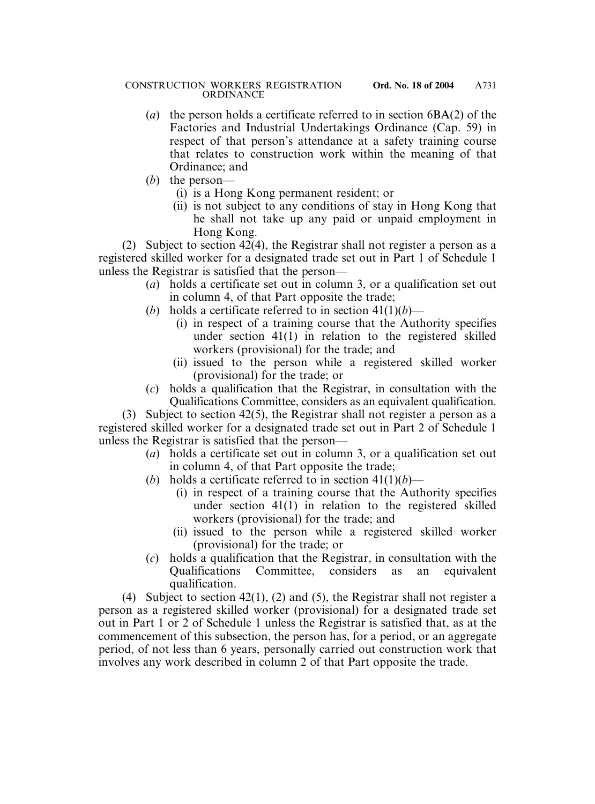- (*a*) the person holds a certificate referred to in section 6BA(2) of the Factories and Industrial Undertakings Ordinance (Cap. 59) in respect of that person's attendance at a safety training course that relates to construction work within the meaning of that Ordinance; and
- (*b*) the person—
	- (i) is a Hong Kong permanent resident; or
	- (ii) is not subject to any conditions of stay in Hong Kong that he shall not take up any paid or unpaid employment in Hong Kong.

(2) Subject to section 42(4), the Registrar shall not register a person as a registered skilled worker for a designated trade set out in Part 1 of Schedule 1 unless the Registrar is satisfied that the person—

- (*a*) holds a certificate set out in column 3, or a qualification set out in column 4, of that Part opposite the trade;
- (*b*) holds a certificate referred to in section  $41(1)(b)$ 
	- (i) in respect of a training course that the Authority specifies under section 41(1) in relation to the registered skilled workers (provisional) for the trade; and
	- (ii) issued to the person while a registered skilled worker (provisional) for the trade; or
- (*c*) holds a qualification that the Registrar, in consultation with the Qualifications Committee, considers as an equivalent qualification.

(3) Subject to section 42(5), the Registrar shall not register a person as a registered skilled worker for a designated trade set out in Part 2 of Schedule 1 unless the Registrar is satisfied that the person—

- (*a*) holds a certificate set out in column 3, or a qualification set out in column 4, of that Part opposite the trade;
- (*b*) holds a certificate referred to in section  $41(1)(b)$ 
	- (i) in respect of a training course that the Authority specifies under section 41(1) in relation to the registered skilled workers (provisional) for the trade; and
	- (ii) issued to the person while a registered skilled worker (provisional) for the trade; or
- (*c*) holds a qualification that the Registrar, in consultation with the Qualifications Committee, considers as an equivalent qualification.

(4) Subject to section 42(1), (2) and (5), the Registrar shall not register a person as a registered skilled worker (provisional) for a designated trade set out in Part 1 or 2 of Schedule 1 unless the Registrar is satisfied that, as at the commencement of this subsection, the person has, for a period, or an aggregate period, of not less than 6 years, personally carried out construction work that involves any work described in column 2 of that Part opposite the trade.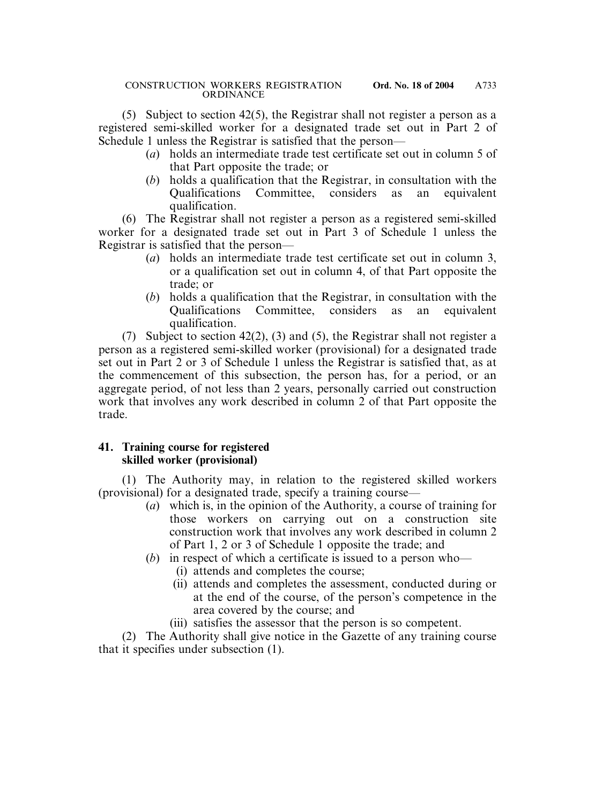(5) Subject to section 42(5), the Registrar shall not register a person as a registered semi-skilled worker for a designated trade set out in Part 2 of Schedule 1 unless the Registrar is satisfied that the person—

- (*a*) holds an intermediate trade test certificate set out in column 5 of that Part opposite the trade; or
- (*b*) holds a qualification that the Registrar, in consultation with the Qualifications Committee, considers as an equivalent qualification.

(6) The Registrar shall not register a person as a registered semi-skilled worker for a designated trade set out in Part 3 of Schedule 1 unless the Registrar is satisfied that the person—

- (*a*) holds an intermediate trade test certificate set out in column 3, or a qualification set out in column 4, of that Part opposite the trade; or
- (*b*) holds a qualification that the Registrar, in consultation with the Qualifications Committee, considers as an equivalent qualification.

(7) Subject to section 42(2), (3) and (5), the Registrar shall not register a person as a registered semi-skilled worker (provisional) for a designated trade set out in Part 2 or 3 of Schedule 1 unless the Registrar is satisfied that, as at the commencement of this subsection, the person has, for a period, or an aggregate period, of not less than 2 years, personally carried out construction work that involves any work described in column 2 of that Part opposite the trade.

### **41. Training course for registered skilled worker (provisional)**

(1) The Authority may, in relation to the registered skilled workers (provisional) for a designated trade, specify a training course—

- (*a*) which is, in the opinion of the Authority, a course of training for those workers on carrying out on a construction site construction work that involves any work described in column 2 of Part 1, 2 or 3 of Schedule 1 opposite the trade; and
- (*b*) in respect of which a certificate is issued to a person who—
	- (i) attends and completes the course;
	- (ii) attends and completes the assessment, conducted during or at the end of the course, of the person's competence in the area covered by the course; and
	- (iii) satisfies the assessor that the person is so competent.

(2) The Authority shall give notice in the Gazette of any training course that it specifies under subsection (1).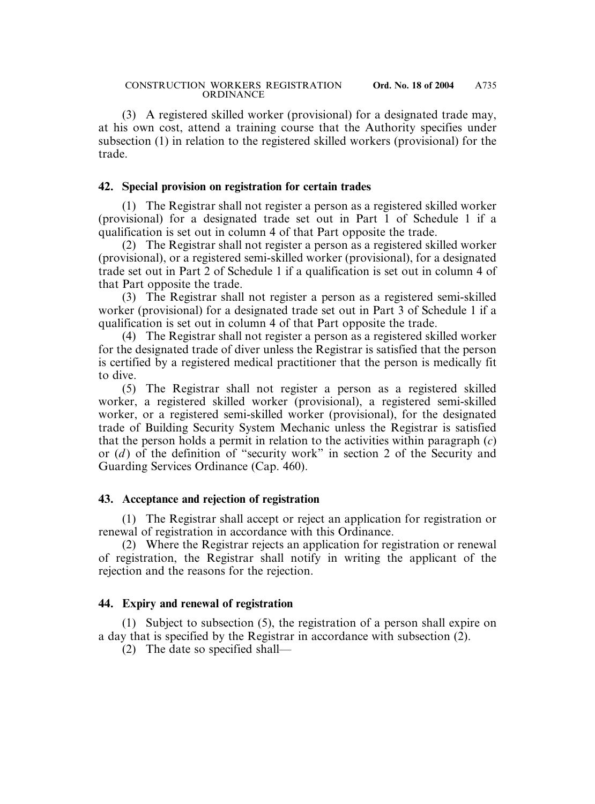(3) A registered skilled worker (provisional) for a designated trade may, at his own cost, attend a training course that the Authority specifies under subsection (1) in relation to the registered skilled workers (provisional) for the trade.

#### **42. Special provision on registration for certain trades**

(1) The Registrar shall not register a person as a registered skilled worker (provisional) for a designated trade set out in Part 1 of Schedule 1 if a qualification is set out in column 4 of that Part opposite the trade.

(2) The Registrar shall not register a person as a registered skilled worker (provisional), or a registered semi-skilled worker (provisional), for a designated trade set out in Part 2 of Schedule 1 if a qualification is set out in column 4 of that Part opposite the trade.

(3) The Registrar shall not register a person as a registered semi-skilled worker (provisional) for a designated trade set out in Part 3 of Schedule 1 if a qualification is set out in column 4 of that Part opposite the trade.

(4) The Registrar shall not register a person as a registered skilled worker for the designated trade of diver unless the Registrar is satisfied that the person is certified by a registered medical practitioner that the person is medically fit to dive.

(5) The Registrar shall not register a person as a registered skilled worker, a registered skilled worker (provisional), a registered semi-skilled worker, or a registered semi-skilled worker (provisional), for the designated trade of Building Security System Mechanic unless the Registrar is satisfied that the person holds a permit in relation to the activities within paragraph (*c*) or (*d* ) of the definition of "security work" in section 2 of the Security and Guarding Services Ordinance (Cap. 460).

#### **43. Acceptance and rejection of registration**

(1) The Registrar shall accept or reject an application for registration or renewal of registration in accordance with this Ordinance.

(2) Where the Registrar rejects an application for registration or renewal of registration, the Registrar shall notify in writing the applicant of the rejection and the reasons for the rejection.

### **44. Expiry and renewal of registration**

(1) Subject to subsection (5), the registration of a person shall expire on a day that is specified by the Registrar in accordance with subsection (2).

(2) The date so specified shall—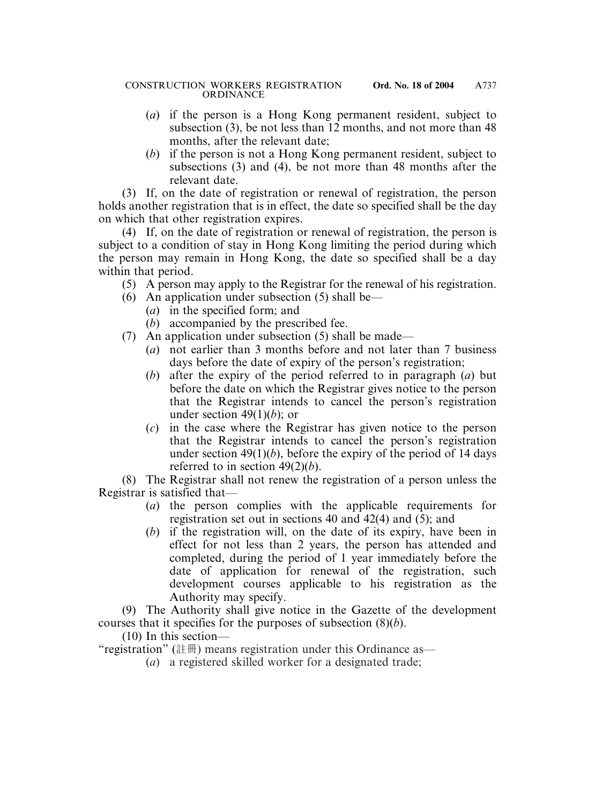- (*a*) if the person is a Hong Kong permanent resident, subject to subsection (3), be not less than 12 months, and not more than 48 months, after the relevant date;
- (*b*) if the person is not a Hong Kong permanent resident, subject to subsections (3) and (4), be not more than 48 months after the relevant date.

(3) If, on the date of registration or renewal of registration, the person holds another registration that is in effect, the date so specified shall be the day on which that other registration expires.

(4) If, on the date of registration or renewal of registration, the person is subject to a condition of stay in Hong Kong limiting the period during which the person may remain in Hong Kong, the date so specified shall be a day within that period.

- (5) A person may apply to the Registrar for the renewal of his registration.
- (6) An application under subsection (5) shall be—
	- (*a*) in the specified form; and
	- (*b*) accompanied by the prescribed fee.
- (7) An application under subsection (5) shall be made—
	- (*a*) not earlier than 3 months before and not later than 7 business days before the date of expiry of the person's registration;
	- (*b*) after the expiry of the period referred to in paragraph (*a*) but before the date on which the Registrar gives notice to the person that the Registrar intends to cancel the person's registration under section 49(1)(*b*); or
	- (*c*) in the case where the Registrar has given notice to the person that the Registrar intends to cancel the person's registration under section  $49(1)(b)$ , before the expiry of the period of 14 days referred to in section 49(2)(*b*).

(8) The Registrar shall not renew the registration of a person unless the Registrar is satisfied that—

- (*a*) the person complies with the applicable requirements for registration set out in sections 40 and 42(4) and (5); and
- (*b*) if the registration will, on the date of its expiry, have been in effect for not less than 2 years, the person has attended and completed, during the period of 1 year immediately before the date of application for renewal of the registration, such development courses applicable to his registration as the Authority may specify.

(9) The Authority shall give notice in the Gazette of the development courses that it specifies for the purposes of subsection (8)(*b*).

(10) In this section—

"registration" (註冊) means registration under this Ordinance as—

(*a*) a registered skilled worker for a designated trade;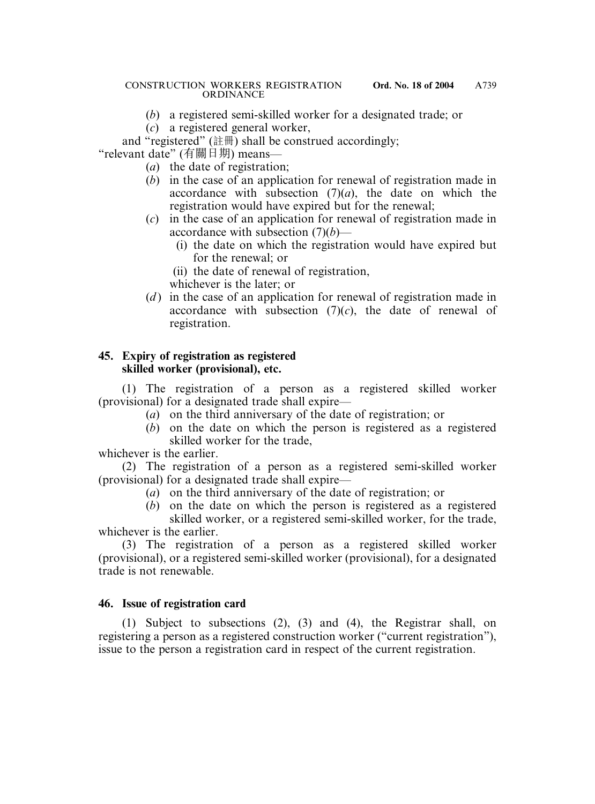- (*b*) a registered semi-skilled worker for a designated trade; or
- (*c*) a registered general worker,

and "registered"  $(\ddot{\ddot{\text{t}}} \ddot{\text{t}} \ddot{\text{m}})$  shall be construed accordingly; "relevant date" (有關日期) means—

- (*a*) the date of registration;
- (*b*) in the case of an application for renewal of registration made in accordance with subsection  $(7)(a)$ , the date on which the registration would have expired but for the renewal;
- (*c*) in the case of an application for renewal of registration made in accordance with subsection (7)(*b*)—
	- (i) the date on which the registration would have expired but for the renewal; or
	- (ii) the date of renewal of registration,
	- whichever is the later; or
- (*d*) in the case of an application for renewal of registration made in accordance with subsection  $(7)(c)$ , the date of renewal of registration.

# **45. Expiry of registration as registered skilled worker (provisional), etc.**

(1) The registration of a person as a registered skilled worker (provisional) for a designated trade shall expire—

- (*a*) on the third anniversary of the date of registration; or
- (*b*) on the date on which the person is registered as a registered skilled worker for the trade,

whichever is the earlier.

(2) The registration of a person as a registered semi-skilled worker (provisional) for a designated trade shall expire—

- (*a*) on the third anniversary of the date of registration; or
- (*b*) on the date on which the person is registered as a registered skilled worker, or a registered semi-skilled worker, for the trade,

whichever is the earlier.

(3) The registration of a person as a registered skilled worker (provisional), or a registered semi-skilled worker (provisional), for a designated trade is not renewable.

### **46. Issue of registration card**

(1) Subject to subsections (2), (3) and (4), the Registrar shall, on registering a person as a registered construction worker ("current registration"), issue to the person a registration card in respect of the current registration.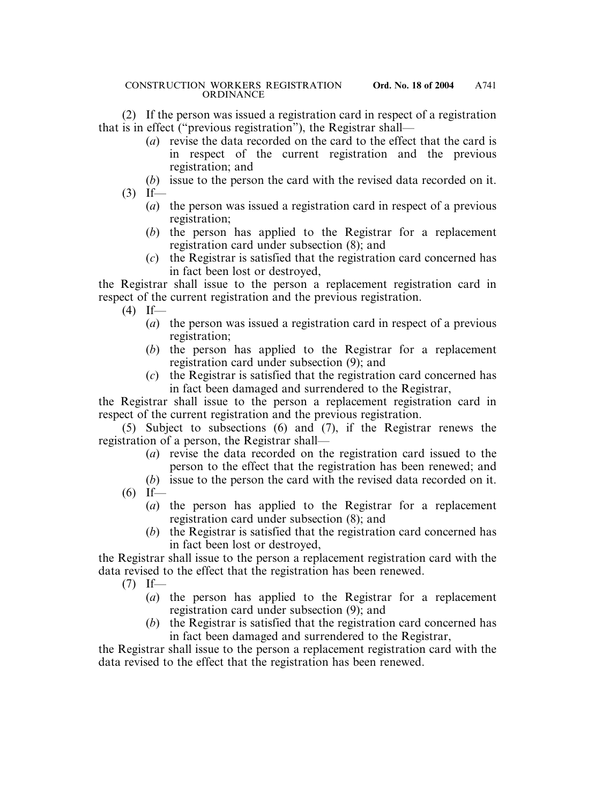(2) If the person was issued a registration card in respect of a registration that is in effect ("previous registration"), the Registrar shall—

- (*a*) revise the data recorded on the card to the effect that the card is in respect of the current registration and the previous registration; and
- (*b*) issue to the person the card with the revised data recorded on it.
- $(3)$  If—
	- (*a*) the person was issued a registration card in respect of a previous registration;
	- (*b*) the person has applied to the Registrar for a replacement registration card under subsection (8); and
	- (*c*) the Registrar is satisfied that the registration card concerned has in fact been lost or destroyed,

the Registrar shall issue to the person a replacement registration card in respect of the current registration and the previous registration.

- $(4)$  If—
	- (*a*) the person was issued a registration card in respect of a previous registration;
	- (*b*) the person has applied to the Registrar for a replacement registration card under subsection (9); and
	- (*c*) the Registrar is satisfied that the registration card concerned has in fact been damaged and surrendered to the Registrar,

the Registrar shall issue to the person a replacement registration card in respect of the current registration and the previous registration.

(5) Subject to subsections (6) and (7), if the Registrar renews the registration of a person, the Registrar shall—

- (*a*) revise the data recorded on the registration card issued to the person to the effect that the registration has been renewed; and
- (*b*) issue to the person the card with the revised data recorded on it.
- $(6)$  If—
	- (*a*) the person has applied to the Registrar for a replacement registration card under subsection (8); and
	- (*b*) the Registrar is satisfied that the registration card concerned has in fact been lost or destroyed,

the Registrar shall issue to the person a replacement registration card with the data revised to the effect that the registration has been renewed.

- $(7)$  If—
	- (*a*) the person has applied to the Registrar for a replacement registration card under subsection (9); and
	- (*b*) the Registrar is satisfied that the registration card concerned has in fact been damaged and surrendered to the Registrar,

the Registrar shall issue to the person a replacement registration card with the data revised to the effect that the registration has been renewed.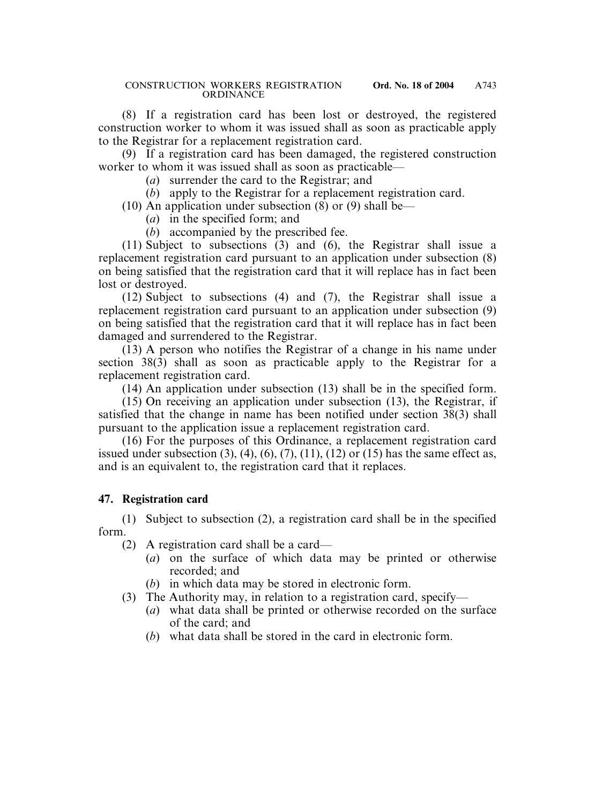(8) If a registration card has been lost or destroyed, the registered construction worker to whom it was issued shall as soon as practicable apply to the Registrar for a replacement registration card.

(9) If a registration card has been damaged, the registered construction worker to whom it was issued shall as soon as practicable—

- (*a*) surrender the card to the Registrar; and
- (*b*) apply to the Registrar for a replacement registration card.
- (10) An application under subsection  $(8)$  or  $(9)$  shall be—
	- (*a*) in the specified form; and
	- (*b*) accompanied by the prescribed fee.

(11) Subject to subsections (3) and (6), the Registrar shall issue a replacement registration card pursuant to an application under subsection (8) on being satisfied that the registration card that it will replace has in fact been lost or destroyed.

(12) Subject to subsections (4) and (7), the Registrar shall issue a replacement registration card pursuant to an application under subsection (9) on being satisfied that the registration card that it will replace has in fact been damaged and surrendered to the Registrar.

(13) A person who notifies the Registrar of a change in his name under section 38(3) shall as soon as practicable apply to the Registrar for a replacement registration card.

(14) An application under subsection (13) shall be in the specified form.

(15) On receiving an application under subsection (13), the Registrar, if satisfied that the change in name has been notified under section 38(3) shall pursuant to the application issue a replacement registration card.

(16) For the purposes of this Ordinance, a replacement registration card issued under subsection  $(3)$ ,  $(4)$ ,  $(6)$ ,  $(7)$ ,  $(11)$ ,  $(12)$  or  $(15)$  has the same effect as, and is an equivalent to, the registration card that it replaces.

### **47. Registration card**

(1) Subject to subsection (2), a registration card shall be in the specified form.

(2) A registration card shall be a card—

- (*a*) on the surface of which data may be printed or otherwise recorded; and
- (*b*) in which data may be stored in electronic form.
- (3) The Authority may, in relation to a registration card, specify—
	- (*a*) what data shall be printed or otherwise recorded on the surface of the card; and
	- (*b*) what data shall be stored in the card in electronic form.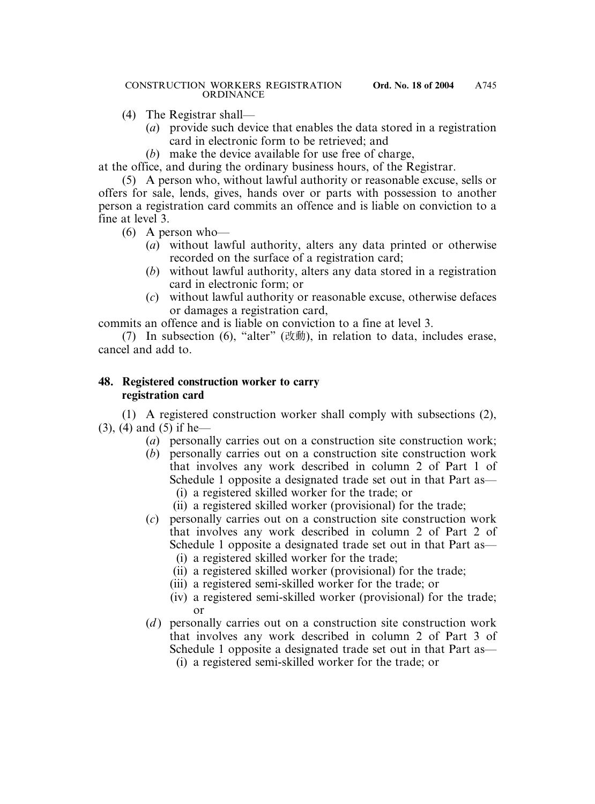- (4) The Registrar shall—
	- (*a*) provide such device that enables the data stored in a registration card in electronic form to be retrieved; and
	- (*b*) make the device available for use free of charge,

at the office, and during the ordinary business hours, of the Registrar.

(5) A person who, without lawful authority or reasonable excuse, sells or offers for sale, lends, gives, hands over or parts with possession to another person a registration card commits an offence and is liable on conviction to a fine at level 3.

- (6) A person who—
	- (*a*) without lawful authority, alters any data printed or otherwise recorded on the surface of a registration card;
	- (*b*) without lawful authority, alters any data stored in a registration card in electronic form; or
	- (*c*) without lawful authority or reasonable excuse, otherwise defaces or damages a registration card,

commits an offence and is liable on conviction to a fine at level 3.

(7) In subsection (6), "alter"  $(\forall \psi \equiv 0)$ , in relation to data, includes erase, cancel and add to.

# **48. Registered construction worker to carry registration card**

(1) A registered construction worker shall comply with subsections (2), (3), (4) and (5) if he—

- (*a*) personally carries out on a construction site construction work;
- (*b*) personally carries out on a construction site construction work that involves any work described in column 2 of Part 1 of Schedule 1 opposite a designated trade set out in that Part as—
	- (i) a registered skilled worker for the trade; or
	- (ii) a registered skilled worker (provisional) for the trade;
- (*c*) personally carries out on a construction site construction work that involves any work described in column 2 of Part 2 of Schedule 1 opposite a designated trade set out in that Part as—
	- (i) a registered skilled worker for the trade;
	- (ii) a registered skilled worker (provisional) for the trade;
	- (iii) a registered semi-skilled worker for the trade; or
	- (iv) a registered semi-skilled worker (provisional) for the trade; or
- (*d*) personally carries out on a construction site construction work that involves any work described in column 2 of Part 3 of Schedule 1 opposite a designated trade set out in that Part as—
	- (i) a registered semi-skilled worker for the trade; or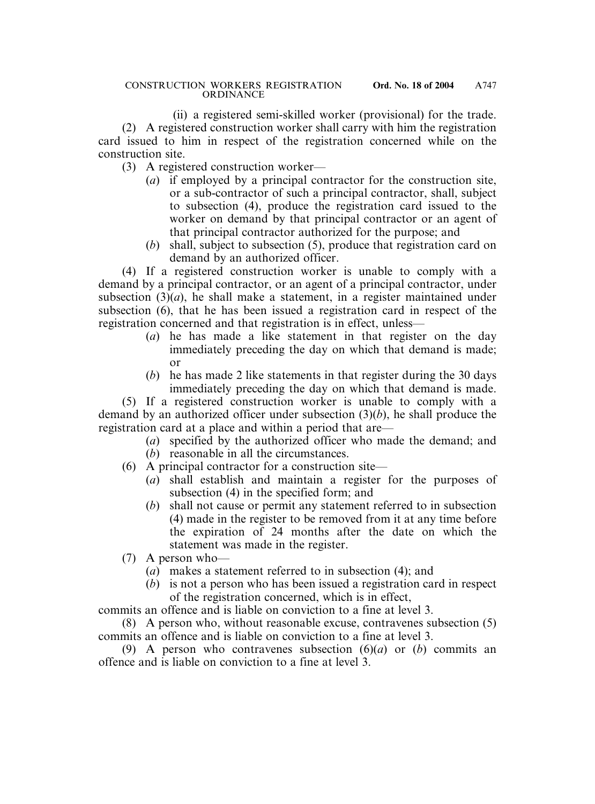(ii) a registered semi-skilled worker (provisional) for the trade. (2) A registered construction worker shall carry with him the registration card issued to him in respect of the registration concerned while on the construction site.

- (3) A registered construction worker—
	- (*a*) if employed by a principal contractor for the construction site, or a sub-contractor of such a principal contractor, shall, subject to subsection (4), produce the registration card issued to the worker on demand by that principal contractor or an agent of that principal contractor authorized for the purpose; and
	- (*b*) shall, subject to subsection (5), produce that registration card on demand by an authorized officer.

(4) If a registered construction worker is unable to comply with a demand by a principal contractor, or an agent of a principal contractor, under subsection  $(3)(a)$ , he shall make a statement, in a register maintained under subsection (6), that he has been issued a registration card in respect of the registration concerned and that registration is in effect, unless—

- (*a*) he has made a like statement in that register on the day immediately preceding the day on which that demand is made; or
- (*b*) he has made 2 like statements in that register during the 30 days immediately preceding the day on which that demand is made.

(5) If a registered construction worker is unable to comply with a demand by an authorized officer under subsection (3)(*b*), he shall produce the registration card at a place and within a period that are—

(*a*) specified by the authorized officer who made the demand; and

- (*b*) reasonable in all the circumstances.
- (6) A principal contractor for a construction site—
	- (*a*) shall establish and maintain a register for the purposes of subsection (4) in the specified form; and
	- (*b*) shall not cause or permit any statement referred to in subsection (4) made in the register to be removed from it at any time before the expiration of 24 months after the date on which the statement was made in the register.
- (7) A person who—
	- (*a*) makes a statement referred to in subsection (4); and
	- (*b*) is not a person who has been issued a registration card in respect of the registration concerned, which is in effect,

commits an offence and is liable on conviction to a fine at level 3.

(8) A person who, without reasonable excuse, contravenes subsection (5) commits an offence and is liable on conviction to a fine at level 3.

(9) A person who contravenes subsection (6)(*a*) or (*b*) commits an offence and is liable on conviction to a fine at level 3.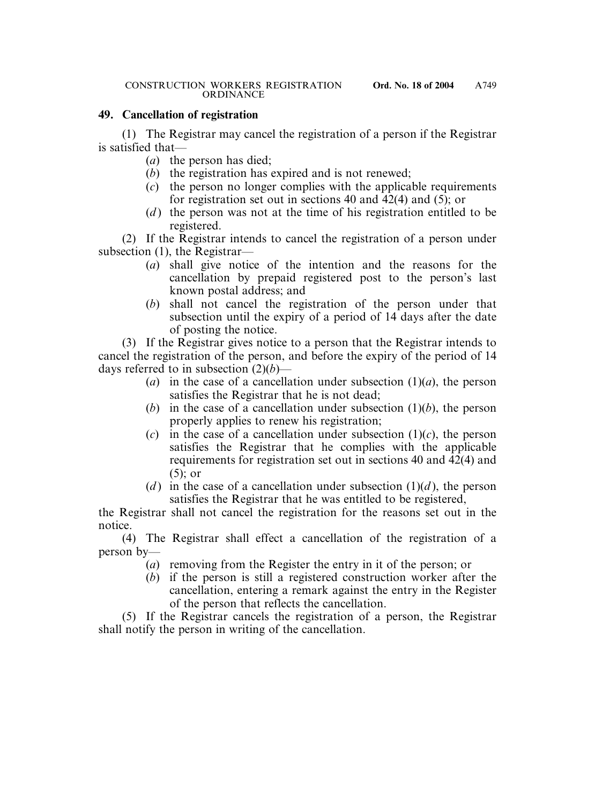### **49. Cancellation of registration**

(1) The Registrar may cancel the registration of a person if the Registrar is satisfied that—

- (*a*) the person has died;
- (*b*) the registration has expired and is not renewed;
- (*c*) the person no longer complies with the applicable requirements for registration set out in sections 40 and 42(4) and (5); or
- (*d*) the person was not at the time of his registration entitled to be registered.

(2) If the Registrar intends to cancel the registration of a person under subsection (1), the Registrar—

- (*a*) shall give notice of the intention and the reasons for the cancellation by prepaid registered post to the person's last known postal address; and
- (*b*) shall not cancel the registration of the person under that subsection until the expiry of a period of 14 days after the date of posting the notice.

(3) If the Registrar gives notice to a person that the Registrar intends to cancel the registration of the person, and before the expiry of the period of 14 days referred to in subsection (2)(*b*)—

- (*a*) in the case of a cancellation under subsection  $(1)(a)$ , the person satisfies the Registrar that he is not dead;
- (*b*) in the case of a cancellation under subsection  $(1)(b)$ , the person properly applies to renew his registration;
- (*c*) in the case of a cancellation under subsection  $(1)(c)$ , the person satisfies the Registrar that he complies with the applicable requirements for registration set out in sections 40 and 42(4) and (5); or
- (*d*) in the case of a cancellation under subsection  $(1)(d)$ , the person satisfies the Registrar that he was entitled to be registered,

the Registrar shall not cancel the registration for the reasons set out in the notice.

(4) The Registrar shall effect a cancellation of the registration of a person by—

- (*a*) removing from the Register the entry in it of the person; or
- (*b*) if the person is still a registered construction worker after the cancellation, entering a remark against the entry in the Register of the person that reflects the cancellation.

(5) If the Registrar cancels the registration of a person, the Registrar shall notify the person in writing of the cancellation.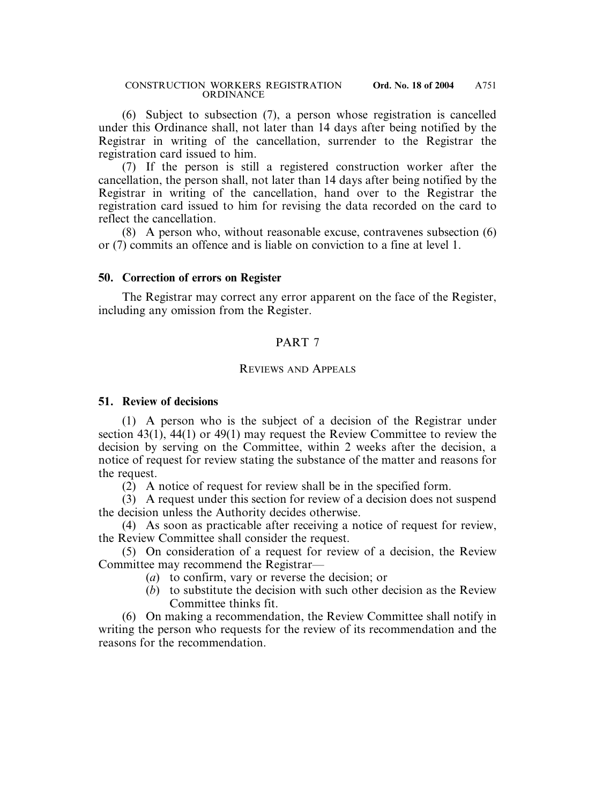(6) Subject to subsection (7), a person whose registration is cancelled under this Ordinance shall, not later than 14 days after being notified by the Registrar in writing of the cancellation, surrender to the Registrar the registration card issued to him.

(7) If the person is still a registered construction worker after the cancellation, the person shall, not later than 14 days after being notified by the Registrar in writing of the cancellation, hand over to the Registrar the registration card issued to him for revising the data recorded on the card to reflect the cancellation.

(8) A person who, without reasonable excuse, contravenes subsection (6) or (7) commits an offence and is liable on conviction to a fine at level 1.

#### **50. Correction of errors on Register**

The Registrar may correct any error apparent on the face of the Register, including any omission from the Register.

### PART 7

#### REVIEWS AND APPEALS

#### **51. Review of decisions**

(1) A person who is the subject of a decision of the Registrar under section 43(1), 44(1) or 49(1) may request the Review Committee to review the decision by serving on the Committee, within 2 weeks after the decision, a notice of request for review stating the substance of the matter and reasons for the request.

(2) A notice of request for review shall be in the specified form.

(3) A request under this section for review of a decision does not suspend the decision unless the Authority decides otherwise.

(4) As soon as practicable after receiving a notice of request for review, the Review Committee shall consider the request.

(5) On consideration of a request for review of a decision, the Review Committee may recommend the Registrar—

- (*a*) to confirm, vary or reverse the decision; or
- (*b*) to substitute the decision with such other decision as the Review Committee thinks fit.

(6) On making a recommendation, the Review Committee shall notify in writing the person who requests for the review of its recommendation and the reasons for the recommendation.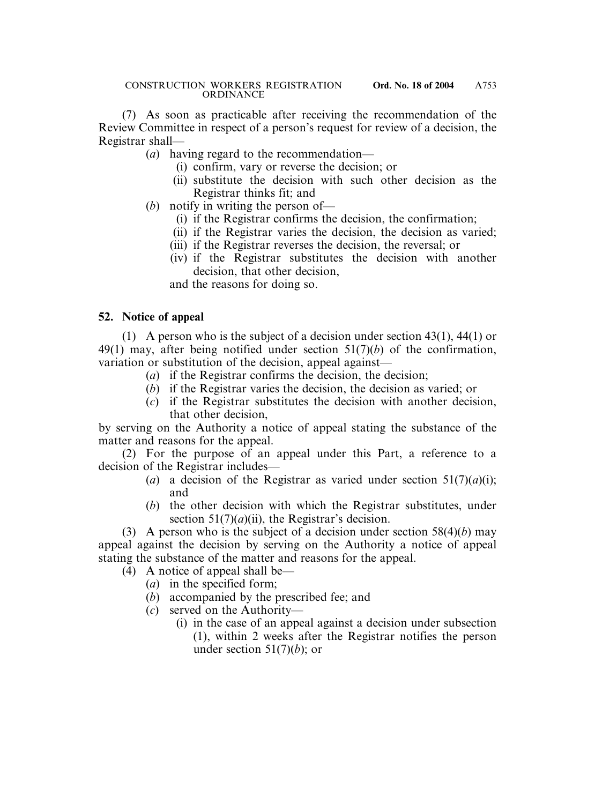(7) As soon as practicable after receiving the recommendation of the Review Committee in respect of a person's request for review of a decision, the Registrar shall—

(*a*) having regard to the recommendation—

- (i) confirm, vary or reverse the decision; or
- (ii) substitute the decision with such other decision as the Registrar thinks fit; and
- (*b*) notify in writing the person of—
	- (i) if the Registrar confirms the decision, the confirmation;
	- (ii) if the Registrar varies the decision, the decision as varied;
	- (iii) if the Registrar reverses the decision, the reversal; or
	- (iv) if the Registrar substitutes the decision with another decision, that other decision,

and the reasons for doing so.

# **52. Notice of appeal**

(1) A person who is the subject of a decision under section 43(1), 44(1) or 49(1) may, after being notified under section 51(7)(*b*) of the confirmation, variation or substitution of the decision, appeal against—

- (*a*) if the Registrar confirms the decision, the decision;
- (*b*) if the Registrar varies the decision, the decision as varied; or
- (*c*) if the Registrar substitutes the decision with another decision, that other decision,

by serving on the Authority a notice of appeal stating the substance of the matter and reasons for the appeal.

(2) For the purpose of an appeal under this Part, a reference to a decision of the Registrar includes—

- (*a*) a decision of the Registrar as varied under section  $51(7)(a)(i)$ ; and
- (*b*) the other decision with which the Registrar substitutes, under section  $51(7)(a)(ii)$ , the Registrar's decision.

(3) A person who is the subject of a decision under section 58(4)(*b*) may appeal against the decision by serving on the Authority a notice of appeal stating the substance of the matter and reasons for the appeal.

(4) A notice of appeal shall be—

- (*a*) in the specified form;
- (*b*) accompanied by the prescribed fee; and
- (*c*) served on the Authority—
	- (i) in the case of an appeal against a decision under subsection (1), within 2 weeks after the Registrar notifies the person under section  $51(7)(b)$ ; or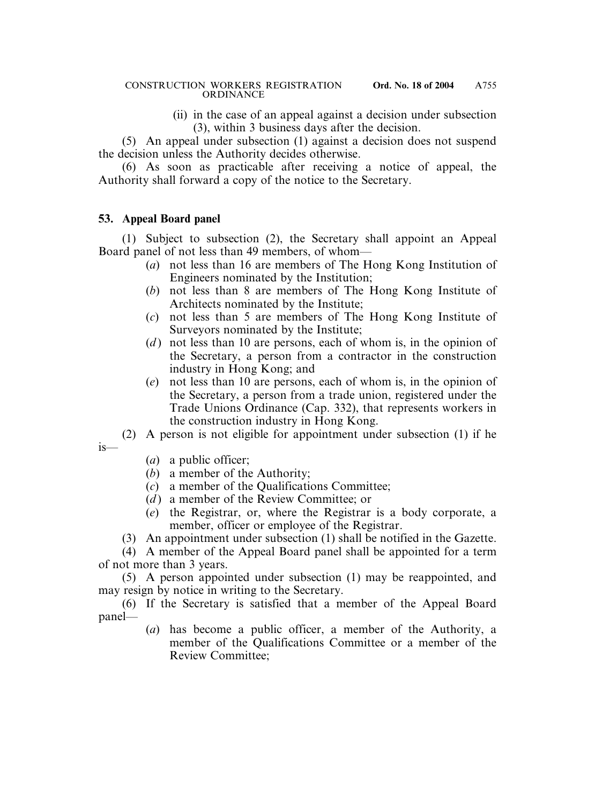(ii) in the case of an appeal against a decision under subsection (3), within 3 business days after the decision.

(5) An appeal under subsection (1) against a decision does not suspend the decision unless the Authority decides otherwise.

(6) As soon as practicable after receiving a notice of appeal, the Authority shall forward a copy of the notice to the Secretary.

### **53. Appeal Board panel**

(1) Subject to subsection (2), the Secretary shall appoint an Appeal Board panel of not less than 49 members, of whom—

- (*a*) not less than 16 are members of The Hong Kong Institution of Engineers nominated by the Institution;
- (*b*) not less than 8 are members of The Hong Kong Institute of Architects nominated by the Institute;
- (*c*) not less than 5 are members of The Hong Kong Institute of Surveyors nominated by the Institute;
- (*d*) not less than 10 are persons, each of whom is, in the opinion of the Secretary, a person from a contractor in the construction industry in Hong Kong; and
- (*e*) not less than 10 are persons, each of whom is, in the opinion of the Secretary, a person from a trade union, registered under the Trade Unions Ordinance (Cap. 332), that represents workers in the construction industry in Hong Kong.
- (2) A person is not eligible for appointment under subsection (1) if he
- is—
- (*a*) a public officer;
- (*b*) a member of the Authority;
- (*c*) a member of the Qualifications Committee;
- (*d* ) a member of the Review Committee; or
- (*e*) the Registrar, or, where the Registrar is a body corporate, a member, officer or employee of the Registrar.
- (3) An appointment under subsection (1) shall be notified in the Gazette.

(4) A member of the Appeal Board panel shall be appointed for a term of not more than 3 years.

(5) A person appointed under subsection (1) may be reappointed, and may resign by notice in writing to the Secretary.

(6) If the Secretary is satisfied that a member of the Appeal Board panel—

(*a*) has become a public officer, a member of the Authority, a member of the Qualifications Committee or a member of the Review Committee;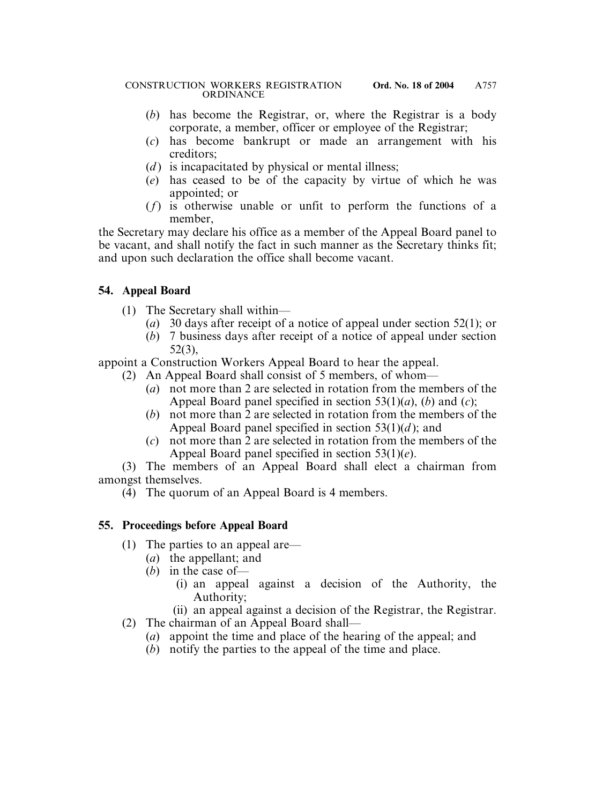- (*b*) has become the Registrar, or, where the Registrar is a body corporate, a member, officer or employee of the Registrar;
- (*c*) has become bankrupt or made an arrangement with his creditors;
- (*d*) is incapacitated by physical or mental illness;
- (*e*) has ceased to be of the capacity by virtue of which he was appointed; or
- (*f*) is otherwise unable or unfit to perform the functions of a member,

the Secretary may declare his office as a member of the Appeal Board panel to be vacant, and shall notify the fact in such manner as the Secretary thinks fit; and upon such declaration the office shall become vacant.

# **54. Appeal Board**

- (1) The Secretary shall within—
	- (*a*) 30 days after receipt of a notice of appeal under section 52(1); or
	- (*b*) 7 business days after receipt of a notice of appeal under section 52(3),

appoint a Construction Workers Appeal Board to hear the appeal.

- (2) An Appeal Board shall consist of 5 members, of whom—
	- (*a*) not more than 2 are selected in rotation from the members of the Appeal Board panel specified in section 53(1)(*a*), (*b*) and (*c*);
	- (*b*) not more than 2 are selected in rotation from the members of the Appeal Board panel specified in section 53(1)(*d* ); and
	- (*c*) not more than 2 are selected in rotation from the members of the Appeal Board panel specified in section 53(1)(*e*).

(3) The members of an Appeal Board shall elect a chairman from amongst themselves.

(4) The quorum of an Appeal Board is 4 members.

# **55. Proceedings before Appeal Board**

- (1) The parties to an appeal are—
	- (*a*) the appellant; and
	- (*b*) in the case of—
		- (i) an appeal against a decision of the Authority, the Authority;
		- (ii) an appeal against a decision of the Registrar, the Registrar.
- (2) The chairman of an Appeal Board shall—
	- (*a*) appoint the time and place of the hearing of the appeal; and
	- (*b*) notify the parties to the appeal of the time and place.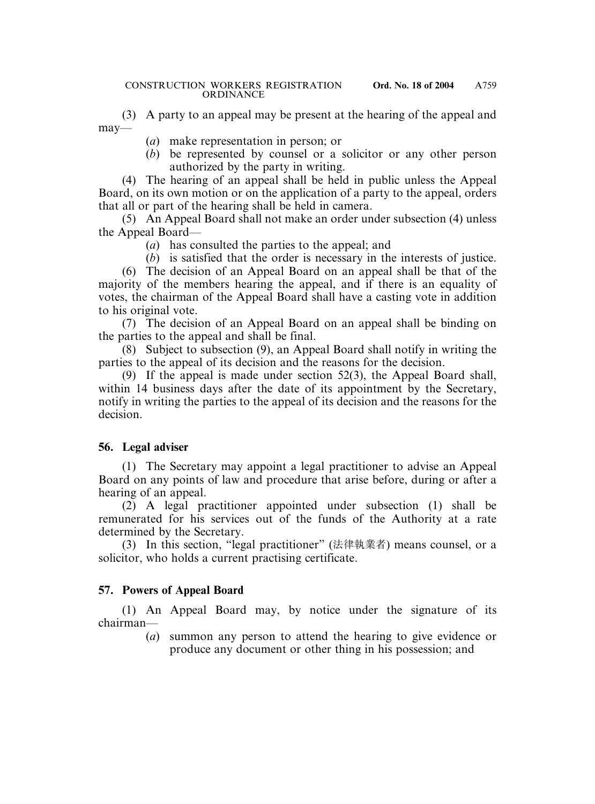(3) A party to an appeal may be present at the hearing of the appeal and may—

- (*a*) make representation in person; or
- (*b*) be represented by counsel or a solicitor or any other person authorized by the party in writing.

(4) The hearing of an appeal shall be held in public unless the Appeal Board, on its own motion or on the application of a party to the appeal, orders that all or part of the hearing shall be held in camera.

(5) An Appeal Board shall not make an order under subsection (4) unless the Appeal Board—

- (*a*) has consulted the parties to the appeal; and
- (*b*) is satisfied that the order is necessary in the interests of justice.

(6) The decision of an Appeal Board on an appeal shall be that of the majority of the members hearing the appeal, and if there is an equality of votes, the chairman of the Appeal Board shall have a casting vote in addition to his original vote.

(7) The decision of an Appeal Board on an appeal shall be binding on the parties to the appeal and shall be final.

(8) Subject to subsection (9), an Appeal Board shall notify in writing the parties to the appeal of its decision and the reasons for the decision.

(9) If the appeal is made under section 52(3), the Appeal Board shall, within 14 business days after the date of its appointment by the Secretary, notify in writing the parties to the appeal of its decision and the reasons for the decision.

### **56. Legal adviser**

(1) The Secretary may appoint a legal practitioner to advise an Appeal Board on any points of law and procedure that arise before, during or after a hearing of an appeal.

(2) A legal practitioner appointed under subsection (1) shall be remunerated for his services out of the funds of the Authority at a rate determined by the Secretary.

(3) In this section, "legal practitioner" (法律執業者) means counsel, or a solicitor, who holds a current practising certificate.

### **57. Powers of Appeal Board**

(1) An Appeal Board may, by notice under the signature of its chairman—

> (*a*) summon any person to attend the hearing to give evidence or produce any document or other thing in his possession; and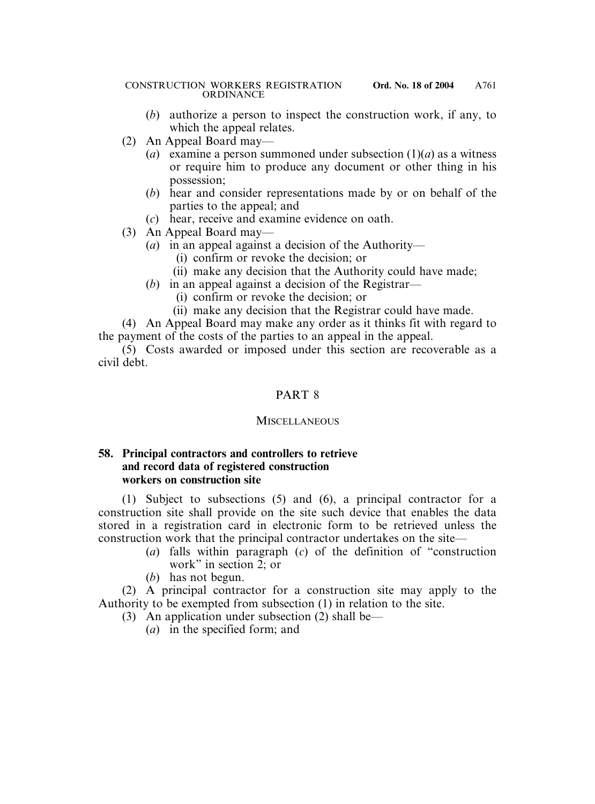- (*b*) authorize a person to inspect the construction work, if any, to which the appeal relates.
- (2) An Appeal Board may—
	- (*a*) examine a person summoned under subsection  $(1)(a)$  as a witness or require him to produce any document or other thing in his possession;
	- (*b*) hear and consider representations made by or on behalf of the parties to the appeal; and
	- (*c*) hear, receive and examine evidence on oath.
- (3) An Appeal Board may—
	- (*a*) in an appeal against a decision of the Authority—
		- (i) confirm or revoke the decision; or
		- (ii) make any decision that the Authority could have made;
	- (*b*) in an appeal against a decision of the Registrar—
		- (i) confirm or revoke the decision; or
		- (ii) make any decision that the Registrar could have made.

(4) An Appeal Board may make any order as it thinks fit with regard to the payment of the costs of the parties to an appeal in the appeal.

(5) Costs awarded or imposed under this section are recoverable as a civil debt.

### PART 8

#### **MISCELLANEOUS**

#### **58. Principal contractors and controllers to retrieve and record data of registered construction workers on construction site**

(1) Subject to subsections (5) and (6), a principal contractor for a construction site shall provide on the site such device that enables the data stored in a registration card in electronic form to be retrieved unless the construction work that the principal contractor undertakes on the site—

- (*a*) falls within paragraph (*c*) of the definition of "construction work" in section 2; or
- (*b*) has not begun.

(2) A principal contractor for a construction site may apply to the Authority to be exempted from subsection (1) in relation to the site.

- (3) An application under subsection (2) shall be—
	- (*a*) in the specified form; and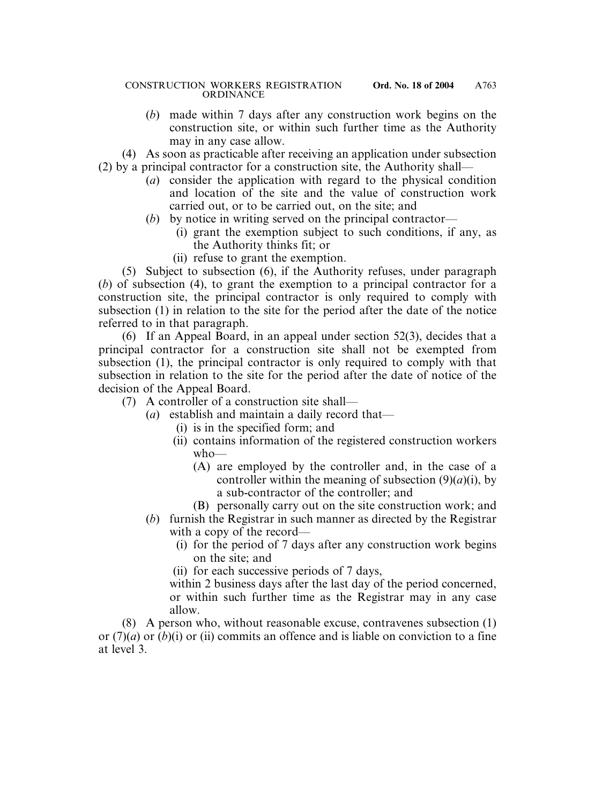- (*b*) made within 7 days after any construction work begins on the construction site, or within such further time as the Authority may in any case allow.
- (4) As soon as practicable after receiving an application under subsection (2) by a principal contractor for a construction site, the Authority shall—
	- (*a*) consider the application with regard to the physical condition and location of the site and the value of construction work carried out, or to be carried out, on the site; and
	- (*b*) by notice in writing served on the principal contractor—
		- (i) grant the exemption subject to such conditions, if any, as the Authority thinks fit; or
		- (ii) refuse to grant the exemption.

(5) Subject to subsection (6), if the Authority refuses, under paragraph (*b*) of subsection (4), to grant the exemption to a principal contractor for a construction site, the principal contractor is only required to comply with subsection (1) in relation to the site for the period after the date of the notice referred to in that paragraph.

(6) If an Appeal Board, in an appeal under section 52(3), decides that a principal contractor for a construction site shall not be exempted from subsection (1), the principal contractor is only required to comply with that subsection in relation to the site for the period after the date of notice of the decision of the Appeal Board.

- (7) A controller of a construction site shall—
	- (*a*) establish and maintain a daily record that—
		- (i) is in the specified form; and
		- (ii) contains information of the registered construction workers who—
			- (A) are employed by the controller and, in the case of a controller within the meaning of subsection  $(9)(a)(i)$ , by a sub-contractor of the controller; and
			- (B) personally carry out on the site construction work; and
	- (*b*) furnish the Registrar in such manner as directed by the Registrar with a copy of the record—
		- (i) for the period of 7 days after any construction work begins on the site; and
		- (ii) for each successive periods of 7 days,

within 2 business days after the last day of the period concerned, or within such further time as the Registrar may in any case allow.

(8) A person who, without reasonable excuse, contravenes subsection (1) or (7)(*a*) or (*b*)(i) or (ii) commits an offence and is liable on conviction to a fine at level 3.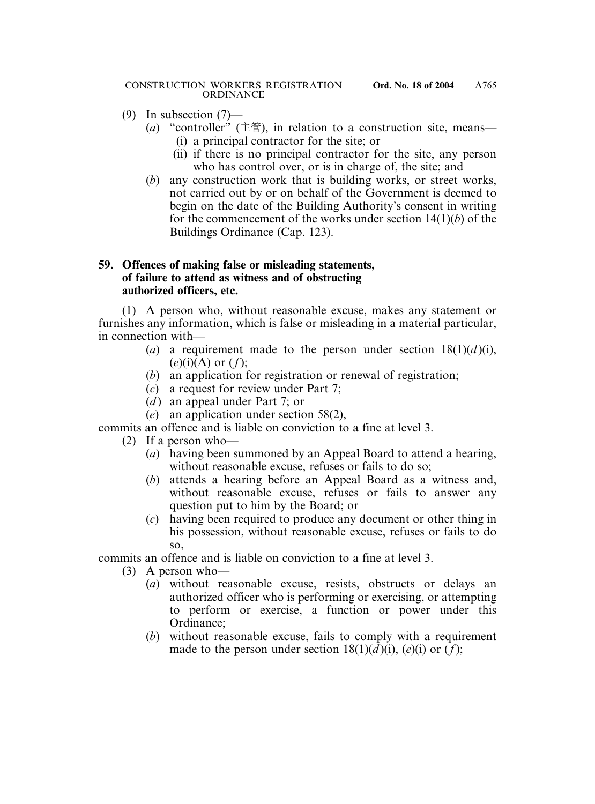- (9) In subsection (7)—
	- (*a*) "controller" ( $\pm \hat{\mathbb{F}}$ ), in relation to a construction site, means— (i) a principal contractor for the site; or
		- (ii) if there is no principal contractor for the site, any person who has control over, or is in charge of, the site; and
	- (*b*) any construction work that is building works, or street works, not carried out by or on behalf of the Government is deemed to begin on the date of the Building Authority's consent in writing for the commencement of the works under section 14(1)(*b*) of the Buildings Ordinance (Cap. 123).

### **59. Offences of making false or misleading statements, of failure to attend as witness and of obstructing authorized officers, etc.**

(1) A person who, without reasonable excuse, makes any statement or furnishes any information, which is false or misleading in a material particular, in connection with—

- (*a*) a requirement made to the person under section  $18(1)(d)(i)$ , (*e*)(i)(A) or (*f*);
- (*b*) an application for registration or renewal of registration;
- (*c*) a request for review under Part 7;
- (*d*) an appeal under Part 7; or
- (*e*) an application under section 58(2),

commits an offence and is liable on conviction to a fine at level 3.

- (2) If a person who—
	- (*a*) having been summoned by an Appeal Board to attend a hearing, without reasonable excuse, refuses or fails to do so;
	- (*b*) attends a hearing before an Appeal Board as a witness and, without reasonable excuse, refuses or fails to answer any question put to him by the Board; or
	- (*c*) having been required to produce any document or other thing in his possession, without reasonable excuse, refuses or fails to do so,

commits an offence and is liable on conviction to a fine at level 3.

- (3) A person who—
	- (*a*) without reasonable excuse, resists, obstructs or delays an authorized officer who is performing or exercising, or attempting to perform or exercise, a function or power under this Ordinance;
	- (*b*) without reasonable excuse, fails to comply with a requirement made to the person under section  $18(1)(d)(i)$ ,  $(e)(i)$  or  $(f)$ ;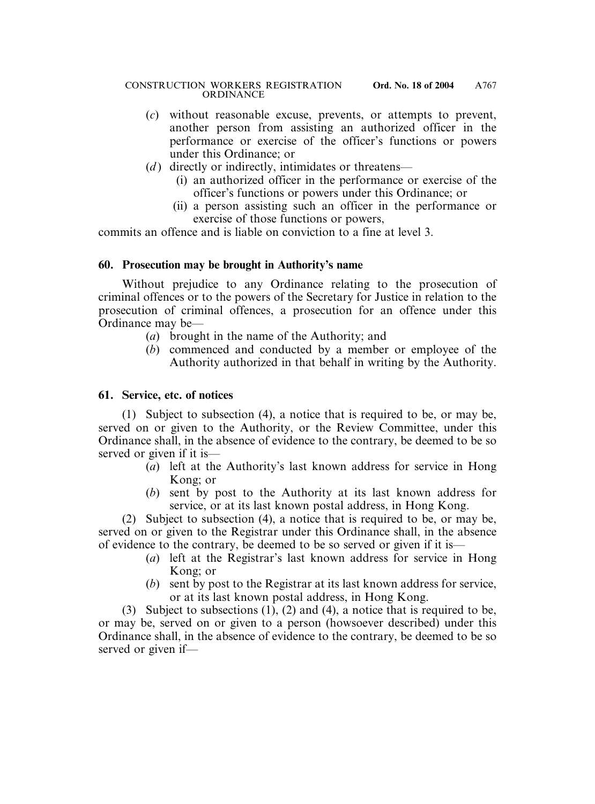- (*c*) without reasonable excuse, prevents, or attempts to prevent, another person from assisting an authorized officer in the performance or exercise of the officer's functions or powers under this Ordinance; or
- (*d*) directly or indirectly, intimidates or threatens—
	- (i) an authorized officer in the performance or exercise of the officer's functions or powers under this Ordinance; or
	- (ii) a person assisting such an officer in the performance or exercise of those functions or powers,

commits an offence and is liable on conviction to a fine at level 3.

### **60. Prosecution may be brought in Authority's name**

Without prejudice to any Ordinance relating to the prosecution of criminal offences or to the powers of the Secretary for Justice in relation to the prosecution of criminal offences, a prosecution for an offence under this Ordinance may be—

- (*a*) brought in the name of the Authority; and
- (*b*) commenced and conducted by a member or employee of the Authority authorized in that behalf in writing by the Authority.

### **61. Service, etc. of notices**

(1) Subject to subsection (4), a notice that is required to be, or may be, served on or given to the Authority, or the Review Committee, under this Ordinance shall, in the absence of evidence to the contrary, be deemed to be so served or given if it is—

- (*a*) left at the Authority's last known address for service in Hong Kong; or
- (*b*) sent by post to the Authority at its last known address for service, or at its last known postal address, in Hong Kong.

(2) Subject to subsection (4), a notice that is required to be, or may be, served on or given to the Registrar under this Ordinance shall, in the absence of evidence to the contrary, be deemed to be so served or given if it is—

- (*a*) left at the Registrar's last known address for service in Hong Kong; or
- (*b*) sent by post to the Registrar at its last known address for service, or at its last known postal address, in Hong Kong.

(3) Subject to subsections (1), (2) and (4), a notice that is required to be, or may be, served on or given to a person (howsoever described) under this Ordinance shall, in the absence of evidence to the contrary, be deemed to be so served or given if—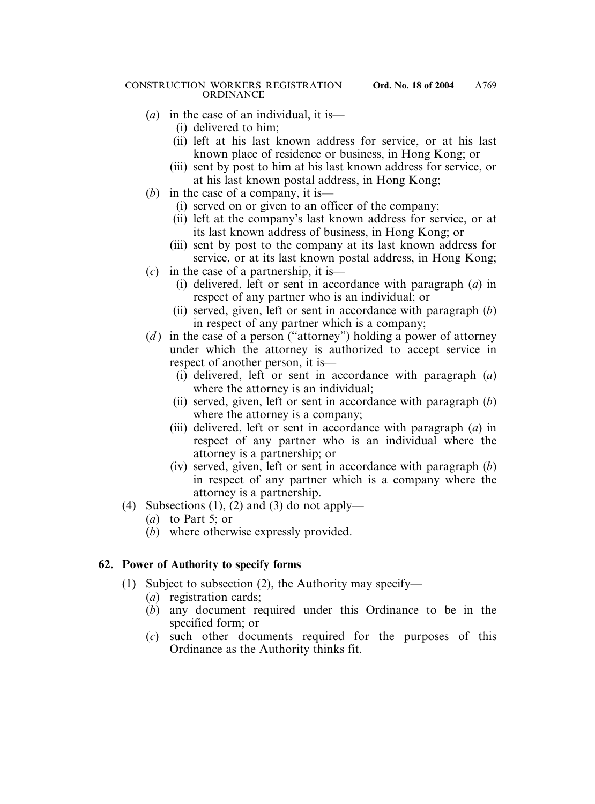- (*a*) in the case of an individual, it is—
	- (i) delivered to him;
	- (ii) left at his last known address for service, or at his last known place of residence or business, in Hong Kong; or
	- (iii) sent by post to him at his last known address for service, or at his last known postal address, in Hong Kong;
- (*b*) in the case of a company, it is—
	- (i) served on or given to an officer of the company;
	- (ii) left at the company's last known address for service, or at its last known address of business, in Hong Kong; or
	- (iii) sent by post to the company at its last known address for service, or at its last known postal address, in Hong Kong;
- (*c*) in the case of a partnership, it is—
	- (i) delivered, left or sent in accordance with paragraph (*a*) in respect of any partner who is an individual; or
	- (ii) served, given, left or sent in accordance with paragraph (*b*) in respect of any partner which is a company;
- (*d* ) in the case of a person ("attorney") holding a power of attorney under which the attorney is authorized to accept service in respect of another person, it is—
	- (i) delivered, left or sent in accordance with paragraph (*a*) where the attorney is an individual;
	- (ii) served, given, left or sent in accordance with paragraph (*b*) where the attorney is a company;
	- (iii) delivered, left or sent in accordance with paragraph (*a*) in respect of any partner who is an individual where the attorney is a partnership; or
	- (iv) served, given, left or sent in accordance with paragraph (*b*) in respect of any partner which is a company where the attorney is a partnership.
- (4) Subsections (1), (2) and (3) do not apply—
	- (*a*) to Part 5; or
	- (*b*) where otherwise expressly provided.

# **62. Power of Authority to specify forms**

- (1) Subject to subsection (2), the Authority may specify—
	- (*a*) registration cards;
	- (*b*) any document required under this Ordinance to be in the specified form; or
	- (*c*) such other documents required for the purposes of this Ordinance as the Authority thinks fit.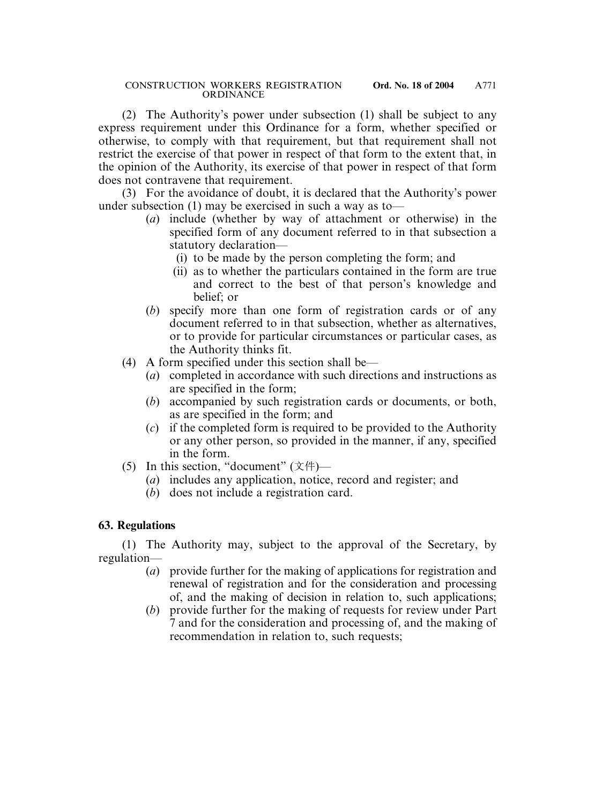(2) The Authority's power under subsection (1) shall be subject to any express requirement under this Ordinance for a form, whether specified or otherwise, to comply with that requirement, but that requirement shall not restrict the exercise of that power in respect of that form to the extent that, in the opinion of the Authority, its exercise of that power in respect of that form does not contravene that requirement.

(3) For the avoidance of doubt, it is declared that the Authority's power under subsection (1) may be exercised in such a way as to—

- (*a*) include (whether by way of attachment or otherwise) in the specified form of any document referred to in that subsection a statutory declaration—
	- (i) to be made by the person completing the form; and
	- (ii) as to whether the particulars contained in the form are true and correct to the best of that person's knowledge and belief; or
- (*b*) specify more than one form of registration cards or of any document referred to in that subsection, whether as alternatives, or to provide for particular circumstances or particular cases, as the Authority thinks fit.
- (4) A form specified under this section shall be—
	- (*a*) completed in accordance with such directions and instructions as are specified in the form;
	- (*b*) accompanied by such registration cards or documents, or both, as are specified in the form; and
	- (*c*) if the completed form is required to be provided to the Authority or any other person, so provided in the manner, if any, specified in the form.
- (5) In this section, "document"  $(\overline{\chi} \uparrow \uparrow)$ 
	- (*a*) includes any application, notice, record and register; and
	- (*b*) does not include a registration card.

# **63. Regulations**

(1) The Authority may, subject to the approval of the Secretary, by regulation—

- (*a*) provide further for the making of applications for registration and renewal of registration and for the consideration and processing of, and the making of decision in relation to, such applications;
- (*b*) provide further for the making of requests for review under Part 7 and for the consideration and processing of, and the making of recommendation in relation to, such requests;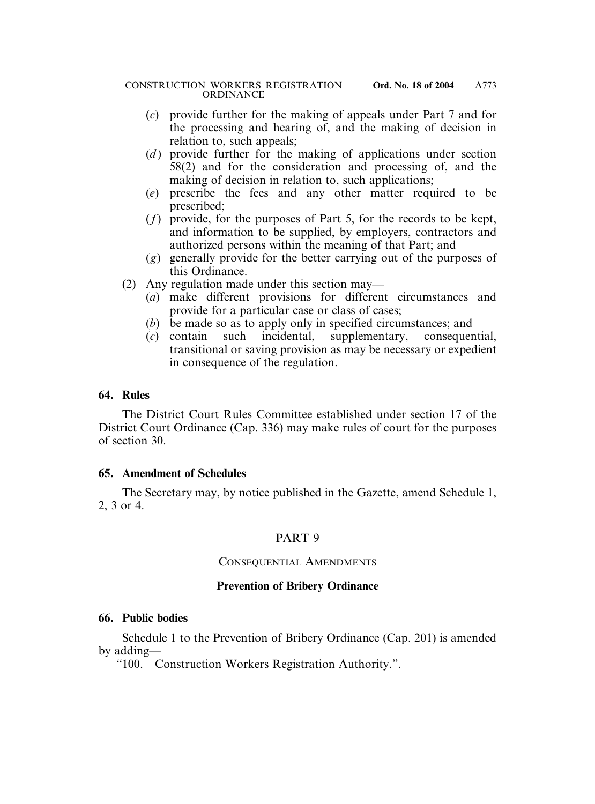- (*c*) provide further for the making of appeals under Part 7 and for the processing and hearing of, and the making of decision in relation to, such appeals;
- (*d*) provide further for the making of applications under section 58(2) and for the consideration and processing of, and the making of decision in relation to, such applications;
- (*e*) prescribe the fees and any other matter required to be prescribed;
- (*f*) provide, for the purposes of Part 5, for the records to be kept, and information to be supplied, by employers, contractors and authorized persons within the meaning of that Part; and
- (*g*) generally provide for the better carrying out of the purposes of this Ordinance.
- (2) Any regulation made under this section may—
	- (*a*) make different provisions for different circumstances and provide for a particular case or class of cases;
	- (*b*) be made so as to apply only in specified circumstances; and
	- (*c*) contain such incidental, supplementary, consequential, transitional or saving provision as may be necessary or expedient in consequence of the regulation.

### **64. Rules**

The District Court Rules Committee established under section 17 of the District Court Ordinance (Cap. 336) may make rules of court for the purposes of section 30.

### **65. Amendment of Schedules**

The Secretary may, by notice published in the Gazette, amend Schedule 1, 2, 3 or 4.

# PART 9

### CONSEQUENTIAL AMENDMENTS

# **Prevention of Bribery Ordinance**

### **66. Public bodies**

Schedule 1 to the Prevention of Bribery Ordinance (Cap. 201) is amended by adding—

"100. Construction Workers Registration Authority.".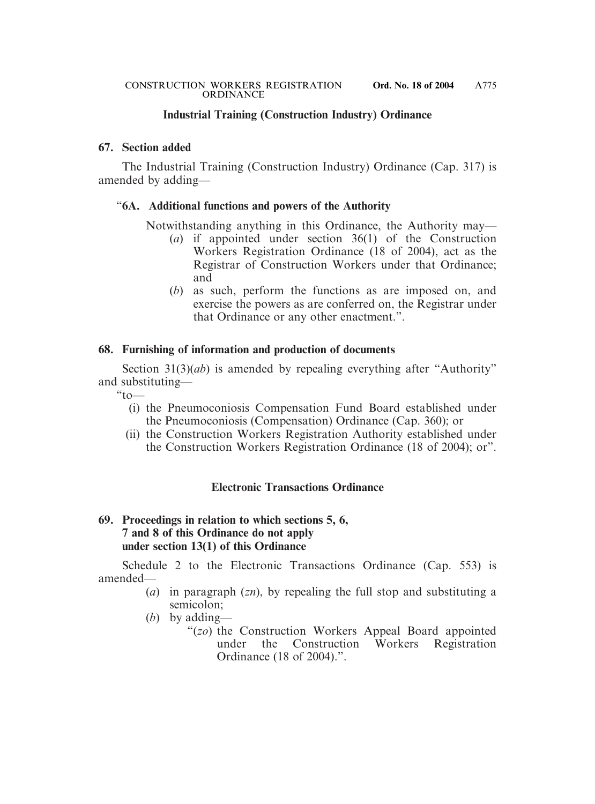### **Industrial Training (Construction Industry) Ordinance**

#### **67. Section added**

The Industrial Training (Construction Industry) Ordinance (Cap. 317) is amended by adding—

#### "**6A. Additional functions and powers of the Authority**

Notwithstanding anything in this Ordinance, the Authority may—

- (*a*) if appointed under section 36(1) of the Construction Workers Registration Ordinance (18 of 2004), act as the Registrar of Construction Workers under that Ordinance; and
- (*b*) as such, perform the functions as are imposed on, and exercise the powers as are conferred on, the Registrar under that Ordinance or any other enactment.".

### **68. Furnishing of information and production of documents**

Section 31(3)(*ab*) is amended by repealing everything after "Authority" and substituting—

 $\omega$  to  $\omega$ 

- (i) the Pneumoconiosis Compensation Fund Board established under the Pneumoconiosis (Compensation) Ordinance (Cap. 360); or
- (ii) the Construction Workers Registration Authority established under the Construction Workers Registration Ordinance (18 of 2004); or".

### **Electronic Transactions Ordinance**

### **69. Proceedings in relation to which sections 5, 6, 7 and 8 of this Ordinance do not apply under section 13(1) of this Ordinance**

Schedule 2 to the Electronic Transactions Ordinance (Cap. 553) is amended—

- (*a*) in paragraph (*zn*), by repealing the full stop and substituting a semicolon;
- (*b*) by adding—
	- "(*zo*) the Construction Workers Appeal Board appointed under the Construction Workers Registration Ordinance (18 of 2004).".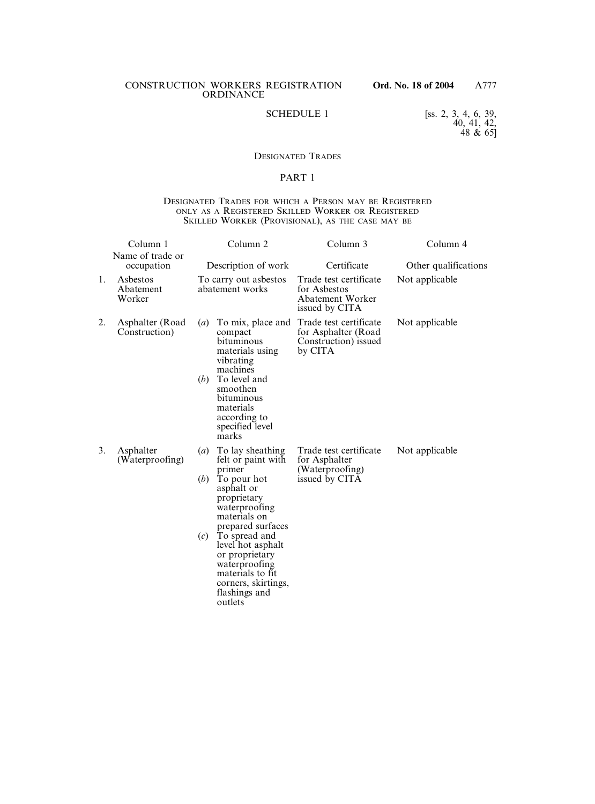SCHEDULE 1 [ss. 2, 3, 4, 6, 39, 40, 41, 42, 48  $\& 65 \]$ 

#### DESIGNATED TRADES

#### PART 1

#### DESIGNATED TRADES FOR WHICH A PERSON MAY BE REGISTERED ONLY AS A REGISTERED SKILLED WORKER OR REGISTERED SKILLED WORKER (PROVISIONAL), AS THE CASE MAY BE

|    | Column 1<br>Name of trade or     |                                | Column <sub>2</sub>                                                                                                                                                                                                                                                                                | Column 3                                                                            | Column 4             |
|----|----------------------------------|--------------------------------|----------------------------------------------------------------------------------------------------------------------------------------------------------------------------------------------------------------------------------------------------------------------------------------------------|-------------------------------------------------------------------------------------|----------------------|
|    | occupation                       |                                | Description of work                                                                                                                                                                                                                                                                                | Certificate                                                                         | Other qualifications |
| 1. | Asbestos<br>Abatement<br>Worker  |                                | To carry out asbestos<br>abatement works                                                                                                                                                                                                                                                           | Trade test certificate<br>for Asbestos<br><b>Abatement Worker</b><br>issued by CITA | Not applicable       |
| 2. | Asphalter (Road<br>Construction) | $\left(a\right)$<br>(b)        | To mix, place and<br>compact<br>bituminous<br>materials using<br>vibrating<br>machines<br>To level and<br>smoothen<br>bituminous<br>materials<br>according to<br>specified level<br>marks                                                                                                          | Trade test certificate<br>for Asphalter (Road<br>Construction) issued<br>by CITA    | Not applicable       |
| 3. | Asphalter<br>(Waterproofing)     | $\left(a\right)$<br>(b)<br>(c) | To lay sheathing<br>felt or paint with<br>primer<br>To pour hot<br>asphalt or<br>proprietary<br>waterproofing<br>materials on<br>prepared surfaces<br>To spread and<br>level hot asphalt<br>or proprietary<br>waterproofing<br>materials to fit<br>corners, skirtings,<br>flashings and<br>outlets | Trade test certificate<br>for Asphalter<br>(Waterproofing)<br>issued by CITA        | Not applicable       |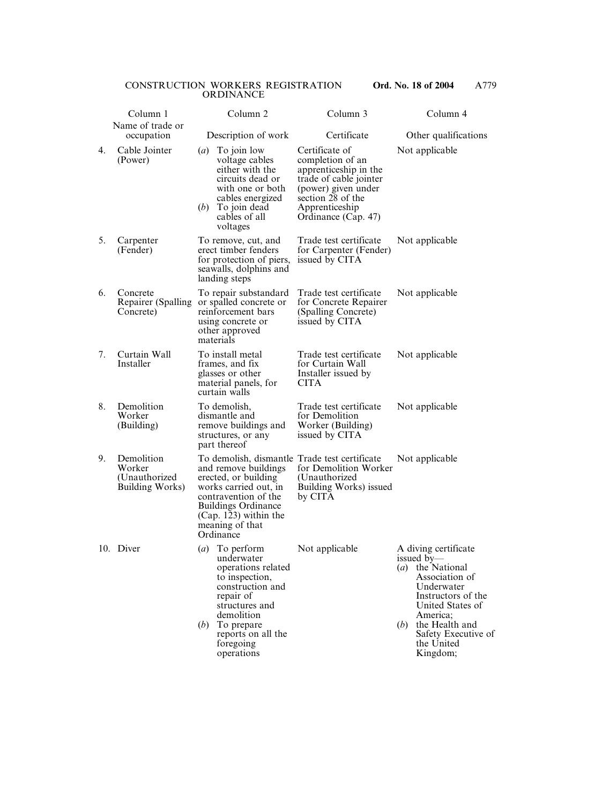|    | Column 1<br>Name of trade or                             | Column <sub>2</sub>                                                                                                                                                                                                                     | Column 3                                                                                                                                                                   | Column 4                                                                                                                                                                                                               |
|----|----------------------------------------------------------|-----------------------------------------------------------------------------------------------------------------------------------------------------------------------------------------------------------------------------------------|----------------------------------------------------------------------------------------------------------------------------------------------------------------------------|------------------------------------------------------------------------------------------------------------------------------------------------------------------------------------------------------------------------|
|    | occupation                                               | Description of work                                                                                                                                                                                                                     | Certificate                                                                                                                                                                | Other qualifications                                                                                                                                                                                                   |
| 4. | Cable Jointer<br>(Power)                                 | $\left(a\right)$<br>To join low<br>voltage cables<br>either with the<br>circuits dead or<br>with one or both<br>cables energized<br>(b)<br>To join dead<br>cables of all<br>voltages                                                    | Certificate of<br>completion of an<br>apprenticeship in the<br>trade of cable jointer<br>(power) given under<br>section 28 of the<br>Apprenticeship<br>Ordinance (Cap. 47) | Not applicable                                                                                                                                                                                                         |
| 5. | Carpenter<br>(Fender)                                    | To remove, cut, and<br>erect timber fenders<br>for protection of piers,<br>seawalls, dolphins and<br>landing steps                                                                                                                      | Trade test certificate<br>for Carpenter (Fender)<br>issued by CITA                                                                                                         | Not applicable                                                                                                                                                                                                         |
| 6. | Concrete<br>Repairer (Spalling<br>Concrete)              | To repair substandard<br>or spalled concrete or<br>reinforcement bars<br>using concrete or<br>other approved<br>materials                                                                                                               | Trade test certificate<br>for Concrete Repairer<br>(Spalling Concrete)<br>issued by CITA                                                                                   | Not applicable                                                                                                                                                                                                         |
| 7. | Curtain Wall<br>Installer                                | To install metal<br>frames, and fix<br>glasses or other<br>material panels, for<br>curtain walls                                                                                                                                        | Trade test certificate<br>for Curtain Wall<br>Installer issued by<br><b>CITA</b>                                                                                           | Not applicable                                                                                                                                                                                                         |
| 8. | Demolition<br>Worker<br>(Building)                       | To demolish,<br>dismantle and<br>remove buildings and<br>structures, or any<br>part thereof                                                                                                                                             | Trade test certificate<br>for Demolition<br>Worker (Building)<br>issued by CITA                                                                                            | Not applicable                                                                                                                                                                                                         |
| 9. | Demolition<br>Worker<br>(Unauthorized<br>Building Works) | To demolish, dismantle Trade test certificate<br>and remove buildings<br>erected, or building<br>works carried out, in<br>contravention of the<br><b>Buildings Ordinance</b><br>$(Cap. 123)$ within the<br>meaning of that<br>Ordinance | for Demolition Worker<br>(Unauthorized)<br><b>Building Works)</b> issued<br>by CITA                                                                                        | Not applicable                                                                                                                                                                                                         |
|    | 10. Diver                                                | To perform<br>$\left(a\right)$<br>underwater<br>operations related<br>to inspection,<br>construction and<br>repair of<br>structures and<br>demolition<br>(b)<br>To prepare<br>reports on all the<br>foregoing<br>operations             | Not applicable                                                                                                                                                             | A diving certificate<br>issued by—<br>(a) the National<br>Association of<br>Underwater<br>Instructors of the<br>United States of<br>America;<br>the Health and<br>(b)<br>Safety Executive of<br>the United<br>Kingdom; |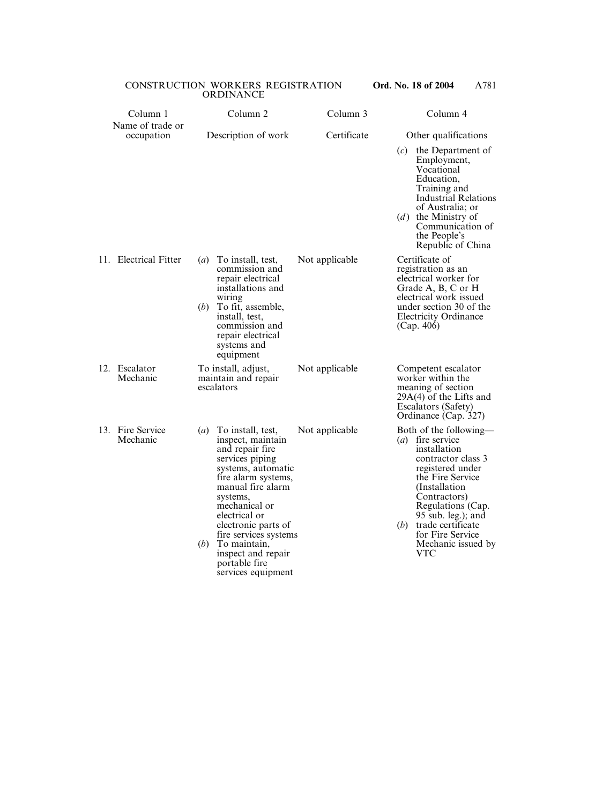| Column 1                       |                         | Column <sub>2</sub>                                                                                                                                                                                                                                                                                                       | Column 3       |              | Column 4                                                                                                                                                                                                                                                                      |
|--------------------------------|-------------------------|---------------------------------------------------------------------------------------------------------------------------------------------------------------------------------------------------------------------------------------------------------------------------------------------------------------------------|----------------|--------------|-------------------------------------------------------------------------------------------------------------------------------------------------------------------------------------------------------------------------------------------------------------------------------|
| Name of trade or<br>occupation |                         | Description of work                                                                                                                                                                                                                                                                                                       | Certificate    | (c)<br>(d)   | Other qualifications<br>the Department of<br>Employment,<br>Vocational<br>Education,<br>Training and<br><b>Industrial Relations</b><br>of Australia; or<br>the Ministry of<br>Communication of<br>the People's<br>Republic of China                                           |
| 11. Electrical Fitter          | $\left(a\right)$<br>(b) | To install, test,<br>commission and<br>repair electrical<br>installations and<br>wiring<br>To fit, assemble,<br>install, test,<br>commission and<br>repair electrical<br>systems and<br>equipment                                                                                                                         | Not applicable |              | Certificate of<br>registration as an<br>electrical worker for<br>Grade A, B, C or H<br>electrical work issued<br>under section 30 of the<br><b>Electricity Ordinance</b><br>(Cap. 406)                                                                                        |
| 12. Escalator<br>Mechanic      |                         | To install, adjust,<br>maintain and repair<br>escalators                                                                                                                                                                                                                                                                  | Not applicable |              | Competent escalator<br>worker within the<br>meaning of section<br>$29A(4)$ of the Lifts and<br>Escalators (Safety)<br>Ordinance (Cap. 327)                                                                                                                                    |
| 13. Fire Service<br>Mechanic   | $\left(a\right)$<br>(b) | To install, test,<br>inspect, maintain<br>and repair fire<br>services piping<br>systems, automatic<br>fire alarm systems,<br>manual fire alarm<br>systems,<br>mechanical or<br>electrical or<br>electronic parts of<br>fire services systems<br>To maintain,<br>inspect and repair<br>portable fire<br>services equipment | Not applicable | ( <i>b</i> ) | Both of the following—<br>$(a)$ fire service<br>installation<br>contractor class 3<br>registered under<br>the Fire Service<br>(Installation)<br>Contractors)<br>Regulations (Cap.<br>95 sub. leg.); and<br>trade certificate<br>for Fire Service<br>Mechanic issued by<br>VTC |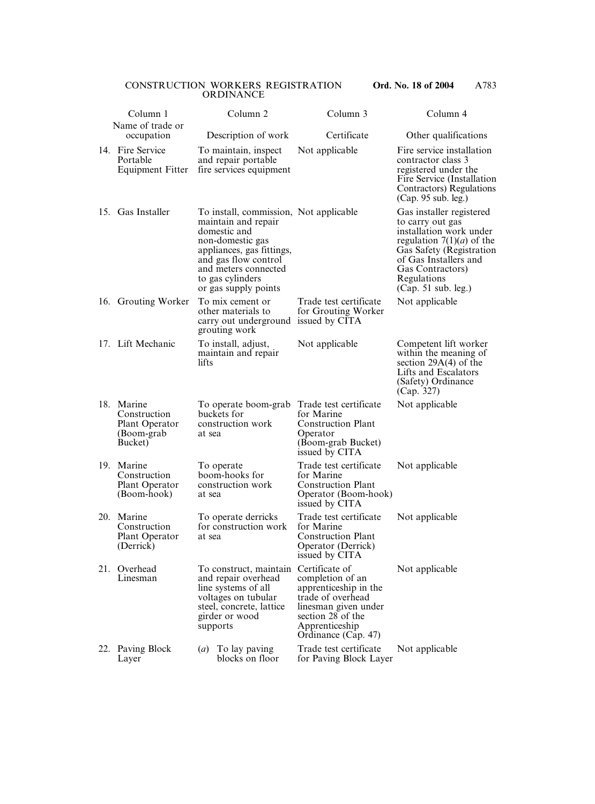|     | Column 1                                                              | Column <sub>2</sub>                                                                                                                                                                                                        | Column 3                                                                                                                                                               | Column 4                                                                                                                                                                                                              |
|-----|-----------------------------------------------------------------------|----------------------------------------------------------------------------------------------------------------------------------------------------------------------------------------------------------------------------|------------------------------------------------------------------------------------------------------------------------------------------------------------------------|-----------------------------------------------------------------------------------------------------------------------------------------------------------------------------------------------------------------------|
|     | Name of trade or<br>occupation                                        | Description of work                                                                                                                                                                                                        | Certificate                                                                                                                                                            | Other qualifications                                                                                                                                                                                                  |
|     | 14. Fire Service<br>Portable<br><b>Equipment Fitter</b>               | To maintain, inspect<br>and repair portable<br>fire services equipment                                                                                                                                                     | Not applicable                                                                                                                                                         | Fire service installation<br>contractor class 3<br>registered under the<br>Fire Service (Installation<br>Contractors) Regulations<br>(Cap. 95 sub. leg.)                                                              |
|     | 15. Gas Installer                                                     | To install, commission, Not applicable<br>maintain and repair<br>domestic and<br>non-domestic gas<br>appliances, gas fittings,<br>and gas flow control<br>and meters connected<br>to gas cylinders<br>or gas supply points |                                                                                                                                                                        | Gas installer registered<br>to carry out gas<br>installation work under<br>regulation $7(1)(a)$ of the<br>Gas Safety (Registration<br>of Gas Installers and<br>Gas Contractors)<br>Regulations<br>(Cap. 51 sub. leg.) |
|     | 16. Grouting Worker                                                   | To mix cement or<br>other materials to<br>carry out underground issued by CITA<br>grouting work                                                                                                                            | Trade test certificate<br>for Grouting Worker                                                                                                                          | Not applicable                                                                                                                                                                                                        |
|     | 17. Lift Mechanic                                                     | To install, adjust,<br>maintain and repair<br>lifts                                                                                                                                                                        | Not applicable                                                                                                                                                         | Competent lift worker<br>within the meaning of<br>section $29A(4)$ of the<br>Lifts and Escalators<br>(Safety) Ordinance<br>(Cap. 327)                                                                                 |
|     | 18. Marine<br>Construction<br>Plant Operator<br>(Boom-grab<br>Bucket) | To operate boom-grab<br>buckets for<br>construction work<br>at sea                                                                                                                                                         | Trade test certificate<br>for Marine<br><b>Construction Plant</b><br>Operator<br>(Boom-grab Bucket)<br>issued by CITA                                                  | Not applicable                                                                                                                                                                                                        |
| 19. | Marine<br>Construction<br>Plant Operator<br>(Boom-hook)               | To operate<br>boom-hooks for<br>construction work<br>at sea                                                                                                                                                                | Trade test certificate<br>for Marine<br><b>Construction Plant</b><br>Operator (Boom-hook)<br>issued by CITA                                                            | Not applicable                                                                                                                                                                                                        |
| 20. | Marine<br>Construction<br>Plant Operator<br>(Derrick)                 | To operate derricks<br>for construction work<br>at sea                                                                                                                                                                     | Trade test certificate<br>for Marine<br><b>Construction Plant</b><br>Operator (Derrick)<br>issued by CITA                                                              | Not applicable                                                                                                                                                                                                        |
| 21. | Overhead<br>Linesman                                                  | To construct, maintain<br>and repair overhead<br>line systems of all<br>voltages on tubular<br>steel, concrete, lattice<br>girder or wood<br>supports                                                                      | Certificate of<br>completion of an<br>apprenticeship in the<br>trade of overhead<br>linesman given under<br>section 28 of the<br>Apprenticeship<br>Ordinance (Cap. 47) | Not applicable                                                                                                                                                                                                        |
|     | 22. Paving Block<br>Layer                                             | To lay paving<br>$\left(a\right)$<br>blocks on floor                                                                                                                                                                       | Trade test certificate<br>for Paving Block Layer                                                                                                                       | Not applicable                                                                                                                                                                                                        |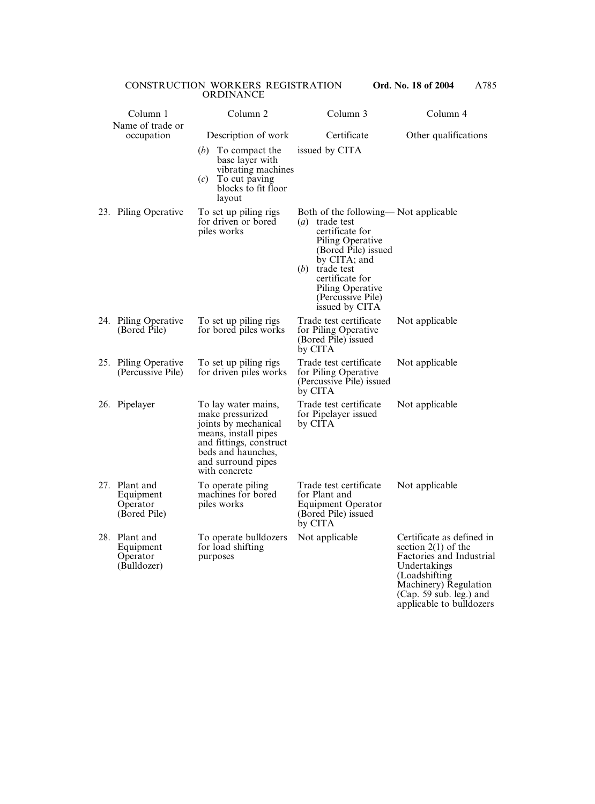|     | Column 1                                               | Column <sub>2</sub>                                                                                                                                                             | Column 3                                                                                                                                                                                                                                  | Column 4                                                                                                                                                                                           |
|-----|--------------------------------------------------------|---------------------------------------------------------------------------------------------------------------------------------------------------------------------------------|-------------------------------------------------------------------------------------------------------------------------------------------------------------------------------------------------------------------------------------------|----------------------------------------------------------------------------------------------------------------------------------------------------------------------------------------------------|
|     | Name of trade or<br>occupation                         | Description of work                                                                                                                                                             | Certificate                                                                                                                                                                                                                               | Other qualifications                                                                                                                                                                               |
|     |                                                        | (b)<br>To compact the<br>base layer with<br>vibrating machines<br>(c)<br>To cut paving<br>blocks to fit floor<br>layout                                                         | issued by CITA                                                                                                                                                                                                                            |                                                                                                                                                                                                    |
|     | 23. Piling Operative                                   | To set up piling rigs<br>for driven or bored<br>piles works                                                                                                                     | Both of the following—Not applicable<br>$(a)$ trade test<br>certificate for<br>Piling Operative<br>(Bored Pile) issued<br>by CITA; and<br>(b)<br>trade test<br>certificate for<br>Piling Operative<br>(Percussive Pile)<br>issued by CITA |                                                                                                                                                                                                    |
|     | 24. Piling Operative<br>(Bored Pile)                   | To set up piling rigs<br>for bored piles works                                                                                                                                  | Trade test certificate<br>for Piling Operative<br>(Bored Pile) issued<br>by CITA                                                                                                                                                          | Not applicable                                                                                                                                                                                     |
|     | 25. Piling Operative<br>(Percussive Pile)              | To set up piling rigs<br>for driven piles works                                                                                                                                 | Trade test certificate<br>for Piling Operative<br>(Percussive Pile) issued<br>by CITA                                                                                                                                                     | Not applicable                                                                                                                                                                                     |
|     | 26. Pipelayer                                          | To lay water mains,<br>make pressurized<br>joints by mechanical<br>means, install pipes<br>and fittings, construct<br>beds and haunches,<br>and surround pipes<br>with concrete | Trade test certificate<br>for Pipelayer issued<br>by CITA                                                                                                                                                                                 | Not applicable                                                                                                                                                                                     |
|     | 27. Plant and<br>Equipment<br>Operator<br>(Bored Pile) | To operate piling<br>machines for bored<br>piles works                                                                                                                          | Trade test certificate Not applicable<br>for Plant and<br><b>Equipment Operator</b><br>(Bored Pile) issued<br>by CITA                                                                                                                     |                                                                                                                                                                                                    |
| 28. | Plant and<br>Equipment<br>Operator<br>(Bulldozer)      | To operate bulldozers<br>for load shifting<br>purposes                                                                                                                          | Not applicable                                                                                                                                                                                                                            | Certificate as defined in<br>section $2(1)$ of the<br>Factories and Industrial<br>Undertakings<br>(Loadshifting)<br>Machinery) Regulation<br>$(Cap. 59 sub. leg.)$ and<br>applicable to bulldozers |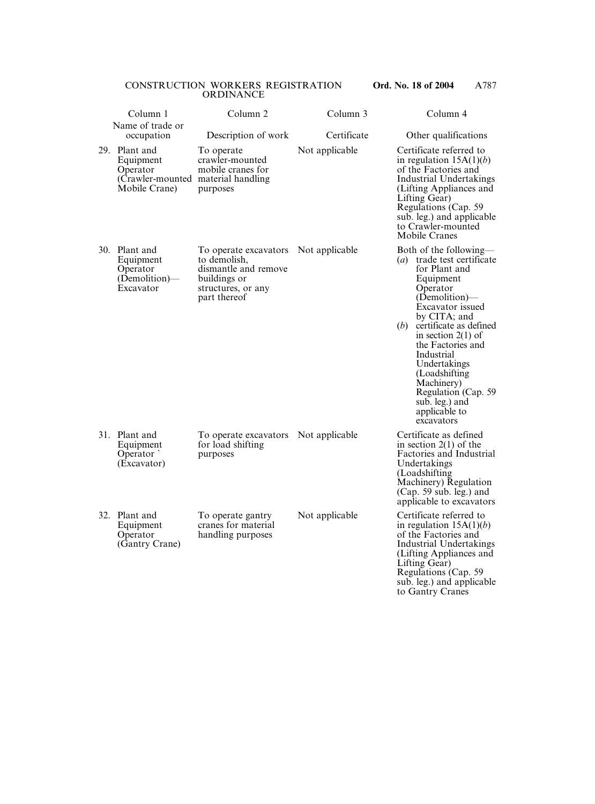| Column 1                                                                                       | Column <sub>2</sub>                                                                                                 | Column 3       | Column 4                                                                                                                                                                                                                                                                                                                                                                 |
|------------------------------------------------------------------------------------------------|---------------------------------------------------------------------------------------------------------------------|----------------|--------------------------------------------------------------------------------------------------------------------------------------------------------------------------------------------------------------------------------------------------------------------------------------------------------------------------------------------------------------------------|
| Name of trade or<br>occupation                                                                 | Description of work                                                                                                 | Certificate    | Other qualifications                                                                                                                                                                                                                                                                                                                                                     |
| 29. Plant and<br>Equipment<br>Operator<br>(Crawler-mounted material handling)<br>Mobile Crane) | To operate<br>crawler-mounted<br>mobile cranes for<br>purposes                                                      | Not applicable | Certificate referred to<br>in regulation $15A(1)(b)$<br>of the Factories and<br>Industrial Undertakings<br>(Lifting Appliances and<br>Lifting Gear)<br>Regulations (Cap. 59)<br>sub. leg.) and applicable<br>to Crawler-mounted<br>Mobile Cranes                                                                                                                         |
| 30. Plant and<br>Equipment<br>Operator<br>(Demolition)—<br>Excavator                           | To operate excavators<br>to demolish,<br>dismantle and remove<br>buildings or<br>structures, or any<br>part thereof | Not applicable | Both of the following—<br>(a) trade test certificate<br>for Plant and<br>Equipment<br>Operator<br>(Demolition)—<br>Excavator issued<br>by CITA; and<br>certificate as defined<br>(b)<br>in section $2(1)$ of<br>the Factories and<br>Industrial<br>Undertakings<br>(Loadshifting)<br>Machinery)<br>Regulation (Cap. 59)<br>sub. leg.) and<br>applicable to<br>excavators |
| 31. Plant and<br>Equipment<br>Operator<br>(Excavator)                                          | To operate excavators<br>for load shifting<br>purposes                                                              | Not applicable | Certificate as defined<br>in section $2(1)$ of the<br>Factories and Industrial<br>Undertakings<br>(Loadshifting)<br>Machinery) Regulation<br>$(Cap. 59 sub. leg.)$ and<br>applicable to excavators                                                                                                                                                                       |
| 32. Plant and<br>Equipment<br>Operator<br>(Gantry Crane)                                       | To operate gantry<br>cranes for material<br>handling purposes                                                       | Not applicable | Certificate referred to<br>in regulation $15A(1)(b)$<br>of the Factories and<br><b>Industrial Undertakings</b><br>(Lifting Appliances and<br>Lifting Gear)                                                                                                                                                                                                               |

Regulations (Cap. 59 sub. leg.) and applicable to Gantry Cranes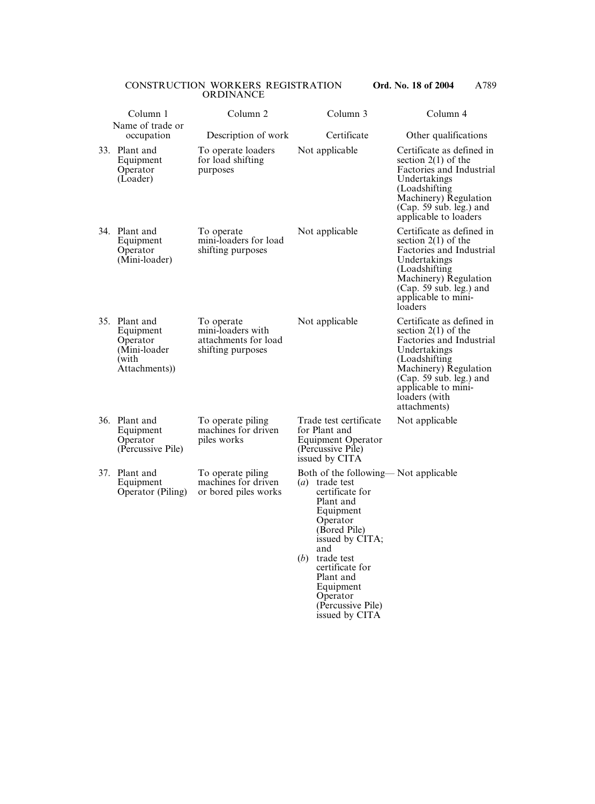| Column 1                                                                         | Column <sub>2</sub>                                                          | Column 3                                                                                                                                                                                                                                                                                        | Column 4                                                                                                                                                                                                                     |
|----------------------------------------------------------------------------------|------------------------------------------------------------------------------|-------------------------------------------------------------------------------------------------------------------------------------------------------------------------------------------------------------------------------------------------------------------------------------------------|------------------------------------------------------------------------------------------------------------------------------------------------------------------------------------------------------------------------------|
| Name of trade or<br>occupation                                                   | Description of work                                                          | Certificate                                                                                                                                                                                                                                                                                     | Other qualifications                                                                                                                                                                                                         |
| 33. Plant and<br>Equipment<br>Operator<br>(Loader)                               | To operate loaders<br>for load shifting<br>purposes                          | Not applicable                                                                                                                                                                                                                                                                                  | Certificate as defined in<br>section $2(1)$ of the<br>Factories and Industrial<br>Undertakings<br>(Loadshifting)<br>Machinery) Regulation<br>(Cap. 59 sub. leg.) and<br>applicable to loaders                                |
| 34. Plant and<br>Equipment<br>Operator<br>(Mini-loader)                          | To operate<br>mini-loaders for load<br>shifting purposes                     | Not applicable                                                                                                                                                                                                                                                                                  | Certificate as defined in<br>section $2(1)$ of the<br>Factories and Industrial<br>Undertakings<br>(Loadshifting)<br>Machinery) Regulation<br>$(Cap. 59 sub. leg.)$ and<br>applicable to mini-<br>loaders                     |
| 35. Plant and<br>Equipment<br>Operator<br>(Mini-loader<br>(with<br>Attachments)) | To operate<br>mini-loaders with<br>attachments for load<br>shifting purposes | Not applicable                                                                                                                                                                                                                                                                                  | Certificate as defined in<br>section $2(1)$ of the<br>Factories and Industrial<br>Undertakings<br>(Loadshifting)<br>Machinery) Regulation<br>(Cap. 59 sub. leg.) and<br>applicable to mini-<br>loaders (with<br>attachments) |
| 36. Plant and<br>Equipment<br>Operator<br>(Percussive Pile)                      | To operate piling<br>machines for driven<br>piles works                      | Trade test certificate<br>for Plant and<br>Equipment Operator<br>(Percussive Pile)<br>issued by CITA                                                                                                                                                                                            | Not applicable                                                                                                                                                                                                               |
| 37. Plant and<br>Equipment<br>Operator (Piling)                                  | To operate piling<br>machines for driven<br>or bored piles works             | Both of the following—Not applicable<br>$\left( a\right)$<br>trade test<br>certificate for<br>Plant and<br>Equipment<br>Operator<br>(Bored Pile)<br>issued by CITA;<br>and<br>trade test<br>(b)<br>certificate for<br>Plant and<br>Equipment<br>Operator<br>(Percussive Pile)<br>issued by CITA |                                                                                                                                                                                                                              |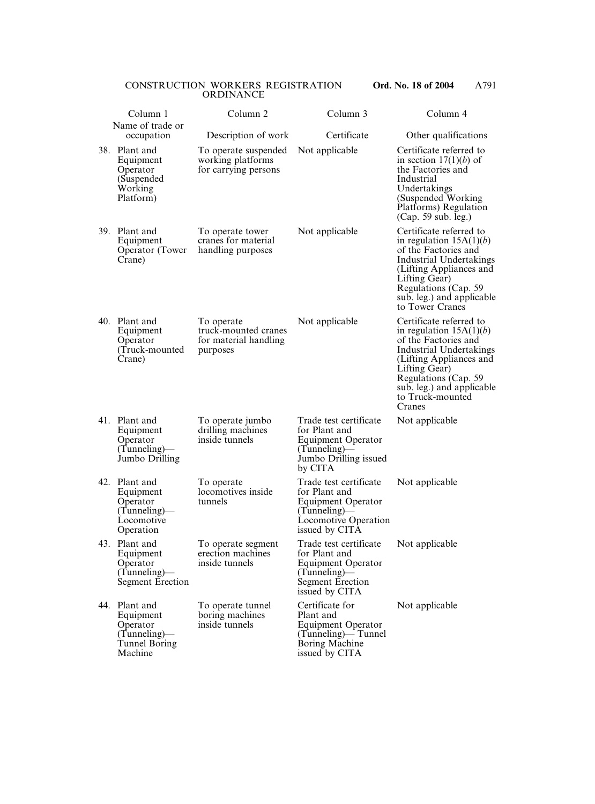|     | Column 1                                                                              | Column <sub>2</sub>                                                     | Column 3                                                                                                                                         | Column 4                                                                                                                                                                                                                                       |
|-----|---------------------------------------------------------------------------------------|-------------------------------------------------------------------------|--------------------------------------------------------------------------------------------------------------------------------------------------|------------------------------------------------------------------------------------------------------------------------------------------------------------------------------------------------------------------------------------------------|
|     | Name of trade or<br>occupation                                                        | Description of work                                                     | Certificate                                                                                                                                      | Other qualifications                                                                                                                                                                                                                           |
|     | 38. Plant and<br>Equipment<br>Operator<br>(Suspended<br>Working<br>Platform)          | To operate suspended<br>working platforms<br>for carrying persons       | Not applicable                                                                                                                                   | Certificate referred to<br>in section $17(1)(b)$ of<br>the Factories and<br>Industrial<br>Undertakings<br>(Suspended Working)<br>Platforms) Regulation<br>(Cap. 59 sub. leg.)                                                                  |
|     | 39. Plant and<br>Equipment<br>Operator (Tower)<br>Crane)                              | To operate tower<br>cranes for material<br>handling purposes            | Not applicable                                                                                                                                   | Certificate referred to<br>in regulation $15A(1)(b)$<br>of the Factories and<br><b>Industrial Undertakings</b><br>(Lifting Appliances and<br>Lifting Gear)<br>Regulations (Cap. 59)<br>sub. leg.) and applicable<br>to Tower Cranes            |
|     | 40. Plant and<br>Equipment<br>Operator<br>(Truck-mounted<br>Crane)                    | To operate<br>truck-mounted cranes<br>for material handling<br>purposes | Not applicable                                                                                                                                   | Certificate referred to<br>in regulation $15A(1)(b)$<br>of the Factories and<br><b>Industrial Undertakings</b><br>(Lifting Appliances and<br>Lifting Gear)<br>Regulations (Cap. 59)<br>sub. leg.) and applicable<br>to Truck-mounted<br>Cranes |
|     | 41. Plant and<br>Equipment<br>Operator<br>$(Tunneling)$ —<br>Jumbo Drilling           | To operate jumbo<br>drilling machines<br>inside tunnels                 | Trade test certificate<br>for Plant and<br><b>Equipment Operator</b><br>$(Tunneling)$ —<br>Jumbo Drilling issued<br>by CITA                      | Not applicable                                                                                                                                                                                                                                 |
| 42. | Plant and<br>Equipment<br>Operator<br>$(Tunneling)$ —<br>Locomotive<br>Operation      | To operate<br>locomotives inside<br>tunnels                             | Trade test certificate Not applicable<br>for Plant and<br><b>Equipment Operator</b><br>$(Tunneling)$ —<br>Locomotive Operation<br>issued by CITA |                                                                                                                                                                                                                                                |
|     | 43. Plant and<br>Equipment<br>Operator<br>$(Tunneling)$ —<br><b>Segment Erection</b>  | To operate segment<br>erection machines<br>inside tunnels               | Trade test certificate<br>for Plant and<br><b>Equipment Operator</b><br>$(Tunneling)$ —<br><b>Segment Erection</b><br>issued by CITA             | Not applicable                                                                                                                                                                                                                                 |
|     | 44. Plant and<br>Equipment<br>Operator<br>$(Tunneling)$ —<br>Tunnel Boring<br>Machine | To operate tunnel<br>boring machines<br>inside tunnels                  | Certificate for<br>Plant and<br><b>Equipment Operator</b><br>(Tunneling)— Tunnel<br>Boring Machine<br>issued by CITA                             | Not applicable                                                                                                                                                                                                                                 |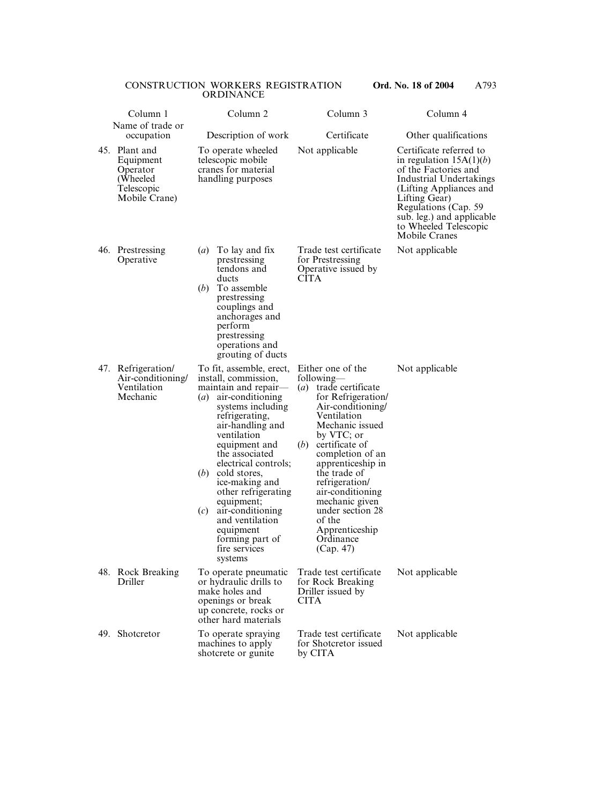|     | Column 1                                                                          | Column <sub>2</sub>                                                                                                                                                                                                                                                                                                                                                                                                                            | Column 3                                                                                                                                                                                                                                                                                                                                                                | Column 4                                                                                                                                                                                                                                                   |
|-----|-----------------------------------------------------------------------------------|------------------------------------------------------------------------------------------------------------------------------------------------------------------------------------------------------------------------------------------------------------------------------------------------------------------------------------------------------------------------------------------------------------------------------------------------|-------------------------------------------------------------------------------------------------------------------------------------------------------------------------------------------------------------------------------------------------------------------------------------------------------------------------------------------------------------------------|------------------------------------------------------------------------------------------------------------------------------------------------------------------------------------------------------------------------------------------------------------|
|     | Name of trade or<br>occupation                                                    | Description of work                                                                                                                                                                                                                                                                                                                                                                                                                            | Certificate                                                                                                                                                                                                                                                                                                                                                             | Other qualifications                                                                                                                                                                                                                                       |
|     | 45. Plant and<br>Equipment<br>Operator<br>(Wheeled<br>Telescopic<br>Mobile Crane) | To operate wheeled<br>telescopic mobile<br>cranes for material<br>handling purposes                                                                                                                                                                                                                                                                                                                                                            | Not applicable                                                                                                                                                                                                                                                                                                                                                          | Certificate referred to<br>in regulation $15A(1)(b)$<br>of the Factories and<br><b>Industrial Undertakings</b><br>(Lifting Appliances and<br>Lifting Gear)<br>Regulations (Cap. 59)<br>sub. leg.) and applicable<br>to Wheeled Telescopic<br>Mobile Cranes |
| 46. | Prestressing<br>Operative                                                         | To lay and fix<br>$\left(a\right)$<br>prestressing<br>tendons and<br>ducts<br>(b)<br>To assemble<br>prestressing<br>couplings and<br>anchorages and<br>perform<br>prestressing<br>operations and<br>grouting of ducts                                                                                                                                                                                                                          | Trade test certificate<br>for Prestressing<br>Operative issued by<br><b>CITA</b>                                                                                                                                                                                                                                                                                        | Not applicable                                                                                                                                                                                                                                             |
|     | 47. Refrigeration/<br>Air-conditioning/<br>Ventilation<br>Mechanic                | To fit, assemble, erect,<br>install, commission,<br>maintain and repair-<br>air-conditioning<br>$\left( a\right)$<br>systems including<br>refrigerating,<br>air-handling and<br>ventilation<br>equipment and<br>the associated<br>electrical controls;<br>(b)<br>cold stores,<br>ice-making and<br>other refrigerating<br>equipment;<br>air-conditioning<br>(c)<br>and ventilation<br>equipment<br>forming part of<br>fire services<br>systems | Either one of the<br>following—<br>(a) trade certificate<br>for Refrigeration/<br>Air-conditioning/<br>Ventilation<br>Mechanic issued<br>by VTC; or<br>certificate of<br>(b)<br>completion of an<br>apprenticeship in<br>the trade of<br>refrigeration/<br>air-conditioning<br>mechanic given<br>under section 28<br>of the<br>Apprenticeship<br>Ordinance<br>(Cap. 47) | Not applicable                                                                                                                                                                                                                                             |
|     | 48. Rock Breaking<br>Driller                                                      | To operate pneumatic<br>or hydraulic drills to<br>make holes and<br>openings or break<br>up concrete, rocks or<br>other hard materials                                                                                                                                                                                                                                                                                                         | Trade test certificate<br>for Rock Breaking<br>Driller issued by<br><b>CITA</b>                                                                                                                                                                                                                                                                                         | Not applicable                                                                                                                                                                                                                                             |
|     | 49. Shotcretor                                                                    | To operate spraying<br>machines to apply<br>shotcrete or gunite                                                                                                                                                                                                                                                                                                                                                                                | Trade test certificate<br>for Shotcretor issued<br>by CITA                                                                                                                                                                                                                                                                                                              | Not applicable                                                                                                                                                                                                                                             |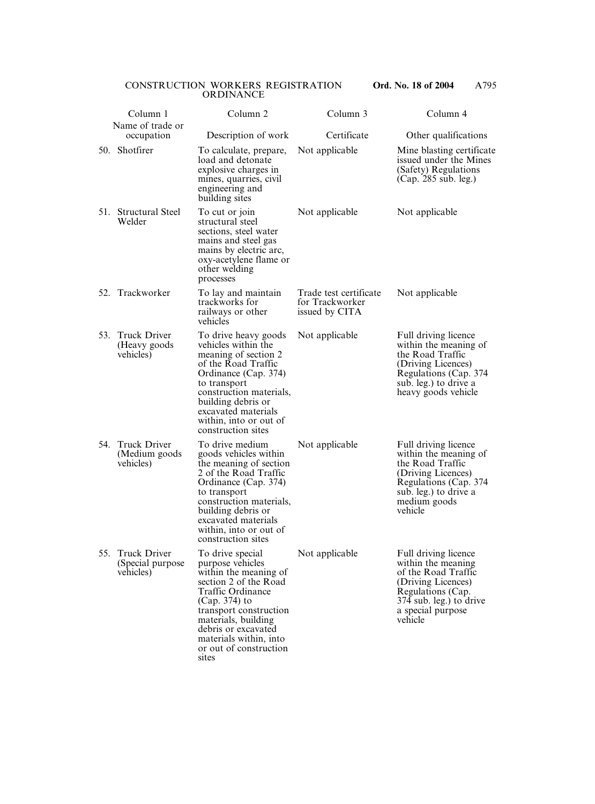|     | Column 1<br>Name of trade or                          | Column <sub>2</sub>                                                                                                                                                                                                                                                      | Column 3                                                    | Column 4                                                                                                                                                                |
|-----|-------------------------------------------------------|--------------------------------------------------------------------------------------------------------------------------------------------------------------------------------------------------------------------------------------------------------------------------|-------------------------------------------------------------|-------------------------------------------------------------------------------------------------------------------------------------------------------------------------|
|     | occupation                                            | Description of work                                                                                                                                                                                                                                                      | Certificate                                                 | Other qualifications                                                                                                                                                    |
|     | 50. Shotfirer                                         | To calculate, prepare,<br>load and detonate<br>explosive charges in<br>mines, quarries, civil<br>engineering and<br>building sites                                                                                                                                       | Not applicable                                              | Mine blasting certificate<br>issued under the Mines<br>(Safety) Regulations<br>(Cap. 285 sub. leg.)                                                                     |
|     | 51. Structural Steel<br>Welder                        | To cut or join<br>structural steel<br>sections, steel water<br>mains and steel gas<br>mains by electric arc,<br>oxy-acetylene flame or<br>other welding<br>processes                                                                                                     | Not applicable                                              | Not applicable                                                                                                                                                          |
|     | 52. Trackworker                                       | To lay and maintain<br>trackworks for<br>railways or other<br>vehicles                                                                                                                                                                                                   | Trade test certificate<br>for Trackworker<br>issued by CITA | Not applicable                                                                                                                                                          |
| 53. | <b>Truck Driver</b><br>(Heavy goods)<br>vehicles)     | To drive heavy goods<br>vehicles within the<br>meaning of section 2<br>of the Road Traffic<br>Ordinance (Cap. 374)<br>to transport<br>construction materials,<br>building debris or<br>excavated materials<br>within, into or out of<br>construction sites               | Not applicable                                              | Full driving licence<br>within the meaning of<br>the Road Traffic<br>(Driving Licences)<br>Regulations (Cap. 374<br>sub. leg.) to drive a<br>heavy goods vehicle        |
| 54. | <b>Truck Driver</b><br>(Medium goods)<br>vehicles)    | To drive medium<br>goods vehicles within<br>the meaning of section<br>2 of the Road Traffic<br>Ordinance (Cap. 374)<br>to transport<br>construction materials,<br>building debris or<br>excavated materials<br>within, into or out of<br>construction sites              | Not applicable                                              | Full driving licence<br>within the meaning of<br>the Road Traffic<br>(Driving Licences)<br>Regulations (Cap. 374)<br>sub. leg.) to drive a<br>medium goods<br>vehicle   |
| 55. | <b>Truck Driver</b><br>(Special purpose)<br>vehicles) | To drive special<br>purpose vehicles<br>within the meaning of<br>section 2 of the Road<br><b>Traffic Ordinance</b><br>(Cap. 374) to<br>transport construction<br>materials, building<br>debris or excavated<br>materials within, into<br>or out of construction<br>sites | Not applicable                                              | Full driving licence<br>within the meaning<br>of the Road Traffic<br>(Driving Licences)<br>Regulations (Cap.<br>374 sub. leg.) to drive<br>a special purpose<br>vehicle |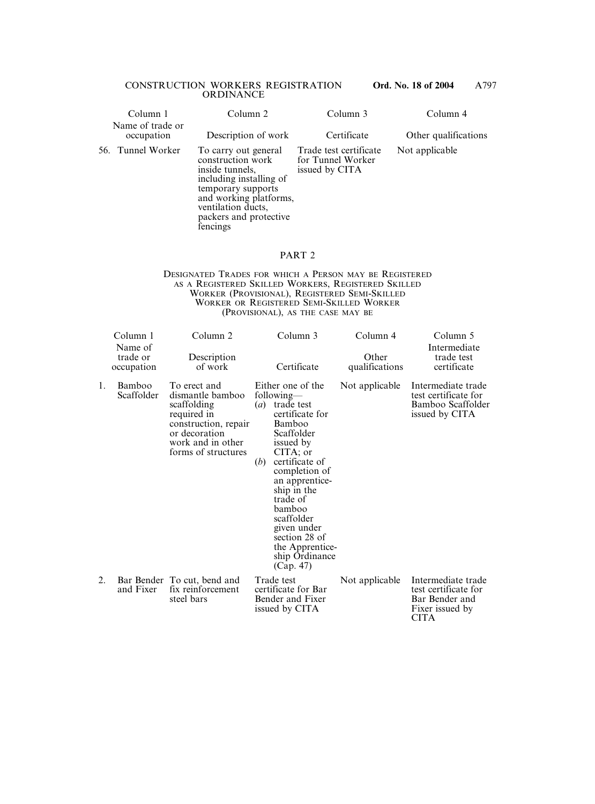| Column 1                       | Column <sub>2</sub>                                                                                                                                                                                 | Column 3                                                      | Column 4             |
|--------------------------------|-----------------------------------------------------------------------------------------------------------------------------------------------------------------------------------------------------|---------------------------------------------------------------|----------------------|
| Name of trade or<br>occupation | Description of work                                                                                                                                                                                 | Certificate                                                   | Other qualifications |
| 56. Tunnel Worker              | To carry out general<br>construction work<br>inside tunnels,<br>including installing of<br>temporary supports<br>and working platforms,<br>ventilation ducts,<br>packers and protective<br>fencings | Trade test certificate<br>for Tunnel Worker<br>issued by CITA | Not applicable       |

#### PART 2

#### DESIGNATED TRADES FOR WHICH A PERSON MAY BE REGISTERED AS A REGISTERED SKILLED WORKERS, REGISTERED SKILLED WORKER (PROVISIONAL), REGISTERED SEMI-SKILLED WORKER OR REGISTERED SEMI-SKILLED WORKER (PROVISIONAL), AS THE CASE MAY BE

|    | Column 1<br>Name of<br>trade or<br>occupation | Column <sub>2</sub><br>Description<br>of work                                                                                                       | Column 3<br>Certificate                                                                                                                                                                                                                                                                                                         | Column 4<br>Other<br>qualifications | Column 5<br>Intermediate<br>trade test<br>certificate                                          |
|----|-----------------------------------------------|-----------------------------------------------------------------------------------------------------------------------------------------------------|---------------------------------------------------------------------------------------------------------------------------------------------------------------------------------------------------------------------------------------------------------------------------------------------------------------------------------|-------------------------------------|------------------------------------------------------------------------------------------------|
| 1. | Bamboo<br>Scaffolder                          | To erect and<br>dismantle bamboo<br>scaffolding<br>required in<br>construction, repair<br>or decoration<br>work and in other<br>forms of structures | Either one of the<br>following—<br>( <i>a</i> ) trade test<br>certificate for<br>Bamboo<br>Scaffolder<br>issued by<br>CITA; or<br>certificate of<br>(b)<br>completion of<br>an apprentice-<br>ship in the<br>trade of<br>bamboo<br>scaffolder<br>given under<br>section 28 of<br>the Apprentice-<br>ship Ordinance<br>(Cap. 47) | Not applicable                      | Intermediate trade<br>test certificate for<br>Bamboo Scaffolder<br>issued by CITA              |
| 2. | and Fixer                                     | Bar Bender To cut, bend and<br>fix reinforcement<br>steel bars                                                                                      | Trade test<br>certificate for Bar<br>Bender and Fixer<br>issued by CITA                                                                                                                                                                                                                                                         | Not applicable                      | Intermediate trade<br>test certificate for<br>Bar Bender and<br>Fixer issued by<br><b>CITA</b> |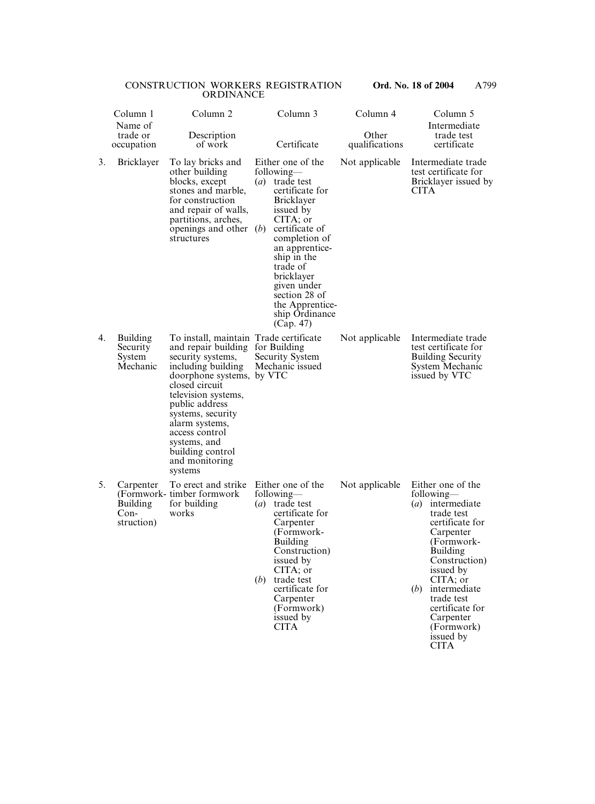|    | Column 1<br>Name of                                  | Column <sub>2</sub>                                                                                                                                                                                                                                                                                                                     |                  | Column 3                                                                                                                                                                                                                                                                                       | Column 4                |             | Column 5<br>Intermediate                                                                                                                                                                                                                                   |
|----|------------------------------------------------------|-----------------------------------------------------------------------------------------------------------------------------------------------------------------------------------------------------------------------------------------------------------------------------------------------------------------------------------------|------------------|------------------------------------------------------------------------------------------------------------------------------------------------------------------------------------------------------------------------------------------------------------------------------------------------|-------------------------|-------------|------------------------------------------------------------------------------------------------------------------------------------------------------------------------------------------------------------------------------------------------------------|
|    | trade or<br>occupation                               | Description<br>of work                                                                                                                                                                                                                                                                                                                  |                  | Certificate                                                                                                                                                                                                                                                                                    | Other<br>qualifications |             | trade test<br>certificate                                                                                                                                                                                                                                  |
| 3. | <b>Bricklayer</b>                                    | To lay bricks and<br>other building<br>blocks, except<br>stones and marble,<br>for construction<br>and repair of walls,<br>partitions, arches,<br>openings and other $(b)$<br>structures                                                                                                                                                | $\left(a\right)$ | Either one of the<br>following—<br>trade test<br>certificate for<br><b>Bricklayer</b><br>issued by<br>CITA; or<br>certificate of<br>completion of<br>an apprentice-<br>ship in the<br>trade of<br>bricklayer<br>given under<br>section 28 of<br>the Apprentice-<br>ship Ordinance<br>(Cap. 47) | Not applicable          | <b>CITA</b> | Intermediate trade<br>test certificate for<br>Bricklayer issued by                                                                                                                                                                                         |
| 4. | <b>Building</b><br>Security<br>System<br>Mechanic    | To install, maintain Trade certificate<br>and repair building for Building<br>security systems,<br>including building<br>doorphone systems, by VTC<br>closed circuit<br>television systems,<br>public address<br>systems, security<br>alarm systems,<br>access control<br>systems, and<br>building control<br>and monitoring<br>systems |                  | Security System<br>Mechanic issued                                                                                                                                                                                                                                                             | Not applicable          |             | Intermediate trade<br>test certificate for<br><b>Building Security</b><br>System Mechanic<br>issued by VTC                                                                                                                                                 |
| 5. | Carpenter<br><b>Building</b><br>$Con-$<br>struction) | To erect and strike Either one of the Not applicable Either one of the<br>(Formwork-timber formwork)<br>for building<br>works                                                                                                                                                                                                           | (b)              | following—<br>$(a)$ trade test<br>certificate for<br>Carpenter<br>(Formwork-<br><b>Building</b><br>Construction)<br>issued by<br>CITA; or<br>trade test<br>certificate for<br>Carpenter<br>(Formwork)<br>issued by<br><b>CITA</b>                                                              |                         | (b)         | following-<br>$(a)$ intermediate<br>trade test<br>certificate for<br>Carpenter<br>(Formwork-<br>Building<br>Construction)<br>issued by<br>CITA; or<br>intermediate<br>trade test<br>certificate for<br>Carpenter<br>(Formwork)<br>issued by<br><b>CITA</b> |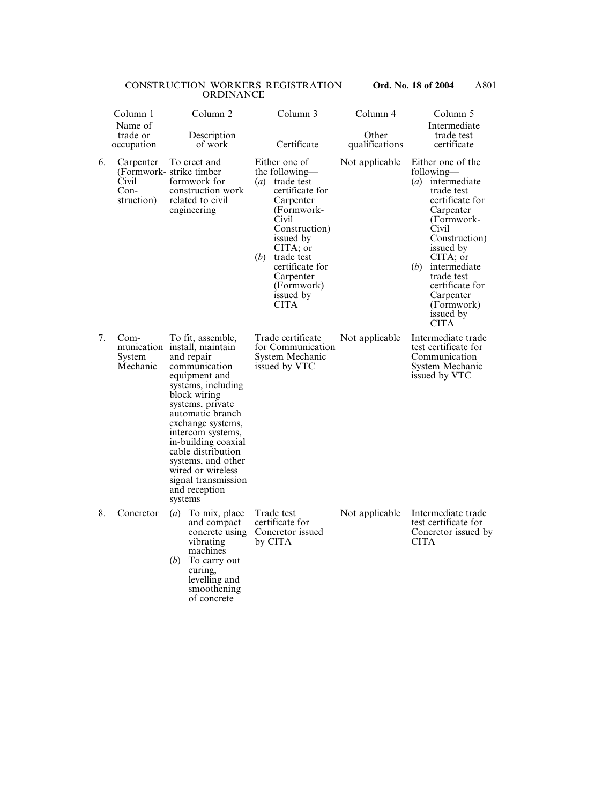|    | Column 1                                   | Column <sub>2</sub>                                                                                                                                                                                                                                                                                                                                                  | Column 3                                                                                                                                                                                                                                                          | Column 4                | Column 5                                                                                                                                                                                                                                                                             |  |
|----|--------------------------------------------|----------------------------------------------------------------------------------------------------------------------------------------------------------------------------------------------------------------------------------------------------------------------------------------------------------------------------------------------------------------------|-------------------------------------------------------------------------------------------------------------------------------------------------------------------------------------------------------------------------------------------------------------------|-------------------------|--------------------------------------------------------------------------------------------------------------------------------------------------------------------------------------------------------------------------------------------------------------------------------------|--|
|    | Name of<br>trade or<br>occupation          | Description<br>of work                                                                                                                                                                                                                                                                                                                                               | Certificate                                                                                                                                                                                                                                                       | Other<br>qualifications | Intermediate<br>trade test<br>certificate                                                                                                                                                                                                                                            |  |
| 6. | Carpenter<br>Civil<br>$Con-$<br>struction) | To erect and<br>(Formwork- strike timber)<br>formwork for<br>construction work<br>related to civil<br>engineering                                                                                                                                                                                                                                                    | Either one of<br>the following—<br>trade test<br>$\left(a\right)$<br>certificate for<br>Carpenter<br>(Formwork-<br>Civil<br>Construction)<br>issued by<br>CITA; or<br>(b)<br>trade test<br>certificate for<br>Carpenter<br>(Formwork)<br>issued by<br><b>CITA</b> | Not applicable          | Either one of the<br>following—<br>intermediate<br>(a)<br>trade test<br>certificate for<br>Carpenter<br>(Formwork-<br>Civil<br>Construction)<br>issued by<br>CITA; or<br>(b)<br>intermediate<br>trade test<br>certificate for<br>Carpenter<br>(Formwork)<br>issued by<br><b>CITA</b> |  |
| 7. | Com-<br>System<br>Mechanic                 | To fit, assemble,<br>munication install, maintain<br>and repair<br>communication<br>equipment and<br>systems, including<br>block wiring<br>systems, private<br>automatic branch<br>exchange systems,<br>intercom systems,<br>in-building coaxial<br>cable distribution<br>systems, and other<br>wired or wireless<br>signal transmission<br>and reception<br>systems | Trade certificate<br>for Communication<br>System Mechanic<br>issued by VTC                                                                                                                                                                                        | Not applicable          | Intermediate trade<br>test certificate for<br>Communication<br>System Mechanic<br>issued by VTC                                                                                                                                                                                      |  |
| 8. | Concretor                                  | To mix, place<br>$\left(a\right)$<br>and compact<br>concrete using<br>vibrating<br>machines<br>To carry out<br>(b)<br>curing,<br>levelling and<br>smoothening<br>of concrete                                                                                                                                                                                         | Trade test<br>certificate for<br>Concretor issued<br>by CITA                                                                                                                                                                                                      | Not applicable          | Intermediate trade<br>test certificate for<br>Concretor issued by<br><b>CITA</b>                                                                                                                                                                                                     |  |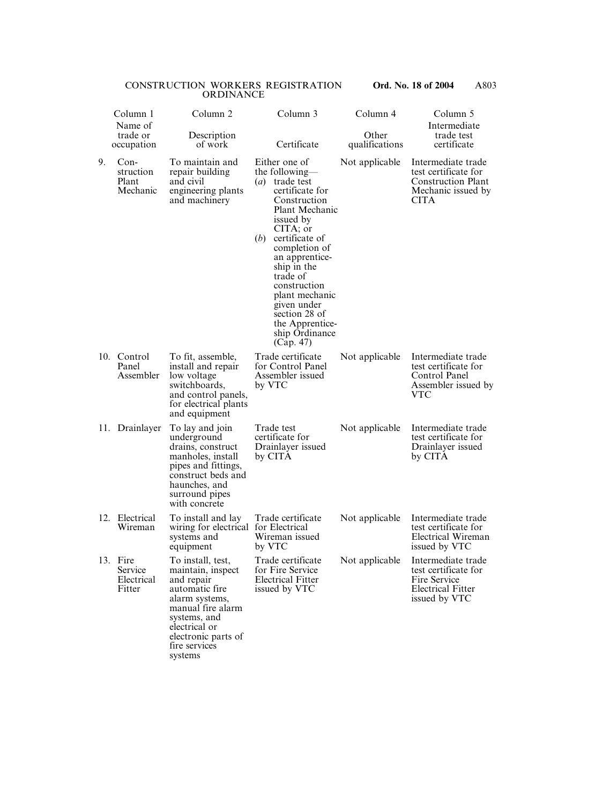|     | Column 1<br>Name of                         | Column <sub>2</sub>                                                                                                                                                                               | Column 3                                                                                                                                                                                                                                                                                                                                                   | Column 4                | Column 5<br>Intermediate                                                                                     |  |
|-----|---------------------------------------------|---------------------------------------------------------------------------------------------------------------------------------------------------------------------------------------------------|------------------------------------------------------------------------------------------------------------------------------------------------------------------------------------------------------------------------------------------------------------------------------------------------------------------------------------------------------------|-------------------------|--------------------------------------------------------------------------------------------------------------|--|
|     | trade or<br>occupation                      | Description<br>of work                                                                                                                                                                            | Certificate                                                                                                                                                                                                                                                                                                                                                | Other<br>qualifications | trade test<br>certificate                                                                                    |  |
| 9.  | $Con-$<br>struction<br>Plant<br>Mechanic    | To maintain and<br>repair building<br>and civil<br>engineering plants<br>and machinery                                                                                                            | Either one of<br>the following—<br>trade test<br>$\left(a\right)$<br>certificate for<br>Construction<br>Plant Mechanic<br>issued by<br>CITA; or<br>(b)<br>certificate of<br>completion of<br>an apprentice-<br>ship in the<br>trade of<br>construction<br>plant mechanic<br>given under<br>section 28 of<br>the Apprentice-<br>ship Ordinance<br>(Cap. 47) | Not applicable          | Intermediate trade<br>test certificate for<br><b>Construction Plant</b><br>Mechanic issued by<br><b>CITA</b> |  |
|     | 10. Control<br>Panel<br>Assembler           | To fit, assemble,<br>install and repair<br>low voltage<br>switchboards,<br>and control panels,<br>for electrical plants<br>and equipment                                                          | Trade certificate<br>for Control Panel<br>Assembler issued<br>by VTC                                                                                                                                                                                                                                                                                       | Not applicable          | Intermediate trade<br>test certificate for<br>Control Panel<br>Assembler issued by<br>VTC                    |  |
|     | 11. Drainlayer                              | To lay and join<br>underground<br>drains, construct<br>manholes, install<br>pipes and fittings,<br>construct beds and<br>haunches, and<br>surround pipes<br>with concrete                         | Trade test<br>certificate for<br>Drainlayer issued<br>by CITA                                                                                                                                                                                                                                                                                              | Not applicable          | Intermediate trade<br>test certificate for<br>Drainlayer issued<br>by CITA                                   |  |
| 12. | Electrical<br>Wireman                       | To install and lay<br>wiring for electrical for Electrical<br>systems and<br>equipment                                                                                                            | Trade certificate<br>Wireman issued<br>by VTC                                                                                                                                                                                                                                                                                                              | Not applicable          | Intermediate trade<br>test certificate for<br>Electrical Wireman<br>issued by VTC                            |  |
|     | 13. Fire<br>Service<br>Electrical<br>Fitter | To install, test,<br>maintain, inspect<br>and repair<br>automatic fire<br>alarm systems,<br>manual fire alarm<br>systems, and<br>electrical or<br>electronic parts of<br>fire services<br>systems | Trade certificate<br>for Fire Service<br><b>Electrical Fitter</b><br>issued by VTC                                                                                                                                                                                                                                                                         | Not applicable          | Intermediate trade<br>test certificate for<br>Fire Service<br><b>Electrical Fitter</b><br>issued by VTC      |  |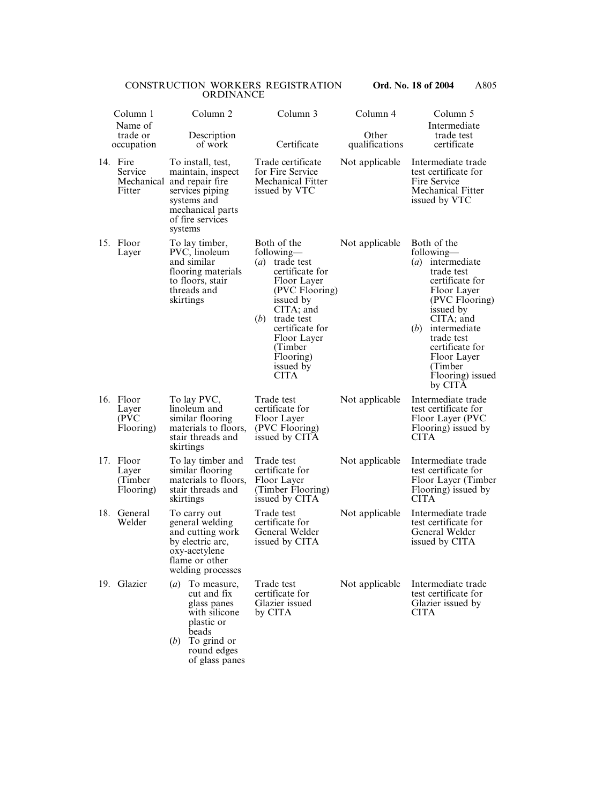|     | Column 1                                   | Column <sub>2</sub>                                                                                                                                          | Column 3                                                                                                                                                                                                                                 | Column 4                | Column 5<br>Intermediate                                                                                                                                                                                                                                                   |
|-----|--------------------------------------------|--------------------------------------------------------------------------------------------------------------------------------------------------------------|------------------------------------------------------------------------------------------------------------------------------------------------------------------------------------------------------------------------------------------|-------------------------|----------------------------------------------------------------------------------------------------------------------------------------------------------------------------------------------------------------------------------------------------------------------------|
|     | Name of<br>trade or<br>occupation          | Description<br>of work                                                                                                                                       | Certificate                                                                                                                                                                                                                              | Other<br>qualifications | trade test<br>certificate                                                                                                                                                                                                                                                  |
|     | 14. Fire<br>Service<br>Fitter              | To install, test,<br>maintain, inspect<br>Mechanical and repair fire<br>services piping<br>systems and<br>mechanical parts<br>of fire services<br>systems    | Trade certificate<br>for Fire Service<br><b>Mechanical Fitter</b><br>issued by VTC                                                                                                                                                       | Not applicable          | Intermediate trade<br>test certificate for<br>Fire Service<br><b>Mechanical Fitter</b><br>issued by VTC                                                                                                                                                                    |
|     | 15. Floor<br>Layer                         | To lay timber,<br>PVC, linoleum<br>and similar<br>flooring materials<br>to floors, stair<br>threads and<br>skirtings                                         | Both of the<br>following—<br>(a) trade test<br>certificate for<br>Floor Layer<br>(PVC Flooring)<br>issued by<br>$CITA$ ; and<br>trade test<br>(b)<br>certificate for<br>Floor Layer<br>(Timber)<br>Flooring)<br>issued by<br><b>CITA</b> | Not applicable          | Both of the<br>following—<br>intermediate<br>$\left(a\right)$<br>trade test<br>certificate for<br>Floor Layer<br>(PVC Flooring)<br>issued by<br>CITA; and<br>(b)<br>intermediate<br>trade test<br>certificate for<br>Floor Layer<br>(Timber<br>Flooring) issued<br>by CITA |
|     | 16. Floor<br>Layer<br>(PVC)<br>Flooring)   | To lay PVC,<br>linoleum and<br>similar flooring<br>materials to floors,<br>stair threads and<br>skirtings                                                    | Trade test<br>certificate for<br>Floor Layer<br>(PVC Flooring)<br>issued by CITA                                                                                                                                                         | Not applicable          | Intermediate trade<br>test certificate for<br>Floor Layer (PVC)<br>Flooring) issued by<br><b>CITA</b>                                                                                                                                                                      |
|     | 17. Floor<br>Layer<br>(Timber<br>Flooring) | To lay timber and<br>similar flooring<br>materials to floors,<br>stair threads and<br>skirtings                                                              | Trade test<br>certificate for<br>Floor Layer<br>(Timber Flooring)<br>issued by CITA                                                                                                                                                      | Not applicable          | Intermediate trade<br>test certificate for<br>Floor Layer (Timber<br>Flooring) issued by<br><b>CITA</b>                                                                                                                                                                    |
| 18. | General<br>Welder                          | To carry out<br>general welding<br>and cutting work<br>by electric arc,<br>oxy-acetylene<br>flame or other<br>welding processes                              | Trade test<br>certificate for<br>General Welder<br>issued by CITA                                                                                                                                                                        | Not applicable          | Intermediate trade<br>test certificate for<br>General Welder<br>issued by CITA                                                                                                                                                                                             |
|     | 19. Glazier                                | To measure,<br>$\left(a\right)$<br>cut and fix<br>glass panes<br>with silicone<br>plastic or<br>beads<br>To grind or<br>(b)<br>round edges<br>of glass panes | Trade test<br>certificate for<br>Glazier issued<br>by CITA                                                                                                                                                                               | Not applicable          | Intermediate trade<br>test certificate for<br>Glazier issued by<br><b>CITA</b>                                                                                                                                                                                             |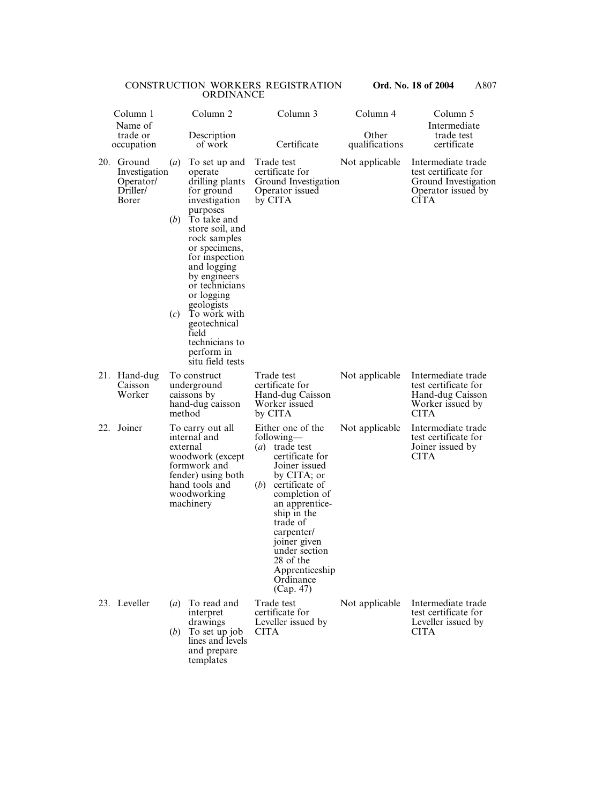|     | Column 1<br>Name of                                       |                                | Column <sub>2</sub>                                                                                                                                                                                                                                                                                                                                   |             | Column 3                                                                                                                                                                                                                                                                                              | Column 4                | Column 5<br>Intermediate                                                                                |
|-----|-----------------------------------------------------------|--------------------------------|-------------------------------------------------------------------------------------------------------------------------------------------------------------------------------------------------------------------------------------------------------------------------------------------------------------------------------------------------------|-------------|-------------------------------------------------------------------------------------------------------------------------------------------------------------------------------------------------------------------------------------------------------------------------------------------------------|-------------------------|---------------------------------------------------------------------------------------------------------|
|     | trade or<br>occupation                                    |                                | Description<br>of work                                                                                                                                                                                                                                                                                                                                |             | Certificate                                                                                                                                                                                                                                                                                           | Other<br>qualifications | trade test<br>certificate                                                                               |
| 20. | Ground<br>Investigation<br>Operator/<br>Driller/<br>Borer | $\left(a\right)$<br>(b)<br>(c) | To set up and<br>operate<br>drilling plants<br>for ground<br>investigation<br>purposes<br>To take and<br>store soil, and<br>rock samples<br>or specimens,<br>for inspection<br>and logging<br>by engineers<br>or technicians<br>or logging<br>geologists<br>To work with<br>geotechnical<br>field<br>technicians to<br>perform in<br>situ field tests |             | Trade test<br>certificate for<br>Ground Investigation<br>Operator issued<br>by CITA                                                                                                                                                                                                                   | Not applicable          | Intermediate trade<br>test certificate for<br>Ground Investigation<br>Operator issued by<br><b>CITA</b> |
|     | 21. Hand-dug<br>Caisson<br>Worker                         | method                         | To construct<br>underground<br>caissons by<br>hand-dug caisson                                                                                                                                                                                                                                                                                        |             | Trade test<br>certificate for<br>Hand-dug Caisson<br>Worker issued<br>by CITA                                                                                                                                                                                                                         | Not applicable          | Intermediate trade<br>test certificate for<br>Hand-dug Caisson<br>Worker issued by<br><b>CITA</b>       |
| 22. | Joiner                                                    |                                | To carry out all<br>internal and<br>external<br>woodwork (except<br>formwork and<br>fender) using both<br>hand tools and<br>woodworking<br>machinery                                                                                                                                                                                                  | (b)         | Either one of the<br>following—<br>( <i>a</i> ) trade test<br>certificate for<br>Joiner issued<br>by CITA; or<br>certificate of<br>completion of<br>an apprentice-<br>ship in the<br>trade of<br>carpenter/<br>joiner given<br>under section<br>28 of the<br>Apprenticeship<br>Ordinance<br>(Cap. 47) | Not applicable          | Intermediate trade<br>test certificate for<br>Joiner issued by<br><b>CITA</b>                           |
|     | 23. Leveller                                              | $\left(a\right)$<br>(b)        | To read and<br>interpret<br>drawings<br>To set up job<br>lines and levels<br>and prepare<br>templates                                                                                                                                                                                                                                                 | <b>CITA</b> | Trade test<br>certificate for<br>Leveller issued by                                                                                                                                                                                                                                                   | Not applicable          | Intermediate trade<br>test certificate for<br>Leveller issued by<br><b>CITA</b>                         |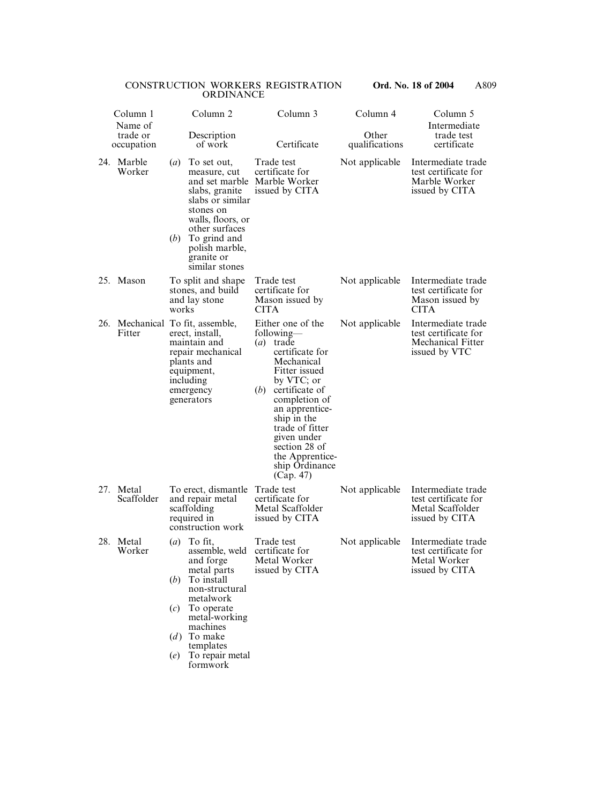|     | Column 1<br>Name of                    |                                                       | Column <sub>2</sub>                                                                                                                                                                                       |             | Column 3                                                                                                                                                                                                                                                                          | Column 4                | Column 5<br>Intermediate                                                                |
|-----|----------------------------------------|-------------------------------------------------------|-----------------------------------------------------------------------------------------------------------------------------------------------------------------------------------------------------------|-------------|-----------------------------------------------------------------------------------------------------------------------------------------------------------------------------------------------------------------------------------------------------------------------------------|-------------------------|-----------------------------------------------------------------------------------------|
|     | trade or<br>occupation                 |                                                       | Description<br>of work                                                                                                                                                                                    |             | Certificate                                                                                                                                                                                                                                                                       | Other<br>qualifications | trade test<br>certificate                                                               |
|     | 24. Marble<br>Worker                   | $\left(a\right)$<br>(b)                               | To set out,<br>measure, cut<br>and set marble<br>slabs, granite<br>slabs or similar<br>stones on<br>walls, floors, or<br>other surfaces<br>To grind and<br>polish marble,<br>granite or<br>similar stones |             | Trade test<br>certificate for<br>Marble Worker<br>issued by CITA                                                                                                                                                                                                                  | Not applicable          | Intermediate trade<br>test certificate for<br>Marble Worker<br>issued by CITA           |
| 25. | Mason                                  | works                                                 | To split and shape<br>stones, and build<br>and lay stone                                                                                                                                                  | <b>CITA</b> | Trade test<br>certificate for<br>Mason issued by                                                                                                                                                                                                                                  | Not applicable          | Intermediate trade<br>test certificate for<br>Mason issued by<br><b>CITA</b>            |
| 26. | Mechanical To fit, assemble,<br>Fitter |                                                       | erect, install,<br>maintain and<br>repair mechanical<br>plants and<br>equipment,<br>including<br>emergency<br>generators                                                                                  | (a)<br>(b)  | Either one of the<br>following—<br>trade<br>certificate for<br>Mechanical<br>Fitter issued<br>by VTC; or<br>certificate of<br>completion of<br>an apprentice-<br>ship in the<br>trade of fitter<br>given under<br>section 28 of<br>the Apprentice-<br>ship Ordinance<br>(Cap. 47) | Not applicable          | Intermediate trade<br>test certificate for<br><b>Mechanical Fitter</b><br>issued by VTC |
| 27. | Metal<br>Scaffolder                    |                                                       | To erect, dismantle<br>and repair metal<br>scaffolding<br>required in<br>construction work                                                                                                                |             | Trade test<br>certificate for<br>Metal Scaffolder<br>issued by CITA                                                                                                                                                                                                               | Not applicable          | Intermediate trade<br>test certificate for<br>Metal Scaffolder<br>issued by CITA        |
| 28. | Metal<br>Worker                        | $\left(a\right)$<br>( <i>b</i> )<br>(c)<br>(d)<br>(e) | To fit,<br>assemble, weld<br>and forge<br>metal parts<br>To install<br>non-structural<br>metalwork<br>To operate<br>metal-working<br>machines<br>To make<br>templates<br>To repair metal<br>formwork      |             | Trade test<br>certificate for<br>Metal Worker<br>issued by CITA                                                                                                                                                                                                                   | Not applicable          | Intermediate trade<br>test certificate for<br>Metal Worker<br>issued by CITA            |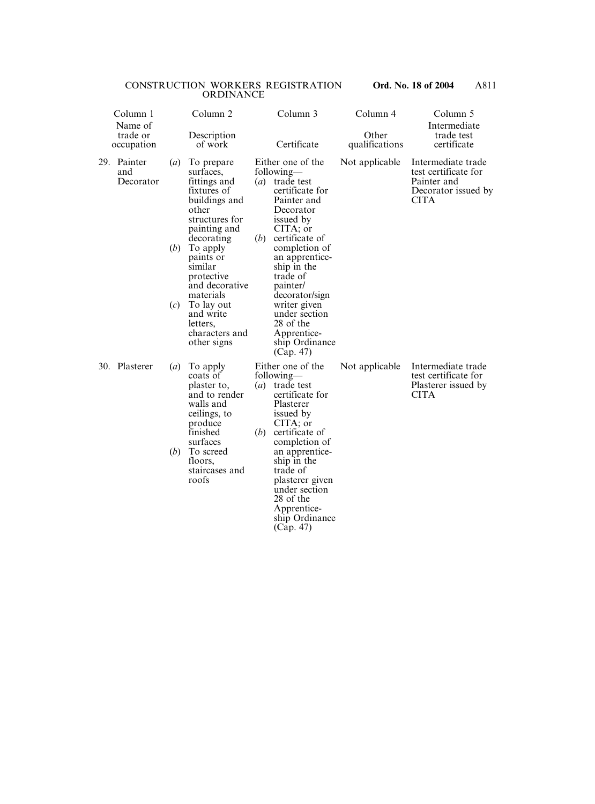| Column 1<br>Name of |                                 |                         | Column 2                                                                                                                                                                                                                                                                                  |                          | Column 3                                                                                                                                                                                                                                                                                                                                     | Column 4                | Column 5<br>Intermediate                                                                        |
|---------------------|---------------------------------|-------------------------|-------------------------------------------------------------------------------------------------------------------------------------------------------------------------------------------------------------------------------------------------------------------------------------------|--------------------------|----------------------------------------------------------------------------------------------------------------------------------------------------------------------------------------------------------------------------------------------------------------------------------------------------------------------------------------------|-------------------------|-------------------------------------------------------------------------------------------------|
|                     | trade or<br>occupation          |                         | Description<br>of work                                                                                                                                                                                                                                                                    |                          | Certificate                                                                                                                                                                                                                                                                                                                                  | Other<br>qualifications | trade test<br>certificate                                                                       |
|                     | 29. Painter<br>and<br>Decorator | (a)<br>(b)<br>(c)       | To prepare<br>surfaces,<br>fittings and<br>fixtures of<br>buildings and<br>other<br>structures for<br>painting and<br>decorating<br>To apply<br>paints or<br>similar<br>protective<br>and decorative<br>materials<br>To lay out<br>and write<br>letters,<br>characters and<br>other signs | (b)                      | Either one of the<br>following—<br>( <i>a</i> ) trade test<br>certificate for<br>Painter and<br>Decorator<br>issued by<br>CITA; or<br>certificate of<br>completion of<br>an apprentice-<br>ship in the<br>trade of<br>painter/<br>decorator/sign<br>writer given<br>under section<br>28 of the<br>Apprentice-<br>ship Ordinance<br>(Cap. 47) | Not applicable          | Intermediate trade<br>test certificate for<br>Painter and<br>Decorator issued by<br><b>CITA</b> |
|                     | 30. Plasterer                   | $\left(a\right)$<br>(b) | To apply<br>coats of<br>plaster to,<br>and to render<br>walls and<br>ceilings, to<br>produce<br>finished<br>surfaces<br>To screed<br>floors,<br>staircases and<br>roofs                                                                                                                   | $\left( a\right)$<br>(b) | Either one of the<br>following—<br>trade test<br>certificate for<br>Plasterer<br>issued by<br>CITA; or<br>certificate of<br>completion of<br>an apprentice-<br>ship in the<br>trade of<br>plasterer given<br>under section<br>28 of the<br>Apprentice-<br>ship Ordinance<br>(Cap. 47)                                                        | Not applicable          | Intermediate trade<br>test certificate for<br>Plasterer issued by<br><b>CITA</b>                |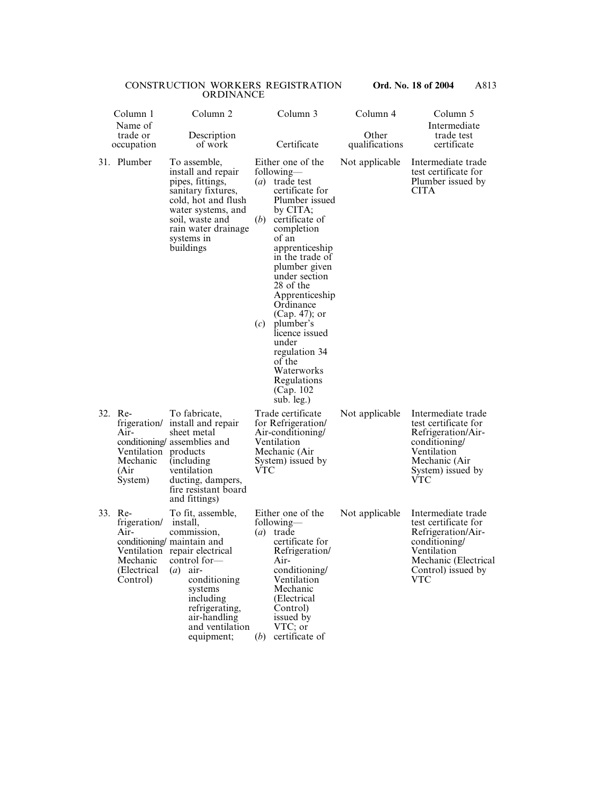| Column 1<br>Name of                                                     | Column <sub>2</sub>                                                                                                                                                                                                                                               |            | Column 3                                                                                                                                                                                                                                                                                                                                                                                                                | Column 4                | Column 5<br>Intermediate                                                                                                                                     |
|-------------------------------------------------------------------------|-------------------------------------------------------------------------------------------------------------------------------------------------------------------------------------------------------------------------------------------------------------------|------------|-------------------------------------------------------------------------------------------------------------------------------------------------------------------------------------------------------------------------------------------------------------------------------------------------------------------------------------------------------------------------------------------------------------------------|-------------------------|--------------------------------------------------------------------------------------------------------------------------------------------------------------|
| trade or<br>occupation                                                  | Description<br>of work                                                                                                                                                                                                                                            |            | Certificate                                                                                                                                                                                                                                                                                                                                                                                                             | Other<br>qualifications | trade test<br>certificate                                                                                                                                    |
| 31. Plumber                                                             | To assemble,<br>install and repair<br>pipes, fittings,<br>sanitary fixtures,<br>cold, hot and flush<br>water systems, and<br>soil, waste and<br>rain water drainage<br>systems in<br>buildings                                                                    | (b)<br>(c) | Either one of the<br>following—<br>( <i>a</i> ) trade test<br>certificate for<br>Plumber issued<br>by CITA;<br>certificate of<br>completion<br>of an<br>apprenticeship<br>in the trade of<br>plumber given<br>under section<br>28 of the<br>Apprenticeship<br>Ordinance<br>$(Cap. 47)$ ; or<br>plumber's<br>licence issued<br>under<br>regulation 34<br>of the<br>Waterworks<br>Regulations<br>(Cap. 102)<br>sub. leg.) | Not applicable          | Intermediate trade<br>test certificate for<br>Plumber issued by<br><b>CITA</b>                                                                               |
| 32. Re-<br>Air-<br>Ventilation products<br>Mechanic<br>(Air<br>System)  | To fabricate,<br>frigeration/ install and repair<br>sheet metal<br>conditioning/assemblies and<br>(including)<br>ventilation<br>ducting, dampers,<br>fire resistant board<br>and fittings)                                                                        | VTC        | Trade certificate<br>for Refrigeration/<br>Air-conditioning/<br>Ventilation<br>Mechanic (Air<br>System) issued by                                                                                                                                                                                                                                                                                                       | Not applicable          | Intermediate trade<br>test certificate for<br>Refrigeration/Air-<br>conditioning/<br>Ventilation<br>Mechanic (Air<br>System) issued by<br>VTC                |
| 33. Re-<br>frigeration/<br>Air-<br>Mechanic<br>(Electrical)<br>Control) | To fit, assemble,<br>install,<br>commission,<br>conditioning maintain and<br>Ventilation repair electrical<br>control for-<br>$\left(a\right)$<br>air-<br>conditioning<br>systems<br>including<br>refrigerating,<br>air-handling<br>and ventilation<br>equipment; | (b)        | Either one of the<br>following—<br>$(a)$ trade<br>certificate for<br>Refrigeration/<br>Air-<br>conditioning/<br>Ventilation<br>Mechanic<br>(Electrical)<br>Control)<br>issued by<br>VTC; or<br>certificate of                                                                                                                                                                                                           | Not applicable          | Intermediate trade<br>test certificate for<br>Refrigeration/Air-<br>conditioning/<br>Ventilation<br>Mechanic (Electrical<br>Control) issued by<br><b>VTC</b> |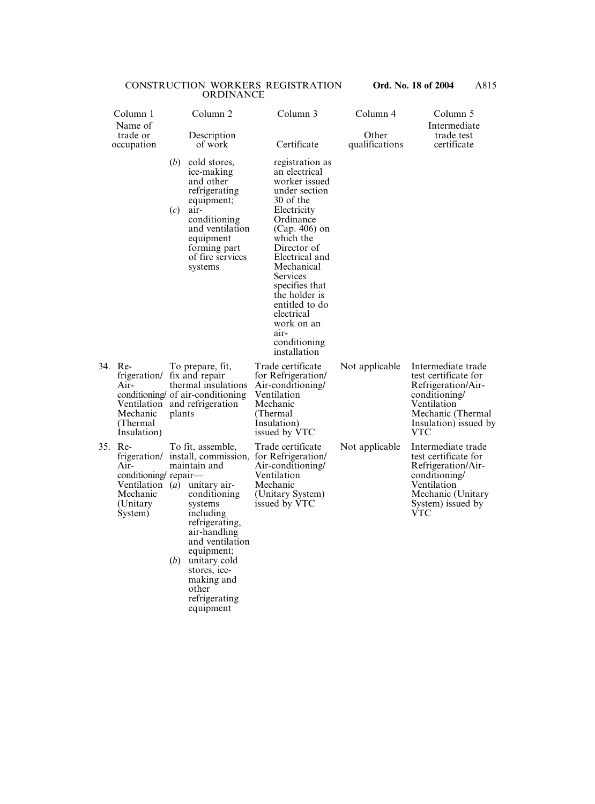| Column 1                                                                                         |                        | Column <sub>2</sub>                                                                                                                                                                                                                               | Column 3                                                                                                                                                                                                                                                                                                                        | Column 4                | Column 5                                                                                                                                                     |
|--------------------------------------------------------------------------------------------------|------------------------|---------------------------------------------------------------------------------------------------------------------------------------------------------------------------------------------------------------------------------------------------|---------------------------------------------------------------------------------------------------------------------------------------------------------------------------------------------------------------------------------------------------------------------------------------------------------------------------------|-------------------------|--------------------------------------------------------------------------------------------------------------------------------------------------------------|
| Name of<br>trade or<br>occupation                                                                | Description<br>of work |                                                                                                                                                                                                                                                   | Certificate                                                                                                                                                                                                                                                                                                                     | Other<br>qualifications | Intermediate<br>trade test<br>certificate                                                                                                                    |
|                                                                                                  | ( <i>b</i> )<br>(c)    | cold stores,<br>ice-making<br>and other<br>refrigerating<br>equipment;<br>air-<br>conditioning<br>and ventilation<br>equipment<br>forming part<br>of fire services<br>systems                                                                     | registration as<br>an electrical<br>worker issued<br>under section<br>30 of the<br>Electricity<br>Ordinance<br>$(Cap. 406)$ on<br>which the<br>Director of<br>Electrical and<br>Mechanical<br>Services<br>specifies that<br>the holder is<br>entitled to do<br>electrical<br>work on an<br>air-<br>conditioning<br>installation |                         |                                                                                                                                                              |
| 34. Re-<br>frigeration/ fix and repair<br>Air-<br>Mechanic<br>(Thermal)<br>Insulation)           | plants                 | To prepare, fit,<br>thermal insulations<br>conditioning of air-conditioning<br>Ventilation and refrigeration                                                                                                                                      | Trade certificate<br>for Refrigeration/<br>Air-conditioning/<br>Ventilation<br>Mechanic<br>(Thermal<br>Insulation)<br>issued by VTC                                                                                                                                                                                             | Not applicable          | Intermediate trade<br>test certificate for<br>Refrigeration/Air-<br>conditioning/<br>Ventilation<br>Mechanic (Thermal<br>Insulation) issued by<br><b>VTC</b> |
| 35. Re-<br>Air-<br>conditioning repair—<br>Ventilation $(a)$<br>Mechanic<br>(Unitary)<br>System) | (b)                    | To fit, assemble,<br>maintain and<br>unitary air-<br>conditioning<br>systems<br>including<br>refrigerating,<br>air-handling<br>and ventilation<br>equipment;<br>unitary cold<br>stores, ice-<br>making and<br>other<br>refrigerating<br>equipment | Trade certificate<br>frigeration/ install, commission, for Refrigeration/<br>Air-conditioning/<br>Ventilation<br>Mechanic<br>(Unitary System)<br>issued by VTC                                                                                                                                                                  | Not applicable          | Intermediate trade<br>test certificate for<br>Refrigeration/Air-<br>conditioning/<br>Ventilation<br>Mechanic (Unitary<br>System) issued by<br><b>VTC</b>     |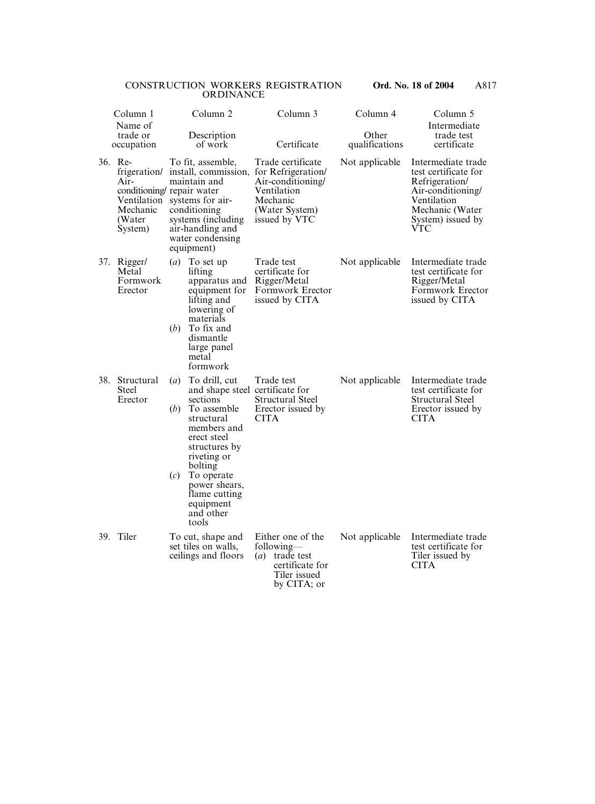|     | Column 1<br>Name of                                                             | Column <sub>2</sub>                                                                                                                                                                                                                                                                     | Column 3                                                                                                                   | Column 4                | Column 5<br>Intermediate                                                                                                                        |
|-----|---------------------------------------------------------------------------------|-----------------------------------------------------------------------------------------------------------------------------------------------------------------------------------------------------------------------------------------------------------------------------------------|----------------------------------------------------------------------------------------------------------------------------|-------------------------|-------------------------------------------------------------------------------------------------------------------------------------------------|
|     | trade or<br>occupation                                                          | Description<br>of work                                                                                                                                                                                                                                                                  | Certificate                                                                                                                | Other<br>qualifications | trade test<br>certificate                                                                                                                       |
|     | 36. Re-<br>frigeration/<br>Air-<br>Ventilation<br>Mechanic<br>(Water<br>System) | To fit, assemble,<br>install, commission,<br>maintain and<br>conditioning/repair water<br>systems for air-<br>conditioning<br>systems (including)<br>air-handling and<br>water condensing<br>equipment)                                                                                 | Trade certificate<br>for Refrigeration/<br>Air-conditioning/<br>Ventilation<br>Mechanic<br>(Water System)<br>issued by VTC | Not applicable          | Intermediate trade<br>test certificate for<br>Refrigeration/<br>Air-conditioning/<br>Ventilation<br>Mechanic (Water<br>System) issued by<br>VTC |
| 37. | Rigger/<br>Metal<br>Formwork<br>Erector                                         | $\left(a\right)$<br>To set up<br>lifting<br>apparatus and<br>equipment for<br>lifting and<br>lowering of<br>materials<br>(b)<br>To fix and<br>dismantle<br>large panel<br>metal<br>formwork                                                                                             | Trade test<br>certificate for<br>Rigger/Metal<br>Formwork Erector<br>issued by CITA                                        | Not applicable          | Intermediate trade<br>test certificate for<br>Rigger/Metal<br>Formwork Erector<br>issued by CITA                                                |
| 38. | Structural<br><b>Steel</b><br>Erector                                           | To drill, cut<br>$\left(a\right)$<br>and shape steel certificate for<br>sections<br>(b)<br>To assemble<br>structural<br>members and<br>erect steel<br>structures by<br>riveting or<br>bolting<br>(c)<br>To operate<br>power shears,<br>flame cutting<br>equipment<br>and other<br>tools | Trade test<br><b>Structural Steel</b><br>Erector issued by<br><b>CITA</b>                                                  | Not applicable          | Intermediate trade<br>test certificate for<br><b>Structural Steel</b><br>Erector issued by<br><b>CITA</b>                                       |
|     | 39. Tiler                                                                       | To cut, shape and<br>set tiles on walls,<br>ceilings and floors                                                                                                                                                                                                                         | Either one of the<br>following—<br>$(a)$ trade test<br>certificate for<br>Tiler issued<br>by CITA; or                      | Not applicable          | Intermediate trade<br>test certificate for<br>Tiler issued by<br><b>CITA</b>                                                                    |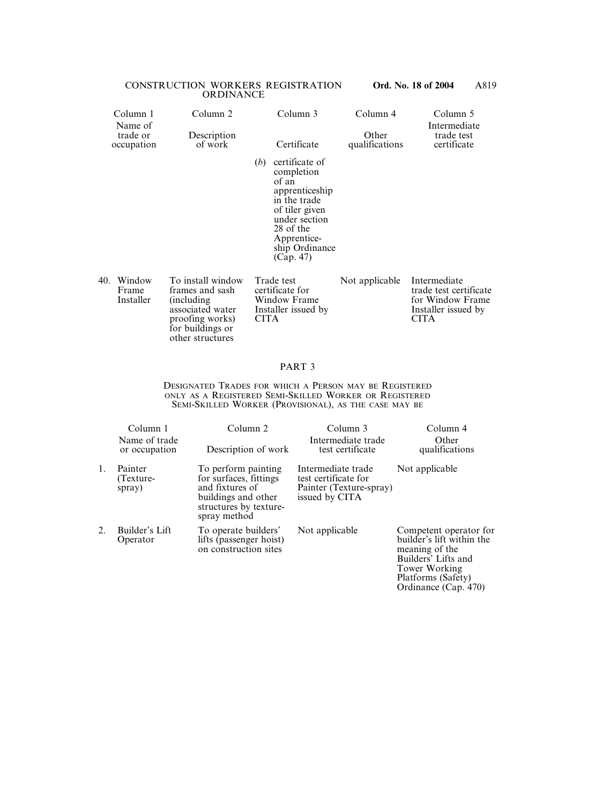|     | Column 1<br>Name of<br>trade or<br>occupation | Column 2<br>Description<br>of work   | Column 3<br>Certificate                                                                                                                                                      | Column 4<br>Other<br>qualifications | Column 5<br>Intermediate<br>trade test<br>certificate |
|-----|-----------------------------------------------|--------------------------------------|------------------------------------------------------------------------------------------------------------------------------------------------------------------------------|-------------------------------------|-------------------------------------------------------|
|     |                                               |                                      | certificate of<br>(b)<br>completion<br>of an<br>apprenticeship<br>in the trade<br>of tiler given<br>under section<br>28 of the<br>Apprentice-<br>ship Ordinance<br>(Cap. 47) |                                     |                                                       |
| 40. | Window<br>Frame                               | To install window<br>frames and sash | Trade test<br>certificate for                                                                                                                                                | Not applicable                      | Intermediate<br>trade test certificate                |

| 0. Window | To install window  | Trade test          | Not applicable | Intermediate           |
|-----------|--------------------|---------------------|----------------|------------------------|
| Frame     | frames and sash    | certificate for     |                | trade test certificate |
| Installer | <i>(including)</i> | Window Frame        |                | for Window Frame       |
|           | associated water   | Installer issued by |                | Installer issued by    |
|           | proofing works)    | <b>CITA</b>         |                | <b>CITA</b>            |
|           | for buildings or   |                     |                |                        |
|           | other structures   |                     |                |                        |

# PART 3

DESIGNATED TRADES FOR WHICH A PERSON MAY BE REGISTERED ONLY AS A REGISTERED SEMI-SKILLED WORKER OR REGISTERED SEMI-SKILLED WORKER (PROVISIONAL), AS THE CASE MAY BE

|    | Column 1                       | Column <sub>2</sub>                                                                                                               | Column 3                                                                                | Column 4                                                                                                                                                    |
|----|--------------------------------|-----------------------------------------------------------------------------------------------------------------------------------|-----------------------------------------------------------------------------------------|-------------------------------------------------------------------------------------------------------------------------------------------------------------|
|    | Name of trade<br>or occupation | Description of work                                                                                                               | Intermediate trade<br>test certificate                                                  | Other<br>qualifications                                                                                                                                     |
| 1. | Painter<br>(Texture-<br>spray) | To perform painting<br>for surfaces, fittings<br>and fixtures of<br>buildings and other<br>structures by texture-<br>spray method | Intermediate trade<br>test certificate for<br>Painter (Texture-spray)<br>issued by CITA | Not applicable                                                                                                                                              |
| 2. | Builder's Lift<br>Operator     | To operate builders'<br>lifts (passenger hoist)<br>on construction sites                                                          | Not applicable                                                                          | Competent operator for<br>builder's lift within the<br>meaning of the<br>Builders' Lifts and<br>Tower Working<br>Platforms (Safety)<br>Ordinance (Cap. 470) |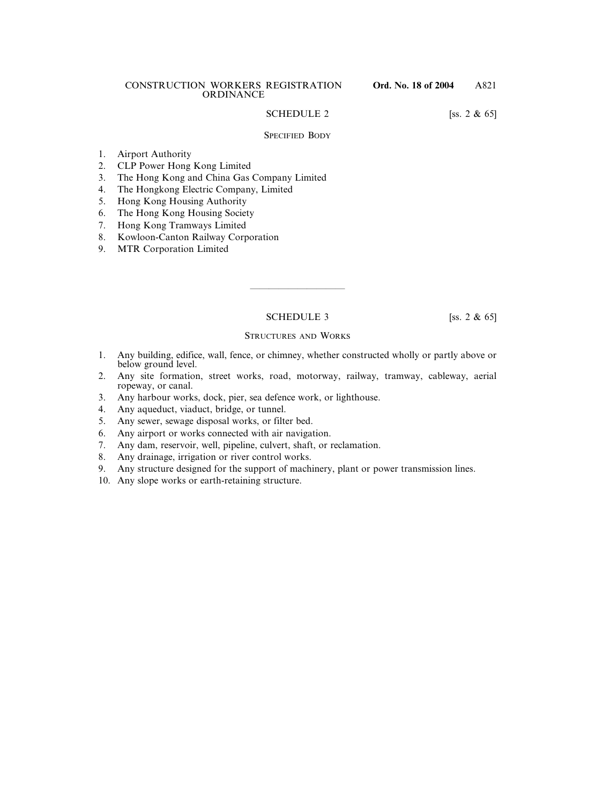# SCHEDULE 2 [ss. 2 & 65]

# SPECIFIED BODY

- 1. Airport Authority
- 2. CLP Power Hong Kong Limited
- 3. The Hong Kong and China Gas Company Limited
- 4. The Hongkong Electric Company, Limited
- 5. Hong Kong Housing Authority
- 6. The Hong Kong Housing Society
- 7. Hong Kong Tramways Limited
- 8. Kowloon-Canton Railway Corporation
- 9. MTR Corporation Limited

SCHEDULE 3 [ss. 2 & 65]

——————————

# STRUCTURES AND WORKS

- 1. Any building, edifice, wall, fence, or chimney, whether constructed wholly or partly above or below ground level.
- 2. Any site formation, street works, road, motorway, railway, tramway, cableway, aerial ropeway, or canal.
- 3. Any harbour works, dock, pier, sea defence work, or lighthouse.
- 4. Any aqueduct, viaduct, bridge, or tunnel.
- 5. Any sewer, sewage disposal works, or filter bed.
- 6. Any airport or works connected with air navigation.
- 7. Any dam, reservoir, well, pipeline, culvert, shaft, or reclamation.
- 8. Any drainage, irrigation or river control works.
- 9. Any structure designed for the support of machinery, plant or power transmission lines.
- 10. Any slope works or earth-retaining structure.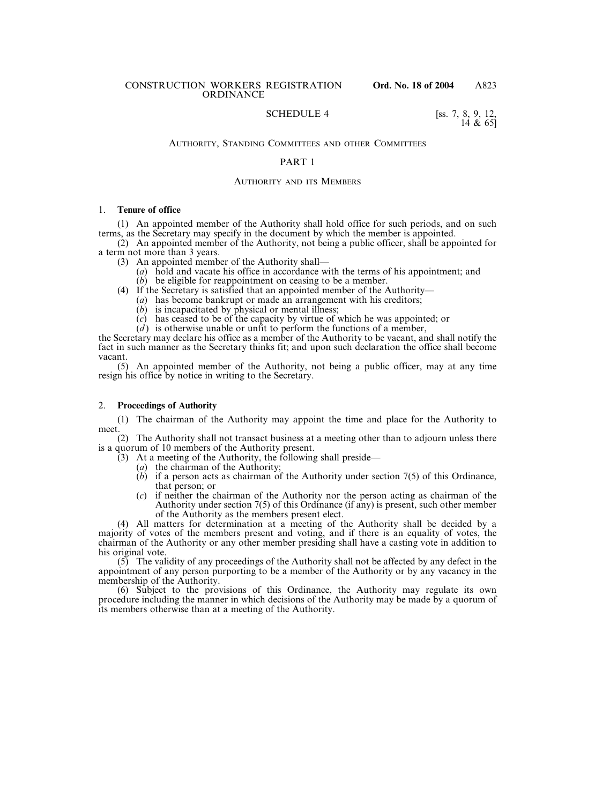# SCHEDULE 4 [ss. 7, 8, 9, 12,

 $14 \& 651$ 

# AUTHORITY, STANDING COMMITTEES AND OTHER COMMITTEES

#### PART 1

#### AUTHORITY AND ITS MEMBERS

#### 1. **Tenure of office**

(1) An appointed member of the Authority shall hold office for such periods, and on such terms, as the Secretary may specify in the document by which the member is appointed.

(2) An appointed member of the Authority, not being a public officer, shall be appointed for a term not more than 3 years.

- (3) An appointed member of the Authority shall—
	- (*a*) hold and vacate his office in accordance with the terms of his appointment; and
	- (*b*) be eligible for reappointment on ceasing to be a member.
- (4) If the Secretary is satisfied that an appointed member of the Authority—
	- (*a*) has become bankrupt or made an arrangement with his creditors;
	- $(b)$  is incapacitated by physical or mental illness;
	- (*c*) has ceased to be of the capacity by virtue of which he was appointed; or
	- $(d)$  is otherwise unable or unfit to perform the functions of a member,

the Secretary may declare his office as a member of the Authority to be vacant, and shall notify the fact in such manner as the Secretary thinks fit; and upon such declaration the office shall become vacant.

(5) An appointed member of the Authority, not being a public officer, may at any time resign his office by notice in writing to the Secretary.

#### 2. **Proceedings of Authority**

(1) The chairman of the Authority may appoint the time and place for the Authority to meet.

(2) The Authority shall not transact business at a meeting other than to adjourn unless there is a quorum of 10 members of the Authority present.

- $(3)$  At a meeting of the Authority, the following shall preside—
	- (*a*) the chairman of the Authority;
	- (*b*) if a person acts as chairman of the Authority under section 7(5) of this Ordinance, that person; or
	- (*c*) if neither the chairman of the Authority nor the person acting as chairman of the Authority under section 7(5) of this Ordinance (if any) is present, such other member of the Authority as the members present elect.

(4) All matters for determination at a meeting of the Authority shall be decided by a majority of votes of the members present and voting, and if there is an equality of votes, the chairman of the Authority or any other member presiding shall have a casting vote in addition to his original vote.

 $(5)$  The validity of any proceedings of the Authority shall not be affected by any defect in the appointment of any person purporting to be a member of the Authority or by any vacancy in the membership of the Authority.

(6) Subject to the provisions of this Ordinance, the Authority may regulate its own procedure including the manner in which decisions of the Authority may be made by a quorum of its members otherwise than at a meeting of the Authority.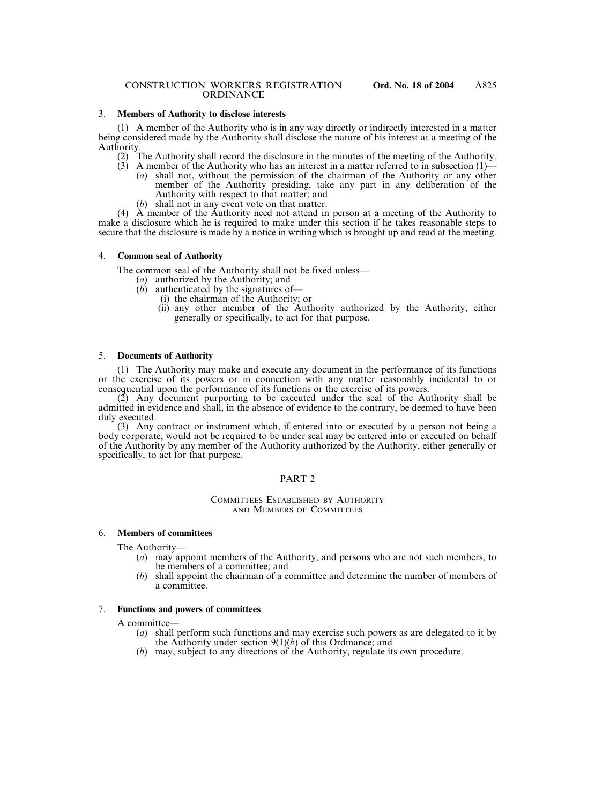# 3. **Members of Authority to disclose interests**

(1) A member of the Authority who is in any way directly or indirectly interested in a matter being considered made by the Authority shall disclose the nature of his interest at a meeting of the Authority.

- (2) The Authority shall record the disclosure in the minutes of the meeting of the Authority.
- (3) A member of the Authority who has an interest in a matter referred to in subsection  $(1)$ (*a*) shall not, without the permission of the chairman of the Authority or any other member of the Authority presiding, take any part in any deliberation of the
	- Authority with respect to that matter; and (*b*) shall not in any event vote on that matter.

(4) A member of the Authority need not attend in person at a meeting of the Authority to make a disclosure which he is required to make under this section if he takes reasonable steps to secure that the disclosure is made by a notice in writing which is brought up and read at the meeting.

#### 4. **Common seal of Authority**

The common seal of the Authority shall not be fixed unless—

- (*a*) authorized by the Authority; and
- (*b*) authenticated by the signatures of—
	- (i) the chairman of the Authority; or
		- (ii) any other member of the Authority authorized by the Authority, either generally or specifically, to act for that purpose.

#### 5. **Documents of Authority**

(1) The Authority may make and execute any document in the performance of its functions or the exercise of its powers or in connection with any matter reasonably incidental to or consequential upon the performance of its functions or the exercise of its powers.

(2) Any document purporting to be executed under the seal of the Authority shall be admitted in evidence and shall, in the absence of evidence to the contrary, be deemed to have been duly executed.

(3) Any contract or instrument which, if entered into or executed by a person not being a body corporate, would not be required to be under seal may be entered into or executed on behalf of the Authority by any member of the Authority authorized by the Authority, either generally or specifically, to act for that purpose.

# PART<sub>2</sub>

#### COMMITTEES ESTABLISHED BY AUTHORITY AND MEMBERS OF COMMITTEES

# 6. **Members of committees**

The Authority—

- (*a*) may appoint members of the Authority, and persons who are not such members, to be members of a committee; and
- (*b*) shall appoint the chairman of a committee and determine the number of members of a committee.

#### 7. **Functions and powers of committees**

A committee—

- (*a*) shall perform such functions and may exercise such powers as are delegated to it by the Authority under section 9(1)(*b*) of this Ordinance; and
- (*b*) may, subject to any directions of the Authority, regulate its own procedure.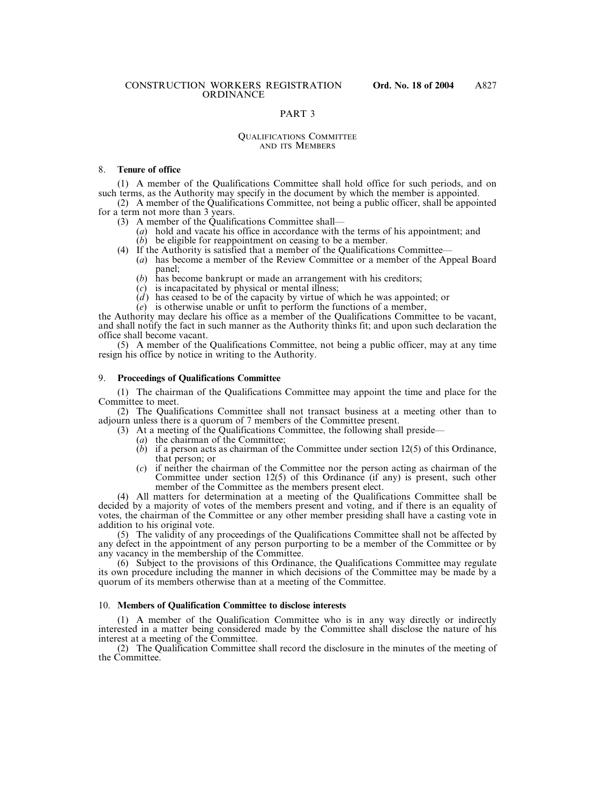# PART 3

#### QUALIFICATIONS COMMITTEE AND ITS MEMBERS

#### 8. **Tenure of office**

(1) A member of the Qualifications Committee shall hold office for such periods, and on such terms, as the Authority may specify in the document by which the member is appointed.

(2) A member of the Qualifications Committee, not being a public officer, shall be appointed for a term not more than 3 years.

- (3) A member of the Qualifications Committee shall—
	- (*a*) hold and vacate his office in accordance with the terms of his appointment; and (*b*) be eligible for reappointment on ceasing to be a member.
- (4) If the Authority is satisfied that a member of the Qualifications Committee—
	- (*a*) has become a member of the Review Committee or a member of the Appeal Board panel;
		- (*b*) has become bankrupt or made an arrangement with his creditors;
		- (*c*) is incapacitated by physical or mental illness;
		- (*d*) has ceased to be of the capacity by virtue of which he was appointed; or
	- (*e*) is otherwise unable or unfit to perform the functions of a member,

the Authority may declare his office as a member of the Qualifications Committee to be vacant, and shall notify the fact in such manner as the Authority thinks fit; and upon such declaration the office shall become vacant.

(5) A member of the Qualifications Committee, not being a public officer, may at any time resign his office by notice in writing to the Authority.

#### 9. **Proceedings of Qualifications Committee**

(1) The chairman of the Qualifications Committee may appoint the time and place for the Committee to meet.

(2) The Qualifications Committee shall not transact business at a meeting other than to adjourn unless there is a quorum of 7 members of the Committee present.

- (3) At a meeting of the Qualifications Committee, the following shall preside—
	- (*a*) the chairman of the Committee;
	- (*b*) if a person acts as chairman of the Committee under section 12(5) of this Ordinance, that person; or
	- (*c*) if neither the chairman of the Committee nor the person acting as chairman of the Committee under section 12(5) of this Ordinance (if any) is present, such other member of the Committee as the members present elect.

(4) All matters for determination at a meeting of the Qualifications Committee shall be decided by a majority of votes of the members present and voting, and if there is an equality of votes, the chairman of the Committee or any other member presiding shall have a casting vote in addition to his original vote.

(5) The validity of any proceedings of the Qualifications Committee shall not be affected by any defect in the appointment of any person purporting to be a member of the Committee or by any vacancy in the membership of the Committee.

(6) Subject to the provisions of this Ordinance, the Qualifications Committee may regulate its own procedure including the manner in which decisions of the Committee may be made by a quorum of its members otherwise than at a meeting of the Committee.

#### 10. **Members of Qualification Committee to disclose interests**

(1) A member of the Qualification Committee who is in any way directly or indirectly interested in a matter being considered made by the Committee shall disclose the nature of his interest at a meeting of the Committee.

(2) The Qualification Committee shall record the disclosure in the minutes of the meeting of the Committee.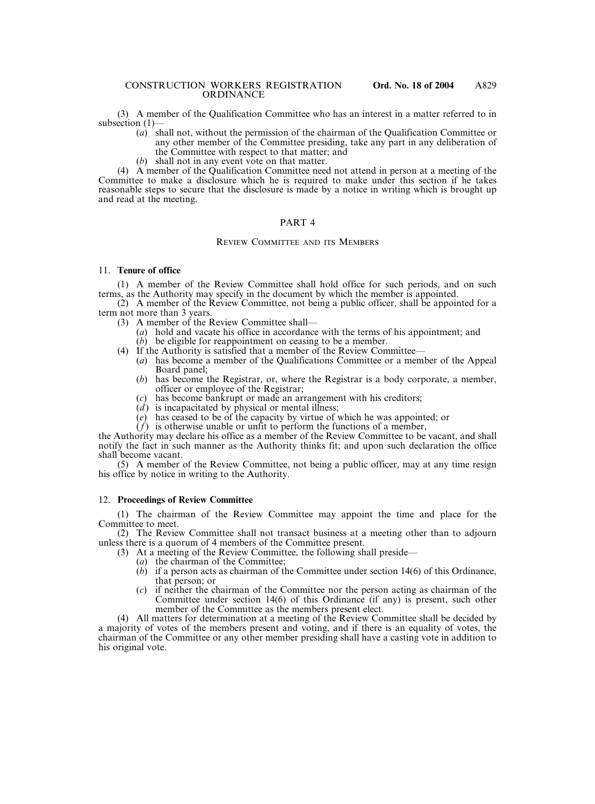(3) A member of the Qualification Committee who has an interest in a matter referred to in subsection (1)—

- (*a*) shall not, without the permission of the chairman of the Qualification Committee or any other member of the Committee presiding, take any part in any deliberation of the Committee with respect to that matter; and
- (*b*) shall not in any event vote on that matter.

(4) A member of the Qualification Committee need not attend in person at a meeting of the Committee to make a disclosure which he is required to make under this section if he takes reasonable steps to secure that the disclosure is made by a notice in writing which is brought up and read at the meeting.

## PART 4

# REVIEW COMMITTEE AND ITS MEMBERS

# 11. **Tenure of office**

(1) A member of the Review Committee shall hold office for such periods, and on such terms, as the Authority may specify in the document by which the member is appointed.

(2) A member of the Review Committee, not being a public officer, shall be appointed for a term not more than 3 years.

- (3) A member of the Review Committee shall—
	- (*a*) hold and vacate his office in accordance with the terms of his appointment; and (*b*) be eligible for reappointment on ceasing to be a member.
- (4) If the Authority is satisfied that a member of the Review Committee—
	- (*a*) has become a member of the Qualifications Committee or a member of the Appeal Board panel;
	- (*b*) has become the Registrar, or, where the Registrar is a body corporate, a member, officer or employee of the Registrar;
	- (*c*) has become bankrupt or made an arrangement with his creditors;
	- $(d)$  is incapacitated by physical or mental illness;
	- (*e*) has ceased to be of the capacity by virtue of which he was appointed; or
	- $(f)$  is otherwise unable or unfit to perform the functions of a member,

the Authority may declare his office as a member of the Review Committee to be vacant, and shall notify the fact in such manner as the Authority thinks fit; and upon such declaration the office shall become vacant.

(5) A member of the Review Committee, not being a public officer, may at any time resign his office by notice in writing to the Authority.

#### 12. **Proceedings of Review Committee**

(1) The chairman of the Review Committee may appoint the time and place for the Committee to meet.

(2) The Review Committee shall not transact business at a meeting other than to adjourn unless there is a quorum of 4 members of the Committee present.

- (3) At a meeting of the Review Committee, the following shall preside—
	- (*a*) the chairman of the Committee;
	- (*b*) if a person acts as chairman of the Committee under section 14(6) of this Ordinance, that person; or
	- (*c*) if neither the chairman of the Committee nor the person acting as chairman of the Committee under section 14(6) of this Ordinance (if any) is present, such other member of the Committee as the members present elect.

(4) All matters for determination at a meeting of the Review Committee shall be decided by a majority of votes of the members present and voting, and if there is an equality of votes, the chairman of the Committee or any other member presiding shall have a casting vote in addition to his original vote.